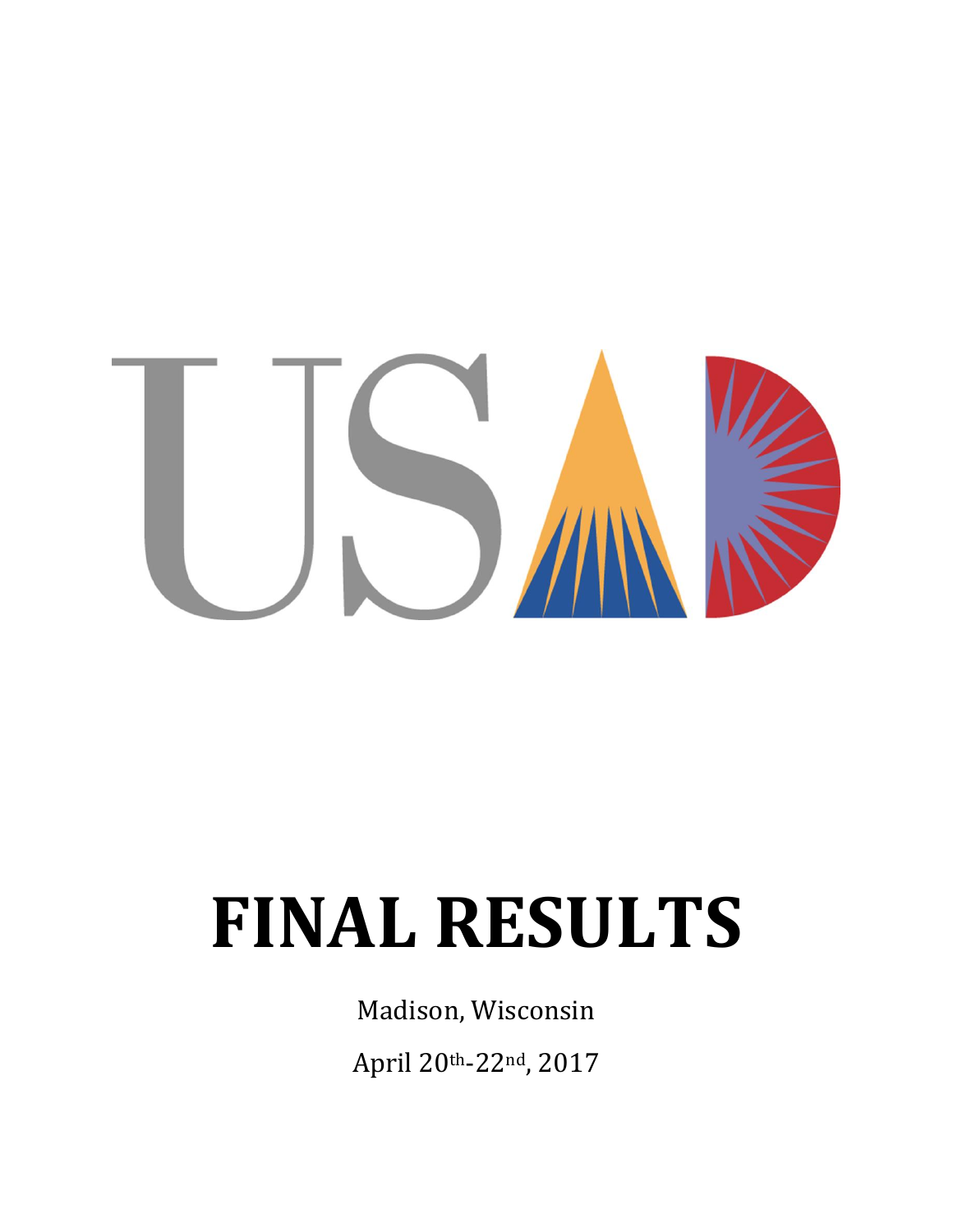

# **FINAL RESULTS**

Madison, Wisconsin

April 20th-22nd, 2017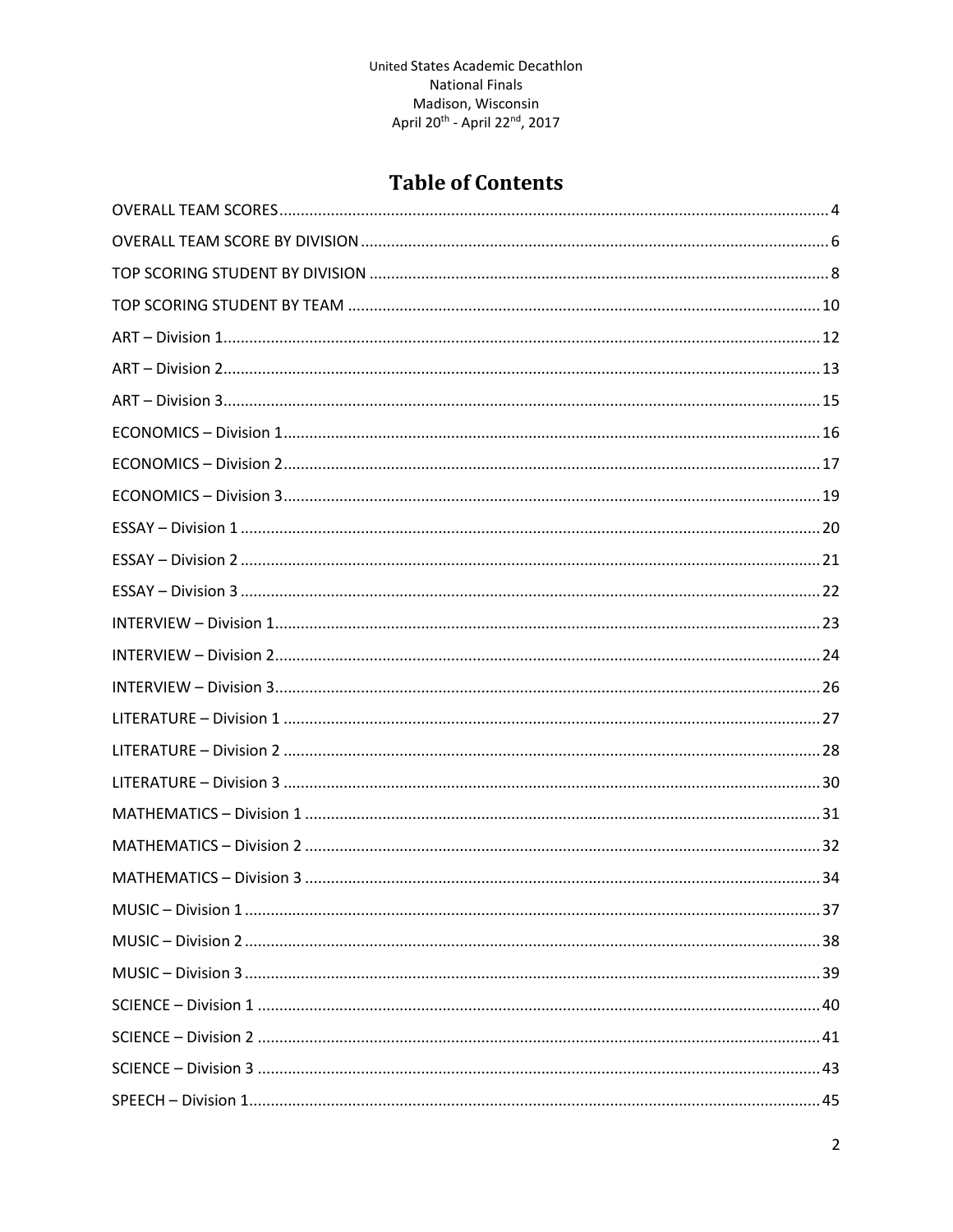# **Table of Contents**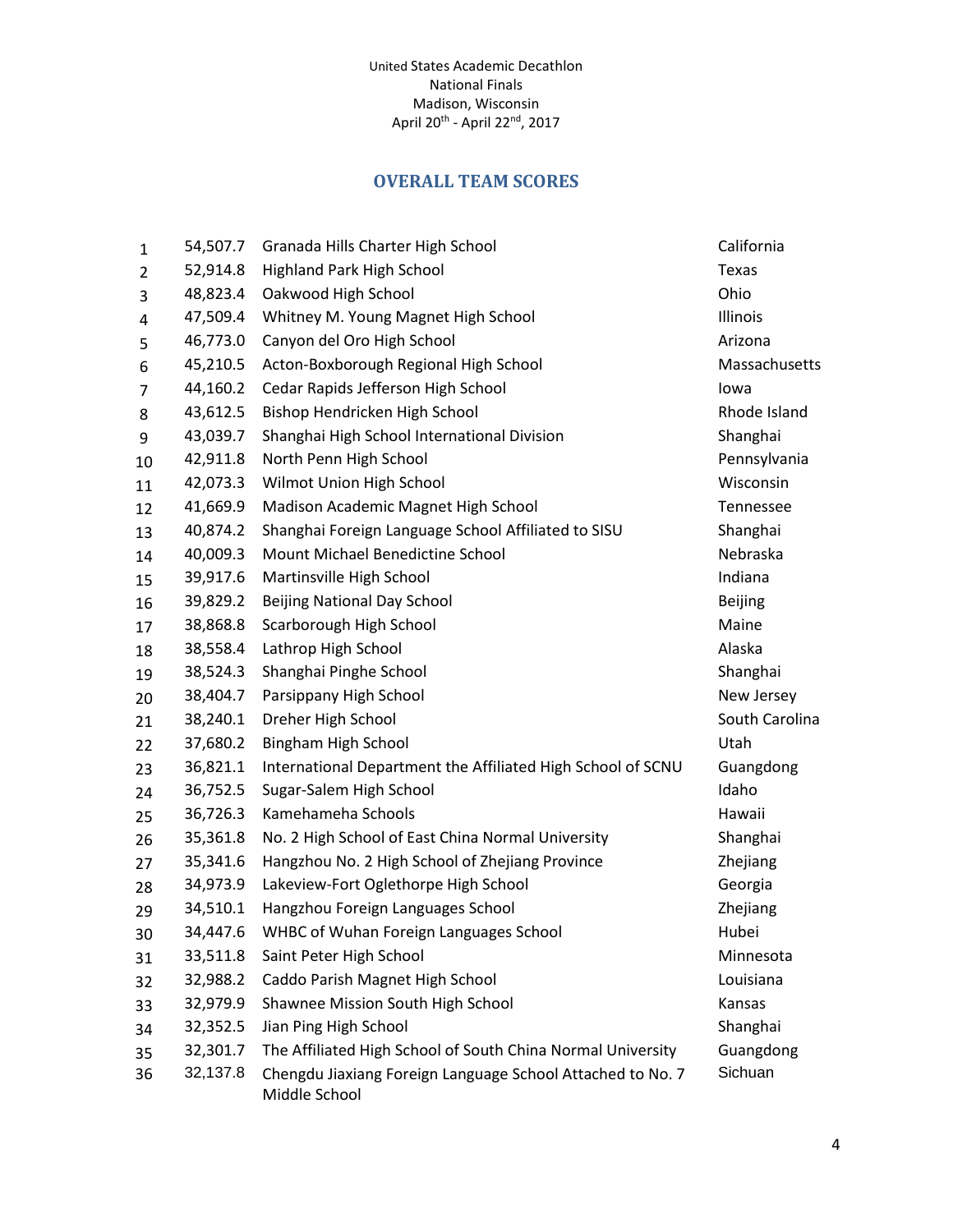## **OVERALL TEAM SCORES**

<span id="page-3-0"></span>

| 1  | 54,507.7 | Granada Hills Charter High School                                           | California     |
|----|----------|-----------------------------------------------------------------------------|----------------|
| 2  | 52,914.8 | Highland Park High School                                                   | Texas          |
| 3  | 48,823.4 | Oakwood High School                                                         | Ohio           |
| 4  | 47,509.4 | Whitney M. Young Magnet High School                                         | Illinois       |
| 5  | 46,773.0 | Canyon del Oro High School                                                  | Arizona        |
| 6  | 45,210.5 | Acton-Boxborough Regional High School                                       | Massachusetts  |
| 7  | 44,160.2 | Cedar Rapids Jefferson High School                                          | lowa           |
| 8  | 43,612.5 | Bishop Hendricken High School                                               | Rhode Island   |
| 9  | 43,039.7 | Shanghai High School International Division                                 | Shanghai       |
| 10 | 42,911.8 | North Penn High School                                                      | Pennsylvania   |
| 11 | 42,073.3 | Wilmot Union High School                                                    | Wisconsin      |
| 12 | 41,669.9 | Madison Academic Magnet High School                                         | Tennessee      |
| 13 | 40,874.2 | Shanghai Foreign Language School Affiliated to SISU                         | Shanghai       |
| 14 | 40,009.3 | Mount Michael Benedictine School                                            | Nebraska       |
| 15 | 39,917.6 | Martinsville High School                                                    | Indiana        |
| 16 | 39,829.2 | <b>Beijing National Day School</b>                                          | <b>Beijing</b> |
| 17 | 38,868.8 | Scarborough High School                                                     | Maine          |
| 18 | 38,558.4 | Lathrop High School                                                         | Alaska         |
| 19 | 38,524.3 | Shanghai Pinghe School                                                      | Shanghai       |
| 20 | 38,404.7 | Parsippany High School                                                      | New Jersey     |
| 21 | 38,240.1 | Dreher High School                                                          | South Carolina |
| 22 | 37,680.2 | Bingham High School                                                         | Utah           |
| 23 | 36,821.1 | International Department the Affiliated High School of SCNU                 | Guangdong      |
| 24 | 36,752.5 | Sugar-Salem High School                                                     | Idaho          |
| 25 | 36,726.3 | Kamehameha Schools                                                          | Hawaii         |
| 26 | 35,361.8 | No. 2 High School of East China Normal University                           | Shanghai       |
| 27 | 35,341.6 | Hangzhou No. 2 High School of Zhejiang Province                             | Zhejiang       |
| 28 | 34,973.9 | Lakeview-Fort Oglethorpe High School                                        | Georgia        |
| 29 | 34,510.1 | Hangzhou Foreign Languages School                                           | Zhejiang       |
| 30 | 34,447.6 | WHBC of Wuhan Foreign Languages School                                      | Hubei          |
| 31 | 33,511.8 | Saint Peter High School                                                     | Minnesota      |
| 32 | 32,988.2 | Caddo Parish Magnet High School                                             | Louisiana      |
| 33 | 32,979.9 | Shawnee Mission South High School                                           | Kansas         |
| 34 | 32,352.5 | Jian Ping High School                                                       | Shanghai       |
| 35 | 32,301.7 | The Affiliated High School of South China Normal University                 | Guangdong      |
| 36 | 32,137.8 | Chengdu Jiaxiang Foreign Language School Attached to No. 7<br>Middle School | Sichuan        |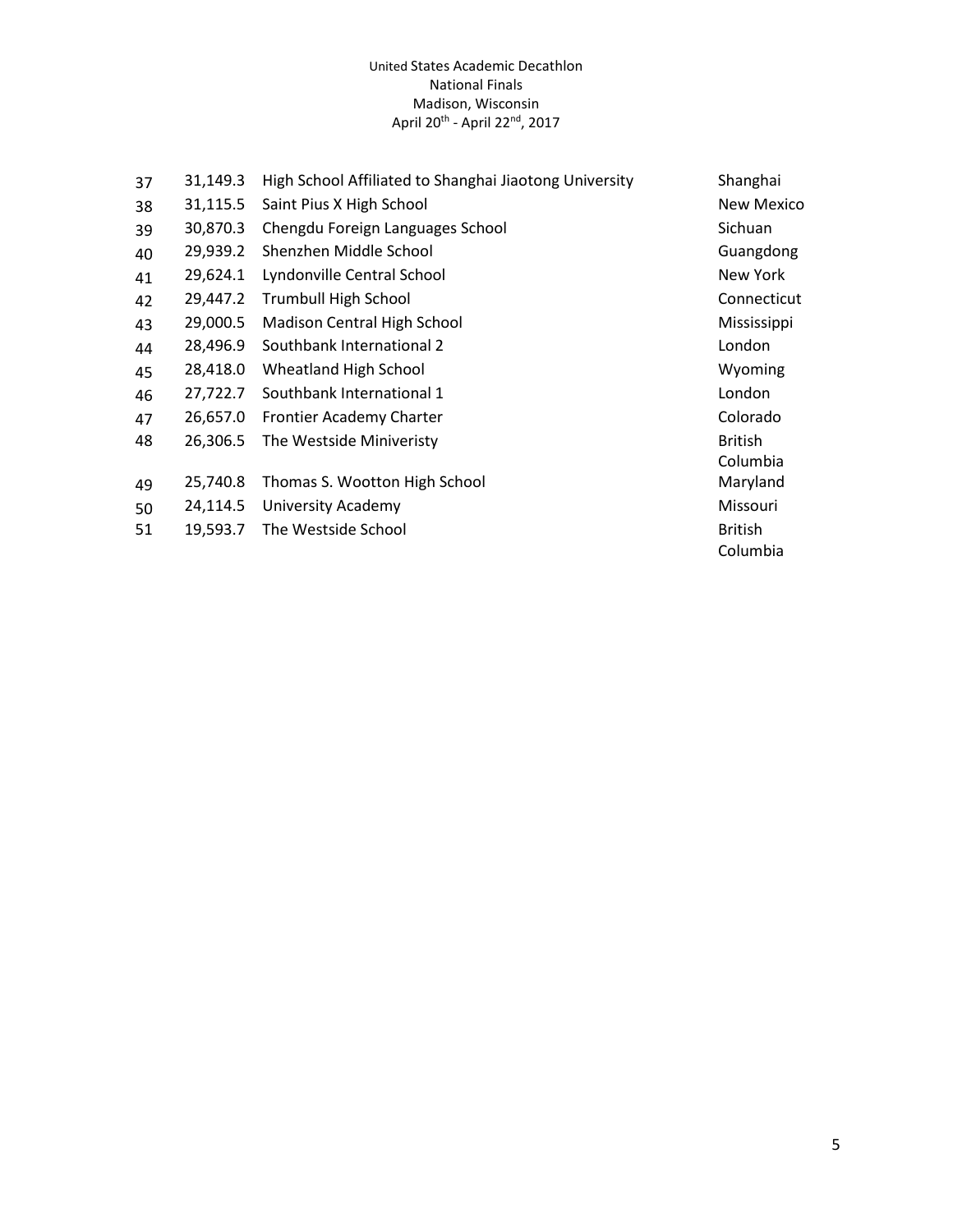| 37 | 31,149.3 | High School Affiliated to Shanghai Jiaotong University | Shanghai          |
|----|----------|--------------------------------------------------------|-------------------|
| 38 | 31,115.5 | Saint Pius X High School                               | <b>New Mexico</b> |
| 39 | 30,870.3 | Chengdu Foreign Languages School                       | Sichuan           |
| 40 | 29,939.2 | Shenzhen Middle School                                 | Guangdong         |
| 41 | 29,624.1 | Lyndonville Central School                             | New York          |
| 42 | 29,447.2 | <b>Trumbull High School</b>                            | Connecticut       |
| 43 | 29,000.5 | Madison Central High School                            | Mississippi       |
| 44 | 28,496.9 | Southbank International 2                              | London            |
| 45 | 28,418.0 | Wheatland High School                                  | Wyoming           |
| 46 | 27,722.7 | Southbank International 1                              | London            |
| 47 | 26,657.0 | Frontier Academy Charter                               | Colorado          |
| 48 | 26,306.5 | The Westside Miniveristy                               | <b>British</b>    |
|    |          |                                                        | Columbia          |
| 49 | 25,740.8 | Thomas S. Wootton High School                          | Maryland          |
| 50 | 24,114.5 | University Academy                                     | Missouri          |
| 51 | 19,593.7 | The Westside School                                    | <b>British</b>    |
|    |          |                                                        | Columbia          |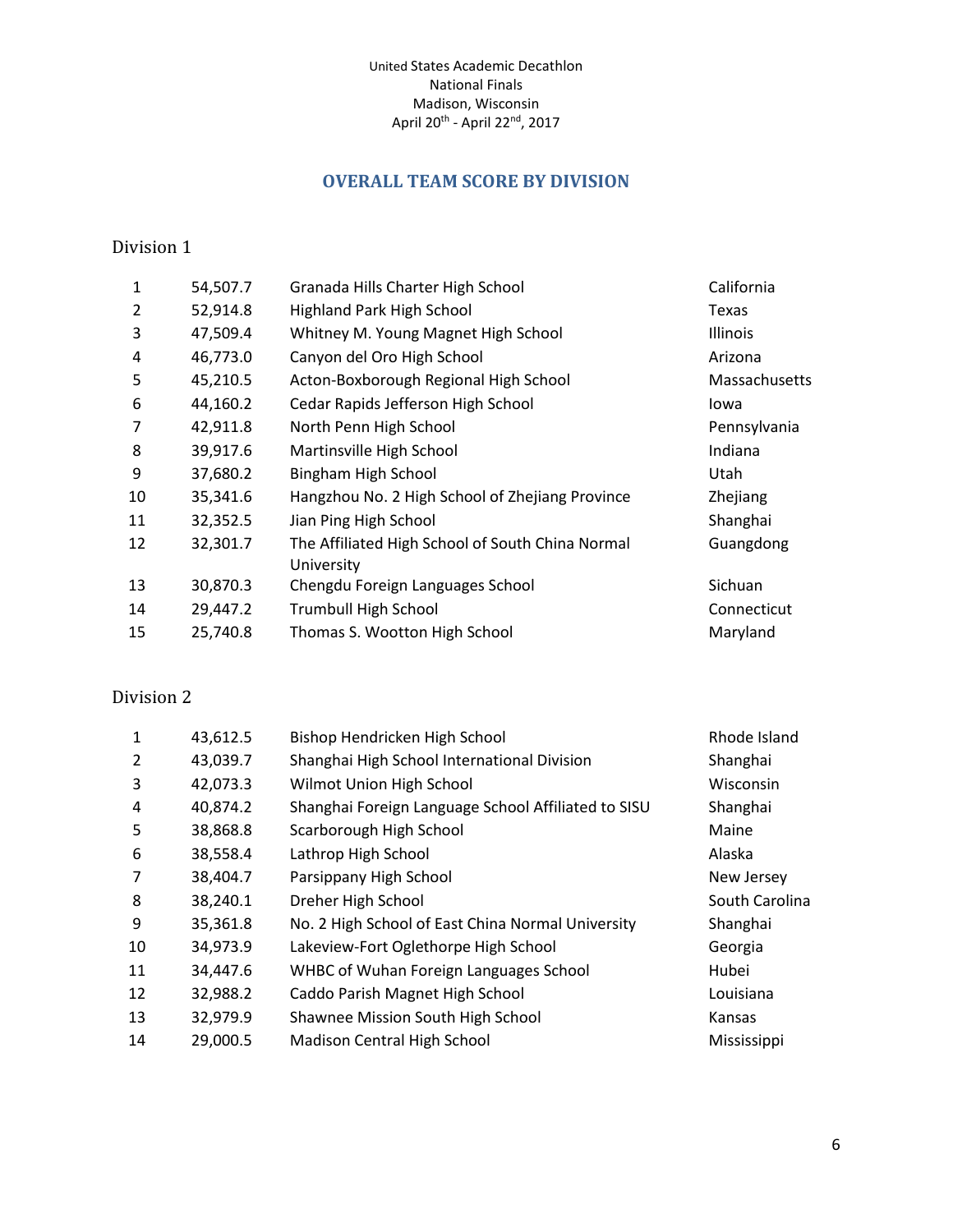## **OVERALL TEAM SCORE BY DIVISION**

### <span id="page-5-0"></span>Division 1

| $\mathbf{1}$ | 54,507.7 | Granada Hills Charter High School                              | California      |
|--------------|----------|----------------------------------------------------------------|-----------------|
| 2            | 52,914.8 | <b>Highland Park High School</b>                               | Texas           |
| 3            | 47,509.4 | Whitney M. Young Magnet High School                            | Illinois        |
| 4            | 46,773.0 | Canyon del Oro High School                                     | Arizona         |
| 5            | 45,210.5 | Acton-Boxborough Regional High School                          | Massachusetts   |
| 6            | 44,160.2 | Cedar Rapids Jefferson High School                             | lowa            |
| 7            | 42,911.8 | North Penn High School                                         | Pennsylvania    |
| 8            | 39,917.6 | Martinsville High School                                       | Indiana         |
| 9            | 37,680.2 | Bingham High School                                            | Utah            |
| 10           | 35,341.6 | Hangzhou No. 2 High School of Zhejiang Province                | <b>Zhejiang</b> |
| 11           | 32,352.5 | Jian Ping High School                                          | Shanghai        |
| 12           | 32,301.7 | The Affiliated High School of South China Normal<br>University | Guangdong       |
| 13           | 30,870.3 | Chengdu Foreign Languages School                               | Sichuan         |
| 14           | 29,447.2 | <b>Trumbull High School</b>                                    | Connecticut     |
| 15           | 25,740.8 | Thomas S. Wootton High School                                  | Maryland        |
|              |          |                                                                |                 |

## Division 2

| $\mathbf{1}$   | 43,612.5 | Bishop Hendricken High School                       | Rhode Island   |
|----------------|----------|-----------------------------------------------------|----------------|
| 2              | 43,039.7 | Shanghai High School International Division         | Shanghai       |
| 3              | 42,073.3 | Wilmot Union High School                            | Wisconsin      |
| 4              | 40,874.2 | Shanghai Foreign Language School Affiliated to SISU | Shanghai       |
| 5              | 38,868.8 | Scarborough High School                             | Maine          |
| 6              | 38,558.4 | Lathrop High School                                 | Alaska         |
| $\overline{7}$ | 38,404.7 | Parsippany High School                              | New Jersey     |
| 8              | 38,240.1 | Dreher High School                                  | South Carolina |
| 9              | 35,361.8 | No. 2 High School of East China Normal University   | Shanghai       |
| 10             | 34,973.9 | Lakeview-Fort Oglethorpe High School                | Georgia        |
| 11             | 34,447.6 | WHBC of Wuhan Foreign Languages School              | Hubei          |
| 12             | 32,988.2 | Caddo Parish Magnet High School                     | Louisiana      |
| 13             | 32,979.9 | Shawnee Mission South High School                   | Kansas         |
| 14             | 29,000.5 | Madison Central High School                         | Mississippi    |
|                |          |                                                     |                |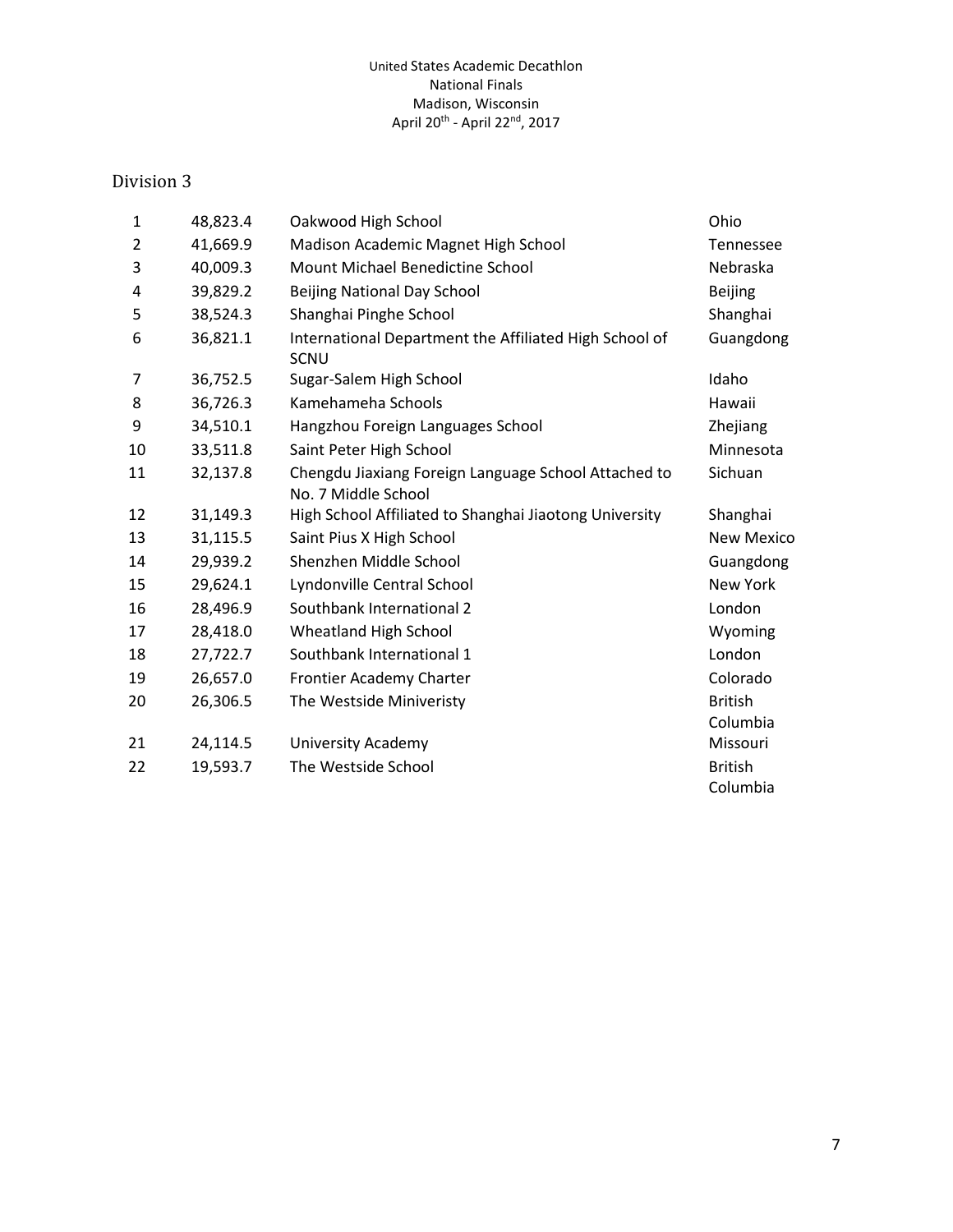#### Division 3

| 1  | 48,823.4 | Oakwood High School                                                         | Ohio                       |
|----|----------|-----------------------------------------------------------------------------|----------------------------|
| 2  | 41,669.9 | Madison Academic Magnet High School                                         | <b>Tennessee</b>           |
| 3  | 40,009.3 | Mount Michael Benedictine School                                            | Nebraska                   |
| 4  | 39,829.2 | <b>Beijing National Day School</b>                                          | <b>Beijing</b>             |
| 5  | 38,524.3 | Shanghai Pinghe School                                                      | Shanghai                   |
| 6  | 36,821.1 | International Department the Affiliated High School of<br><b>SCNU</b>       | Guangdong                  |
| 7  | 36,752.5 | Sugar-Salem High School                                                     | Idaho                      |
| 8  | 36,726.3 | Kamehameha Schools                                                          | Hawaii                     |
| 9  | 34,510.1 | Hangzhou Foreign Languages School                                           | Zhejiang                   |
| 10 | 33,511.8 | Saint Peter High School                                                     | Minnesota                  |
| 11 | 32,137.8 | Chengdu Jiaxiang Foreign Language School Attached to<br>No. 7 Middle School | Sichuan                    |
| 12 | 31,149.3 | High School Affiliated to Shanghai Jiaotong University                      | Shanghai                   |
| 13 | 31,115.5 | Saint Pius X High School                                                    | <b>New Mexico</b>          |
| 14 | 29,939.2 | Shenzhen Middle School                                                      | Guangdong                  |
| 15 | 29,624.1 | Lyndonville Central School                                                  | New York                   |
| 16 | 28,496.9 | Southbank International 2                                                   | London                     |
| 17 | 28,418.0 | Wheatland High School                                                       | Wyoming                    |
| 18 | 27,722.7 | Southbank International 1                                                   | London                     |
| 19 | 26,657.0 | Frontier Academy Charter                                                    | Colorado                   |
| 20 | 26,306.5 | The Westside Miniveristy                                                    | <b>British</b><br>Columbia |
| 21 | 24,114.5 | <b>University Academy</b>                                                   | Missouri                   |
| 22 | 19,593.7 | The Westside School                                                         | <b>British</b><br>Columbia |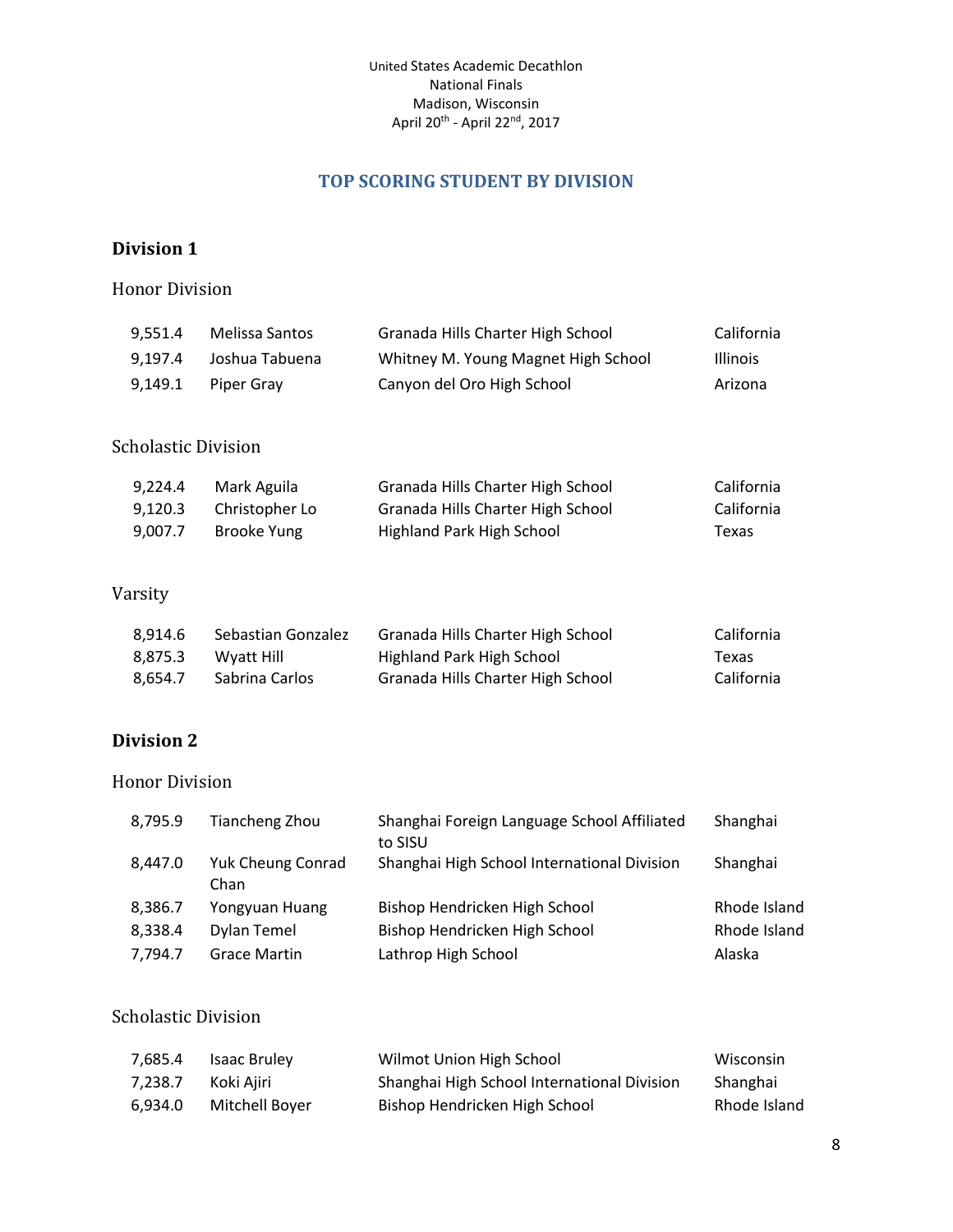## **TOP SCORING STUDENT BY DIVISION**

## <span id="page-7-0"></span>**Division 1**

Honor Division

| 9.551.4 | Melissa Santos | Granada Hills Charter High School   | California      |
|---------|----------------|-------------------------------------|-----------------|
| 9.197.4 | Joshua Tabuena | Whitney M. Young Magnet High School | <b>Illinois</b> |
| 9.149.1 | Piper Grav     | Canyon del Oro High School          | Arizona         |

#### Scholastic Division

| 9.224.4 | Mark Aguila    | Granada Hills Charter High School | California |
|---------|----------------|-----------------------------------|------------|
| 9.120.3 | Christopher Lo | Granada Hills Charter High School | California |
| 9.007.7 | Brooke Yung    | Highland Park High School         | Texas      |

## Varsity

| 8.914.6 | Sebastian Gonzalez | Granada Hills Charter High School | California |
|---------|--------------------|-----------------------------------|------------|
| 8.875.3 | Wyatt Hill         | Highland Park High School         | Texas      |
| 8.654.7 | Sabrina Carlos     | Granada Hills Charter High School | California |

## **Division 2**

#### Honor Division

| 8,795.9 | Tiancheng Zhou            | Shanghai Foreign Language School Affiliated<br>to SISU | Shanghai     |
|---------|---------------------------|--------------------------------------------------------|--------------|
| 8,447.0 | Yuk Cheung Conrad<br>Chan | Shanghai High School International Division            | Shanghai     |
| 8,386.7 | Yongyuan Huang            | Bishop Hendricken High School                          | Rhode Island |
| 8,338.4 | Dylan Temel               | Bishop Hendricken High School                          | Rhode Island |
| 7,794.7 | <b>Grace Martin</b>       | Lathrop High School                                    | Alaska       |

#### Scholastic Division

| 7.685.4 | Isaac Bruley   | Wilmot Union High School                    | Wisconsin    |
|---------|----------------|---------------------------------------------|--------------|
| 7.238.7 | Koki Aiiri     | Shanghai High School International Division | Shanghai     |
| 6.934.0 | Mitchell Boyer | Bishop Hendricken High School               | Rhode Island |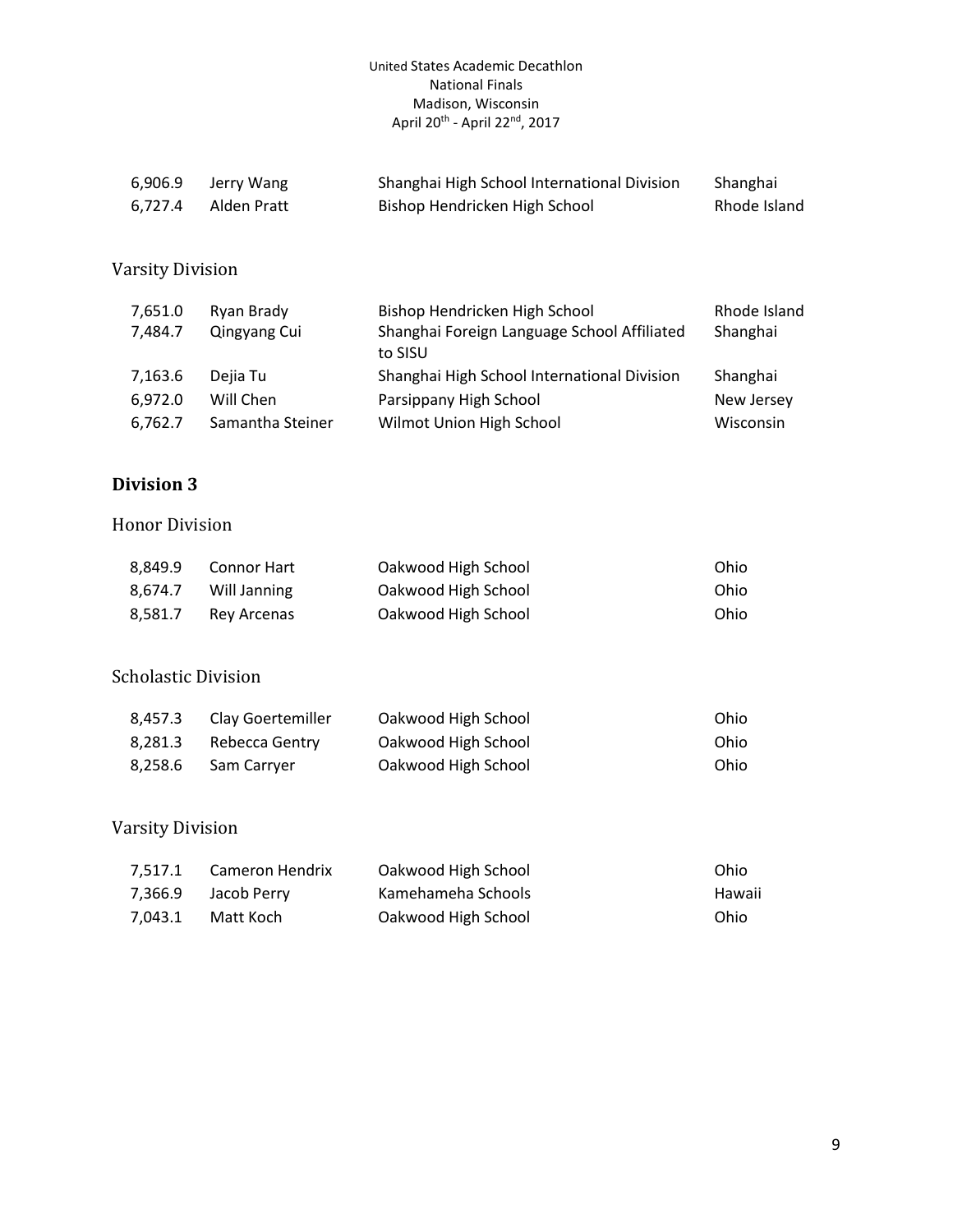| 6,906.9 | Jerry Wang  | Shanghai High School International Division | Shanghai     |
|---------|-------------|---------------------------------------------|--------------|
| 6.727.4 | Alden Pratt | Bishop Hendricken High School               | Rhode Island |

## Varsity Division

| 7,651.0 | Ryan Brady       | Bishop Hendricken High School                          | Rhode Island |
|---------|------------------|--------------------------------------------------------|--------------|
| 7,484.7 | Qingyang Cui     | Shanghai Foreign Language School Affiliated<br>to SISU | Shanghai     |
| 7,163.6 | Dejia Tu         | Shanghai High School International Division            | Shanghai     |
| 6,972.0 | Will Chen        | Parsippany High School                                 | New Jersey   |
| 6,762.7 | Samantha Steiner | Wilmot Union High School                               | Wisconsin    |

## **Division 3**

#### Honor Division

| 8.849.9<br>8.674.7 | Connor Hart<br>Will Janning | Oakwood High School | Ohio |
|--------------------|-----------------------------|---------------------|------|
|                    |                             | Oakwood High School | Ohio |
| 8,581.7            | Rey Arcenas                 | Oakwood High School | Ohio |

#### Scholastic Division

| 8.457.3 | Clay Goertemiller | Oakwood High School | Ohio |
|---------|-------------------|---------------------|------|
| 8.281.3 | Rebecca Gentry    | Oakwood High School | Ohio |
| 8.258.6 | Sam Carryer       | Oakwood High School | Ohio |

| 7.517.1 | Cameron Hendrix | Oakwood High School | Ohio   |
|---------|-----------------|---------------------|--------|
| 7.366.9 | Jacob Perry     | Kamehameha Schools  | Hawaii |
| 7.043.1 | Matt Koch       | Oakwood High School | Ohio   |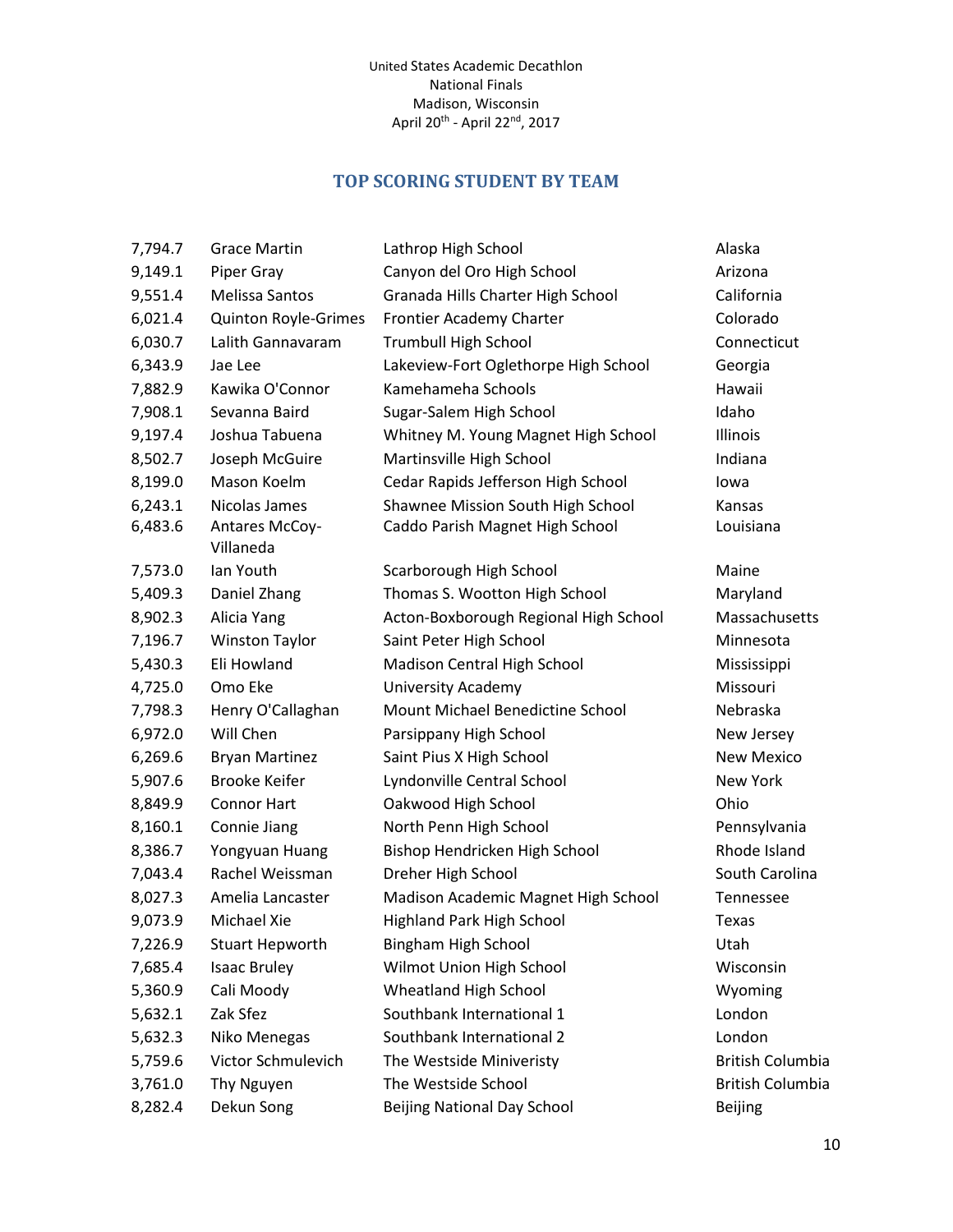## **TOP SCORING STUDENT BY TEAM**

<span id="page-9-0"></span>

| 7,794.7 | <b>Grace Martin</b>         | Lathrop High School                   | Alaska                  |
|---------|-----------------------------|---------------------------------------|-------------------------|
| 9,149.1 | Piper Gray                  | Canyon del Oro High School            | Arizona                 |
| 9,551.4 | Melissa Santos              | Granada Hills Charter High School     | California              |
| 6,021.4 | Quinton Royle-Grimes        | Frontier Academy Charter              | Colorado                |
| 6,030.7 | Lalith Gannavaram           | <b>Trumbull High School</b>           | Connecticut             |
| 6,343.9 | Jae Lee                     | Lakeview-Fort Oglethorpe High School  | Georgia                 |
| 7,882.9 | Kawika O'Connor             | Kamehameha Schools                    | Hawaii                  |
| 7,908.1 | Sevanna Baird               | Sugar-Salem High School               | Idaho                   |
| 9,197.4 | Joshua Tabuena              | Whitney M. Young Magnet High School   | Illinois                |
| 8,502.7 | Joseph McGuire              | Martinsville High School              | Indiana                 |
| 8,199.0 | Mason Koelm                 | Cedar Rapids Jefferson High School    | lowa                    |
| 6,243.1 | Nicolas James               | Shawnee Mission South High School     | Kansas                  |
| 6,483.6 | Antares McCoy-<br>Villaneda | Caddo Parish Magnet High School       | Louisiana               |
| 7,573.0 | Ian Youth                   | Scarborough High School               | Maine                   |
| 5,409.3 | Daniel Zhang                | Thomas S. Wootton High School         | Maryland                |
| 8,902.3 | Alicia Yang                 | Acton-Boxborough Regional High School | Massachusetts           |
| 7,196.7 | <b>Winston Taylor</b>       | Saint Peter High School               | Minnesota               |
| 5,430.3 | Eli Howland                 | Madison Central High School           | Mississippi             |
| 4,725.0 | Omo Eke                     | <b>University Academy</b>             | Missouri                |
| 7,798.3 | Henry O'Callaghan           | Mount Michael Benedictine School      | Nebraska                |
| 6,972.0 | Will Chen                   | Parsippany High School                | New Jersey              |
| 6,269.6 | <b>Bryan Martinez</b>       | Saint Pius X High School              | <b>New Mexico</b>       |
| 5,907.6 | <b>Brooke Keifer</b>        | Lyndonville Central School            | New York                |
| 8,849.9 | <b>Connor Hart</b>          | Oakwood High School                   | Ohio                    |
| 8,160.1 | Connie Jiang                | North Penn High School                | Pennsylvania            |
| 8,386.7 | Yongyuan Huang              | Bishop Hendricken High School         | Rhode Island            |
| 7,043.4 | Rachel Weissman             | Dreher High School                    | South Carolina          |
| 8,027.3 | Amelia Lancaster            | Madison Academic Magnet High School   | Tennessee               |
| 9,073.9 | Michael Xie                 | Highland Park High School             | Texas                   |
| 7,226.9 | <b>Stuart Hepworth</b>      | Bingham High School                   | Utah                    |
| 7,685.4 | <b>Isaac Bruley</b>         | Wilmot Union High School              | Wisconsin               |
| 5,360.9 | Cali Moody                  | Wheatland High School                 | Wyoming                 |
| 5,632.1 | Zak Sfez                    | Southbank International 1             | London                  |
| 5,632.3 | Niko Menegas                | Southbank International 2             | London                  |
| 5,759.6 | Victor Schmulevich          | The Westside Miniveristy              | <b>British Columbia</b> |
| 3,761.0 | Thy Nguyen                  | The Westside School                   | <b>British Columbia</b> |
| 8,282.4 | Dekun Song                  | <b>Beijing National Day School</b>    | <b>Beijing</b>          |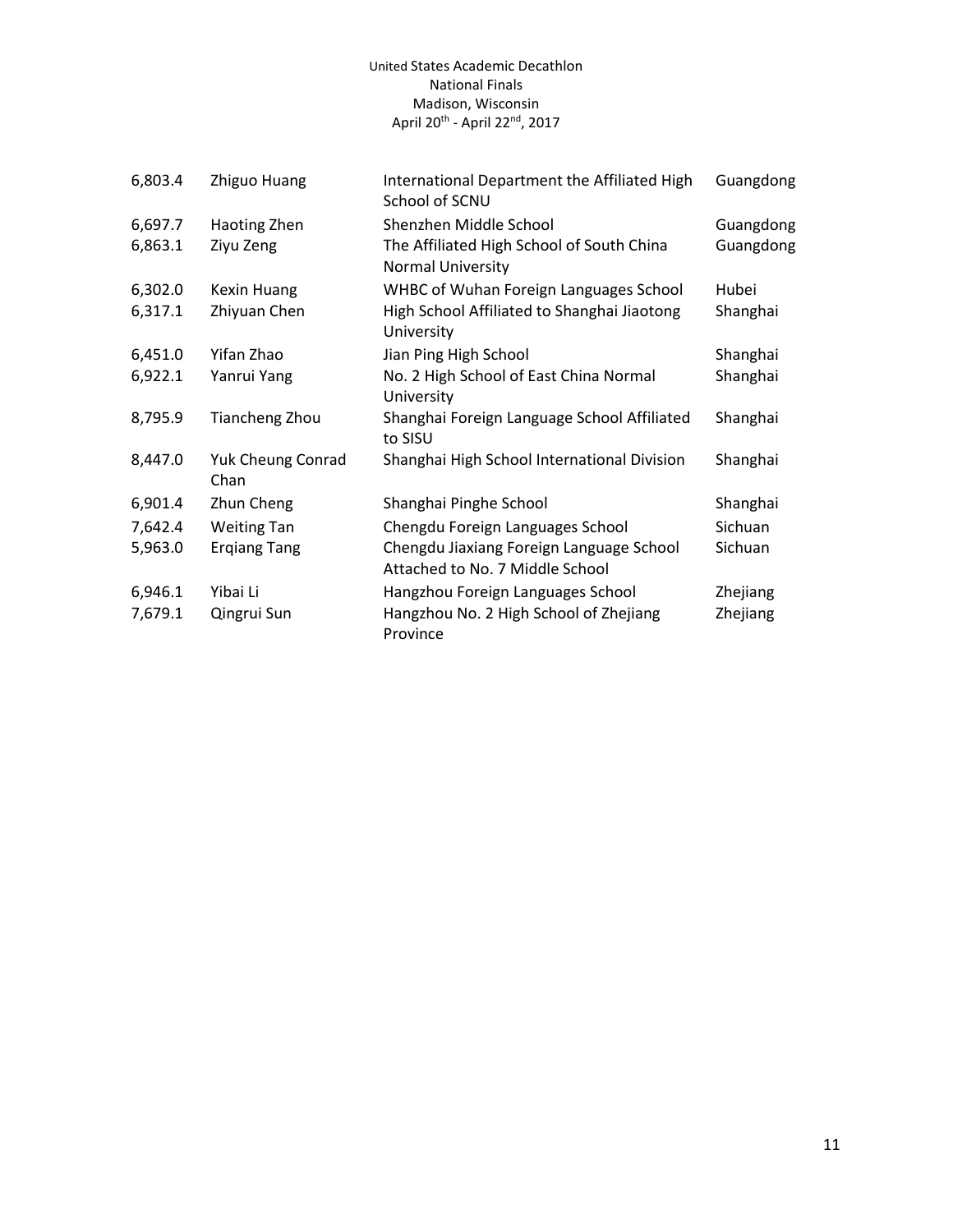| 6,803.4 | Zhiguo Huang                     | International Department the Affiliated High<br>School of SCNU              | Guangdong |
|---------|----------------------------------|-----------------------------------------------------------------------------|-----------|
| 6,697.7 | Haoting Zhen                     | Shenzhen Middle School                                                      | Guangdong |
| 6,863.1 | Ziyu Zeng                        | The Affiliated High School of South China<br>Normal University              | Guangdong |
| 6,302.0 | <b>Kexin Huang</b>               | WHBC of Wuhan Foreign Languages School                                      | Hubei     |
| 6,317.1 | Zhiyuan Chen                     | High School Affiliated to Shanghai Jiaotong<br>University                   | Shanghai  |
| 6,451.0 | Yifan Zhao                       | Jian Ping High School                                                       | Shanghai  |
| 6,922.1 | Yanrui Yang                      | No. 2 High School of East China Normal<br>University                        | Shanghai  |
| 8,795.9 | <b>Tiancheng Zhou</b>            | Shanghai Foreign Language School Affiliated<br>to SISU                      | Shanghai  |
| 8,447.0 | <b>Yuk Cheung Conrad</b><br>Chan | Shanghai High School International Division                                 | Shanghai  |
| 6,901.4 | Zhun Cheng                       | Shanghai Pinghe School                                                      | Shanghai  |
| 7,642.4 | <b>Weiting Tan</b>               | Chengdu Foreign Languages School                                            | Sichuan   |
| 5,963.0 | <b>Ergiang Tang</b>              | Chengdu Jiaxiang Foreign Language School<br>Attached to No. 7 Middle School | Sichuan   |
| 6,946.1 | Yibai Li                         | Hangzhou Foreign Languages School                                           | Zhejiang  |
| 7,679.1 | Qingrui Sun                      | Hangzhou No. 2 High School of Zhejiang<br>Province                          | Zhejiang  |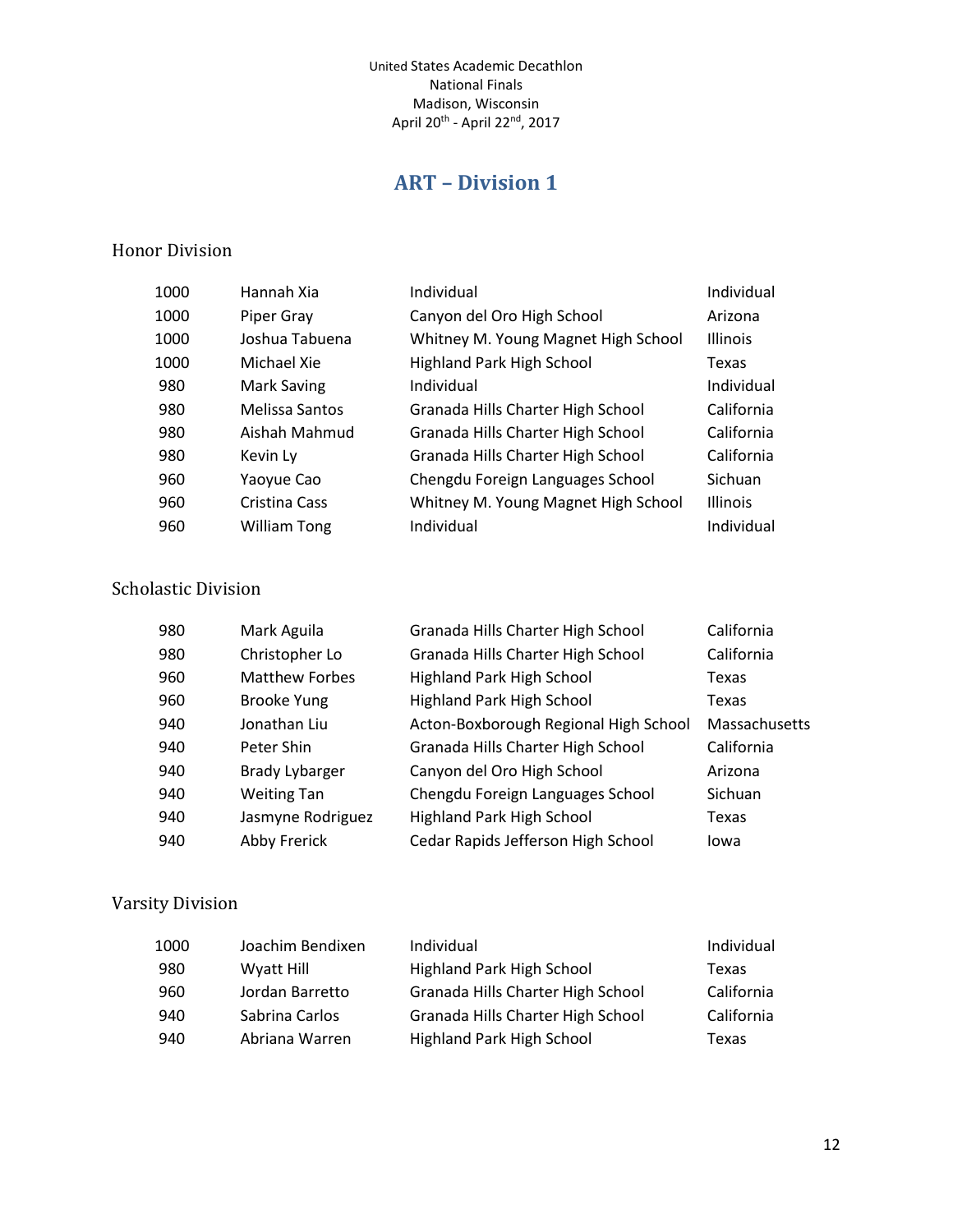# **ART – Division 1**

#### <span id="page-11-0"></span>Honor Division

| Hannah Xia            | Individual                          | Individual      |
|-----------------------|-------------------------------------|-----------------|
| Piper Gray            | Canyon del Oro High School          | Arizona         |
| Joshua Tabuena        | Whitney M. Young Magnet High School | <b>Illinois</b> |
| Michael Xie           | <b>Highland Park High School</b>    | Texas           |
| Mark Saving           | Individual                          | Individual      |
| <b>Melissa Santos</b> | Granada Hills Charter High School   | California      |
| Aishah Mahmud         | Granada Hills Charter High School   | California      |
| Kevin Ly              | Granada Hills Charter High School   | California      |
| Yaoyue Cao            | Chengdu Foreign Languages School    | Sichuan         |
| Cristina Cass         | Whitney M. Young Magnet High School | <b>Illinois</b> |
| William Tong          | Individual                          | Individual      |
|                       |                                     |                 |

#### Scholastic Division

| 980 | Mark Aguila           | Granada Hills Charter High School     | California    |
|-----|-----------------------|---------------------------------------|---------------|
| 980 | Christopher Lo        | Granada Hills Charter High School     | California    |
| 960 | <b>Matthew Forbes</b> | Highland Park High School             | Texas         |
| 960 | <b>Brooke Yung</b>    | <b>Highland Park High School</b>      | Texas         |
| 940 | Jonathan Liu          | Acton-Boxborough Regional High School | Massachusetts |
| 940 | Peter Shin            | Granada Hills Charter High School     | California    |
| 940 | <b>Brady Lybarger</b> | Canyon del Oro High School            | Arizona       |
| 940 | <b>Weiting Tan</b>    | Chengdu Foreign Languages School      | Sichuan       |
| 940 | Jasmyne Rodriguez     | <b>Highland Park High School</b>      | Texas         |
| 940 | Abby Frerick          | Cedar Rapids Jefferson High School    | Iowa          |

| 1000 | Joachim Bendixen | Individual                        | Individual |
|------|------------------|-----------------------------------|------------|
| 980  | Wyatt Hill       | Highland Park High School         | Texas      |
| 960  | Jordan Barretto  | Granada Hills Charter High School | California |
| 940  | Sabrina Carlos   | Granada Hills Charter High School | California |
| 940  | Abriana Warren   | Highland Park High School         | Texas      |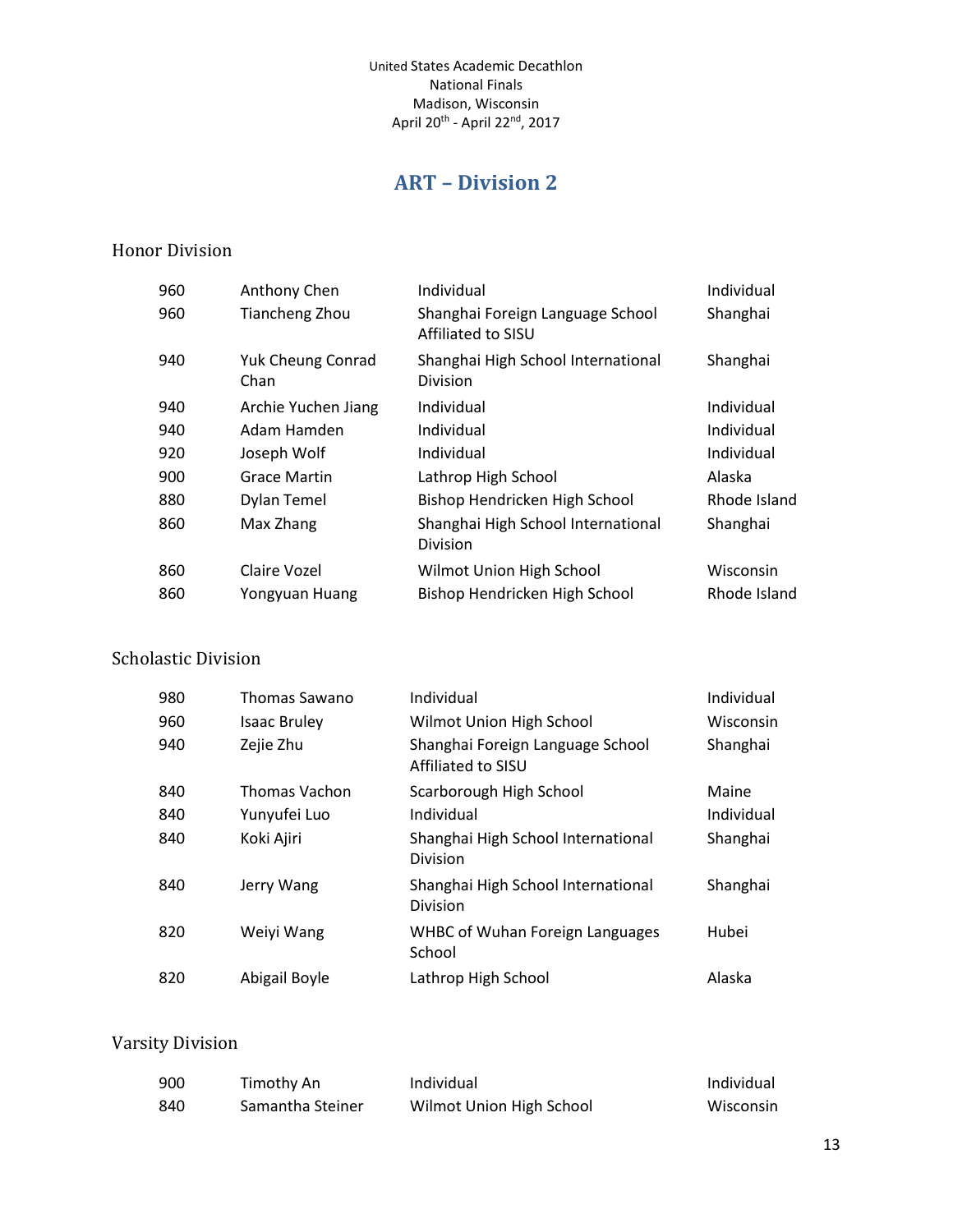# **ART – Division 2**

#### <span id="page-12-0"></span>Honor Division

| 960 | Anthony Chen                     | Individual                                             | Individual   |
|-----|----------------------------------|--------------------------------------------------------|--------------|
| 960 | <b>Tiancheng Zhou</b>            | Shanghai Foreign Language School<br>Affiliated to SISU | Shanghai     |
| 940 | <b>Yuk Cheung Conrad</b><br>Chan | Shanghai High School International<br>Division         | Shanghai     |
| 940 | Archie Yuchen Jiang              | Individual                                             | Individual   |
| 940 | Adam Hamden                      | Individual                                             | Individual   |
| 920 | Joseph Wolf                      | Individual                                             | Individual   |
| 900 | Grace Martin                     | Lathrop High School                                    | Alaska       |
| 880 | <b>Dylan Temel</b>               | Bishop Hendricken High School                          | Rhode Island |
| 860 | Max Zhang                        | Shanghai High School International<br>Division         | Shanghai     |
| 860 | Claire Vozel                     | Wilmot Union High School                               | Wisconsin    |
| 860 | Yongyuan Huang                   | Bishop Hendricken High School                          | Rhode Island |
|     |                                  |                                                        |              |

#### Scholastic Division

| 980 | Thomas Sawano       | Individual                                             | Individual |
|-----|---------------------|--------------------------------------------------------|------------|
| 960 | <b>Isaac Bruley</b> | Wilmot Union High School                               | Wisconsin  |
| 940 | Zejie Zhu           | Shanghai Foreign Language School<br>Affiliated to SISU | Shanghai   |
| 840 | Thomas Vachon       | Scarborough High School                                | Maine      |
| 840 | Yunyufei Luo        | Individual                                             | Individual |
| 840 | Koki Ajiri          | Shanghai High School International<br>Division         | Shanghai   |
| 840 | Jerry Wang          | Shanghai High School International<br><b>Division</b>  | Shanghai   |
| 820 | Weiyi Wang          | <b>WHBC of Wuhan Foreign Languages</b><br>School       | Hubei      |
| 820 | Abigail Boyle       | Lathrop High School                                    | Alaska     |

| 900  | Timothy An       | Individual               | Individual |
|------|------------------|--------------------------|------------|
| -840 | Samantha Steiner | Wilmot Union High School | Wisconsin  |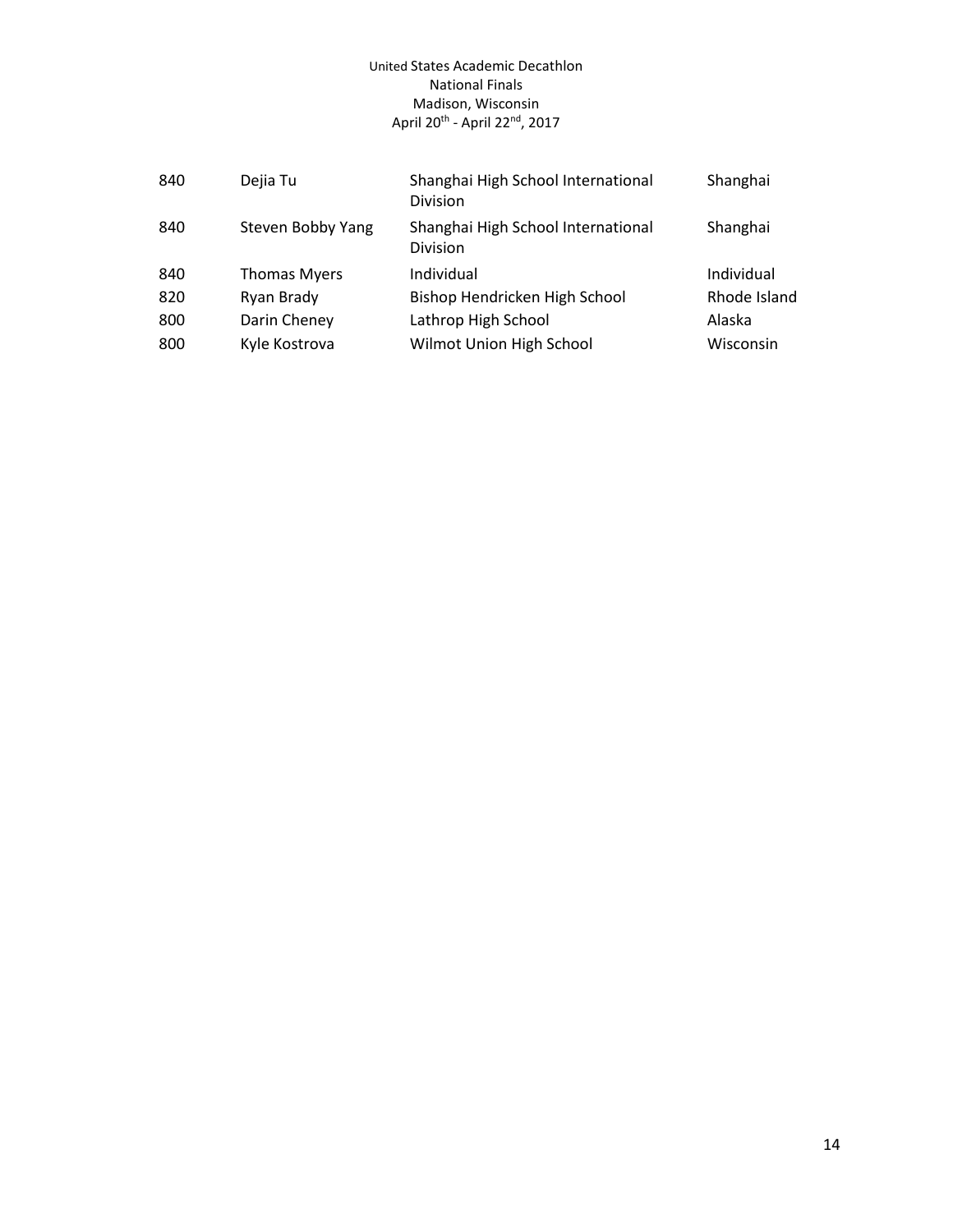| 840 | Dejia Tu            | Shanghai High School International<br><b>Division</b> | Shanghai     |
|-----|---------------------|-------------------------------------------------------|--------------|
| 840 | Steven Bobby Yang   | Shanghai High School International<br>Division        | Shanghai     |
| 840 | <b>Thomas Myers</b> | Individual                                            | Individual   |
| 820 | Ryan Brady          | Bishop Hendricken High School                         | Rhode Island |
| 800 | Darin Cheney        | Lathrop High School                                   | Alaska       |
| 800 | Kyle Kostrova       | Wilmot Union High School                              | Wisconsin    |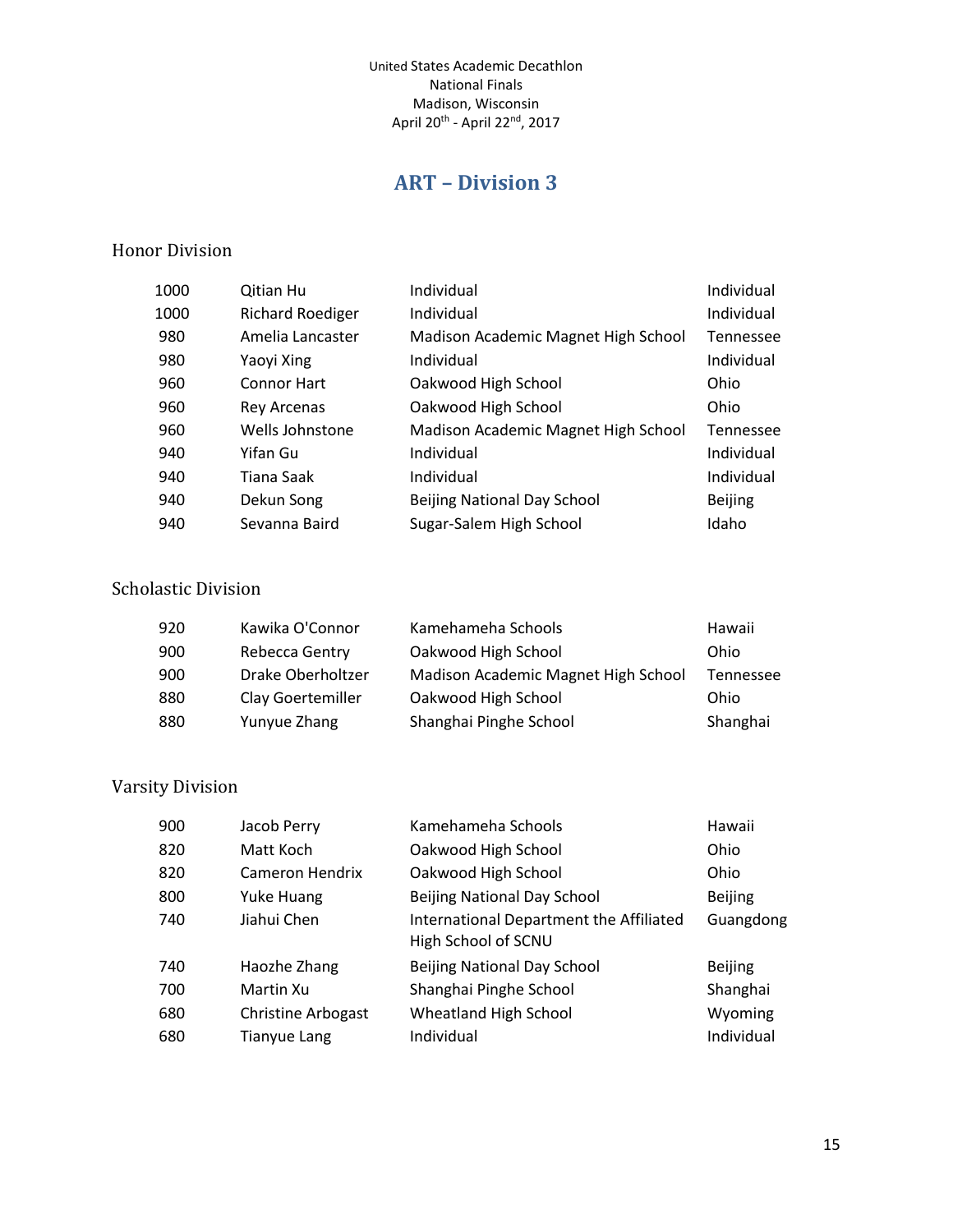# **ART – Division 3**

#### <span id="page-14-0"></span>Honor Division

| 1000 | Qitian Hu               | Individual                          | Individual       |
|------|-------------------------|-------------------------------------|------------------|
| 1000 | <b>Richard Roediger</b> | Individual                          | Individual       |
| 980  | Amelia Lancaster        | Madison Academic Magnet High School | <b>Tennessee</b> |
| 980  | Yaoyi Xing              | Individual                          | Individual       |
| 960  | Connor Hart             | Oakwood High School                 | Ohio             |
| 960  | Rey Arcenas             | Oakwood High School                 | Ohio             |
| 960  | Wells Johnstone         | Madison Academic Magnet High School | Tennessee        |
| 940  | Yifan Gu                | Individual                          | Individual       |
| 940  | Tiana Saak              | Individual                          | Individual       |
| 940  | Dekun Song              | <b>Beijing National Day School</b>  | <b>Beijing</b>   |
| 940  | Sevanna Baird           | Sugar-Salem High School             | Idaho            |

#### Scholastic Division

| 920 | Kawika O'Connor          | Kamehameha Schools                  | Hawaii    |
|-----|--------------------------|-------------------------------------|-----------|
| 900 | Rebecca Gentry           | Oakwood High School                 | Ohio      |
| 900 | Drake Oberholtzer        | Madison Academic Magnet High School | Tennessee |
| 880 | <b>Clay Goertemiller</b> | Oakwood High School                 | Ohio      |
| 880 | Yunyue Zhang             | Shanghai Pinghe School              | Shanghai  |

| 900 | Jacob Perry               | Kamehameha Schools                                             | Hawaii         |
|-----|---------------------------|----------------------------------------------------------------|----------------|
| 820 | Matt Koch                 | Oakwood High School                                            | Ohio           |
| 820 | Cameron Hendrix           | Oakwood High School                                            | Ohio           |
| 800 | Yuke Huang                | <b>Beijing National Day School</b>                             | <b>Beijing</b> |
| 740 | Jiahui Chen               | International Department the Affiliated<br>High School of SCNU | Guangdong      |
| 740 | Haozhe Zhang              | <b>Beijing National Day School</b>                             | <b>Beijing</b> |
| 700 | Martin Xu                 | Shanghai Pinghe School                                         | Shanghai       |
| 680 | <b>Christine Arbogast</b> | Wheatland High School                                          | Wyoming        |
| 680 | Tianyue Lang              | Individual                                                     | Individual     |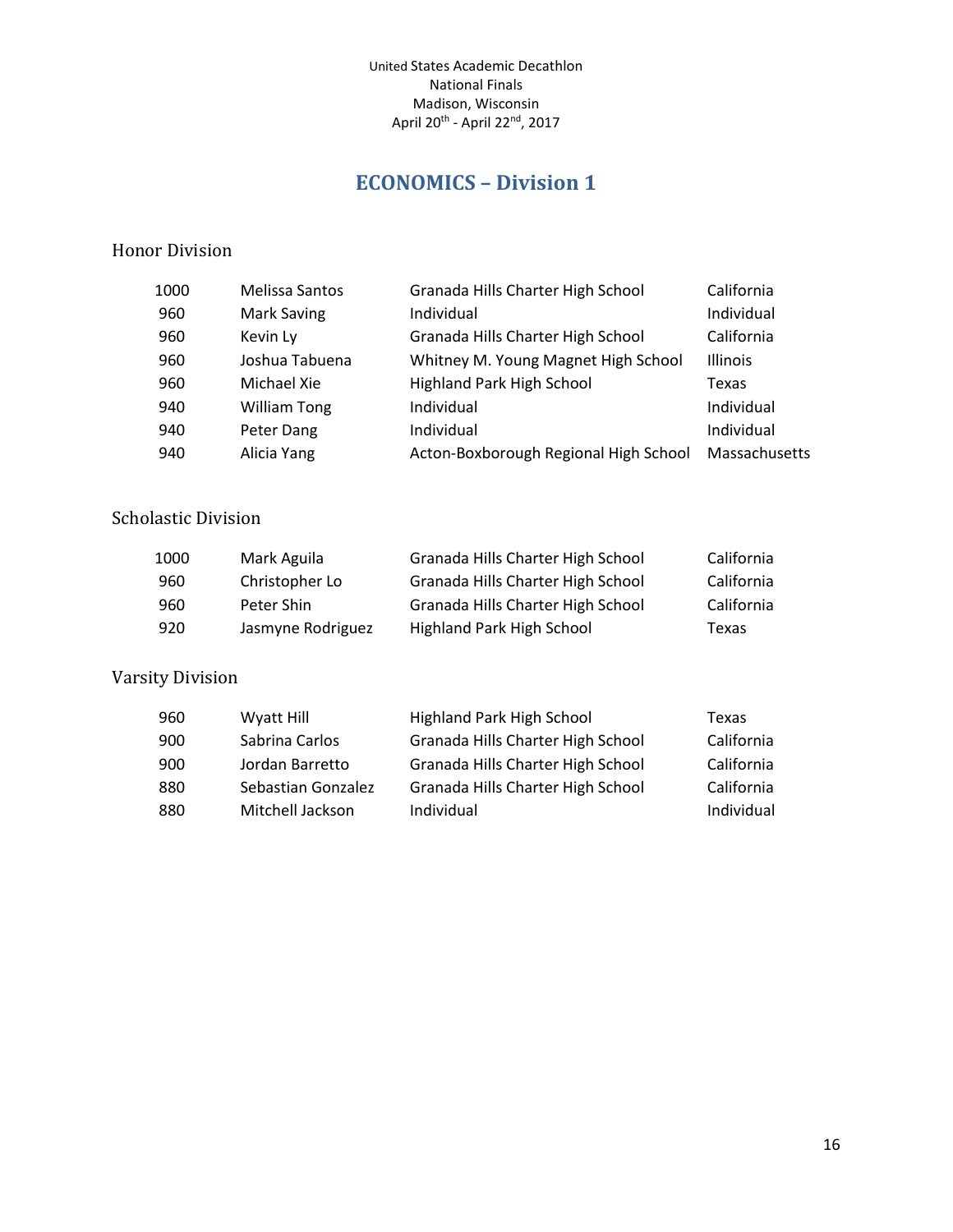## **ECONOMICS – Division 1**

#### <span id="page-15-0"></span>Honor Division

| 1000 | <b>Melissa Santos</b> | Granada Hills Charter High School     | California      |
|------|-----------------------|---------------------------------------|-----------------|
| 960  | Mark Saving           | Individual                            | Individual      |
| 960  | Kevin Ly              | Granada Hills Charter High School     | California      |
| 960  | Joshua Tabuena        | Whitney M. Young Magnet High School   | <b>Illinois</b> |
| 960  | Michael Xie           | <b>Highland Park High School</b>      | Texas           |
| 940  | <b>William Tong</b>   | Individual                            | Individual      |
| 940  | Peter Dang            | Individual                            | Individual      |
| 940  | Alicia Yang           | Acton-Boxborough Regional High School | Massachusetts   |

#### Scholastic Division

| 1000 | Mark Aguila       | Granada Hills Charter High School | California |
|------|-------------------|-----------------------------------|------------|
| 960  | Christopher Lo    | Granada Hills Charter High School | California |
| 960  | Peter Shin        | Granada Hills Charter High School | California |
| 920  | Jasmyne Rodriguez | Highland Park High School         | Texas      |

| 960 | Wyatt Hill         | Highland Park High School         | Texas      |
|-----|--------------------|-----------------------------------|------------|
| 900 | Sabrina Carlos     | Granada Hills Charter High School | California |
| 900 | Jordan Barretto    | Granada Hills Charter High School | California |
| 880 | Sebastian Gonzalez | Granada Hills Charter High School | California |
| 880 | Mitchell Jackson   | Individual                        | Individual |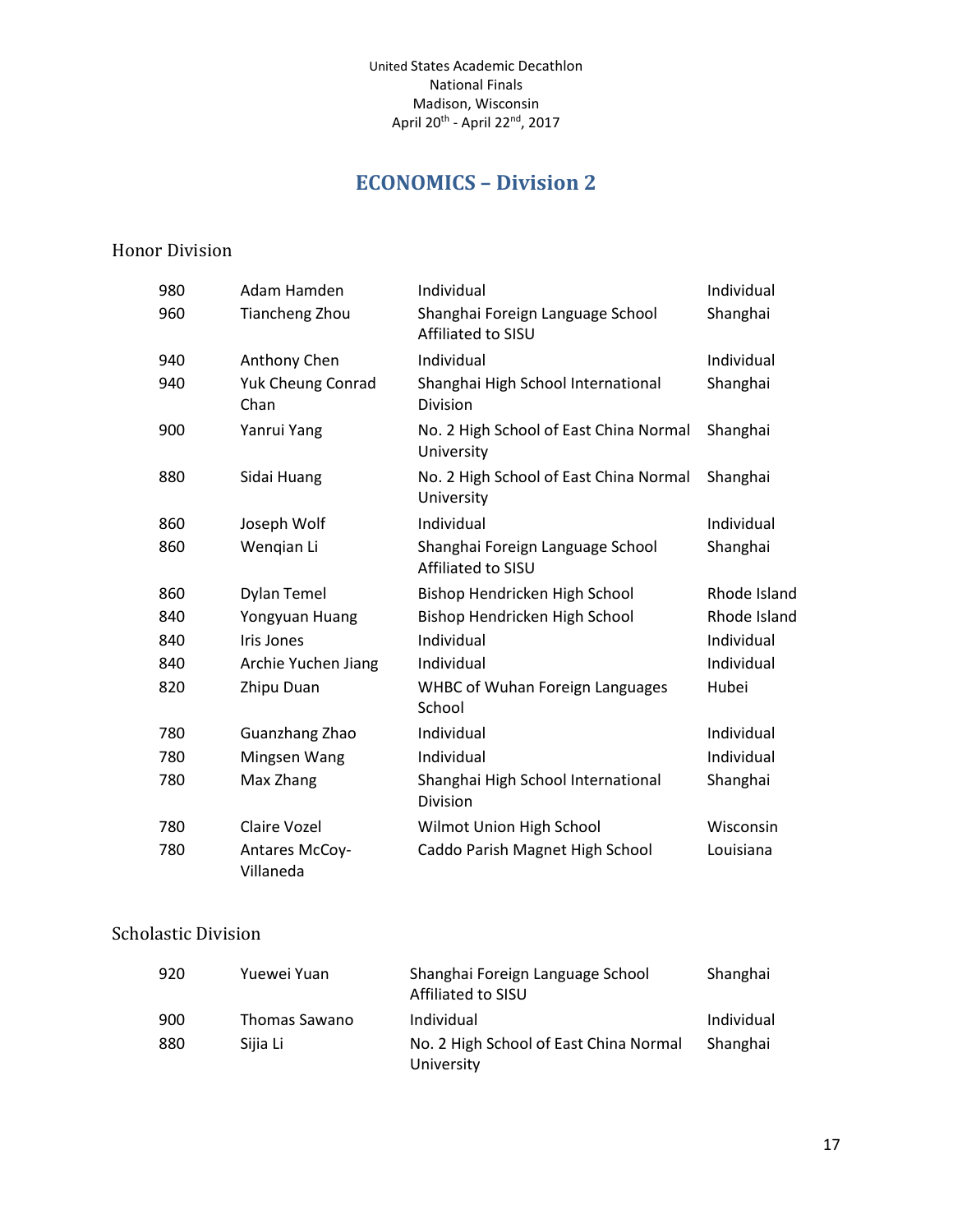# **ECONOMICS – Division 2**

#### <span id="page-16-0"></span>Honor Division

| 980 | Adam Hamden                      | Individual                                             | Individual   |
|-----|----------------------------------|--------------------------------------------------------|--------------|
| 960 | <b>Tiancheng Zhou</b>            | Shanghai Foreign Language School<br>Affiliated to SISU | Shanghai     |
| 940 | Anthony Chen                     | Individual                                             | Individual   |
| 940 | <b>Yuk Cheung Conrad</b><br>Chan | Shanghai High School International<br><b>Division</b>  | Shanghai     |
| 900 | Yanrui Yang                      | No. 2 High School of East China Normal<br>University   | Shanghai     |
| 880 | Sidai Huang                      | No. 2 High School of East China Normal<br>University   | Shanghai     |
| 860 | Joseph Wolf                      | Individual                                             | Individual   |
| 860 | Wengian Li                       | Shanghai Foreign Language School<br>Affiliated to SISU | Shanghai     |
| 860 | Dylan Temel                      | Bishop Hendricken High School                          | Rhode Island |
| 840 | Yongyuan Huang                   | Bishop Hendricken High School                          | Rhode Island |
| 840 | <b>Iris Jones</b>                | Individual                                             | Individual   |
| 840 | Archie Yuchen Jiang              | Individual                                             | Individual   |
| 820 | Zhipu Duan                       | <b>WHBC of Wuhan Foreign Languages</b><br>School       | Hubei        |
| 780 | Guanzhang Zhao                   | Individual                                             | Individual   |
| 780 | Mingsen Wang                     | Individual                                             | Individual   |
| 780 | Max Zhang                        | Shanghai High School International<br>Division         | Shanghai     |
| 780 | Claire Vozel                     | Wilmot Union High School                               | Wisconsin    |
| 780 | Antares McCoy-<br>Villaneda      | Caddo Parish Magnet High School                        | Louisiana    |

#### Scholastic Division

| 920 | Yuewei Yuan   | Shanghai Foreign Language School<br>Affiliated to SISU | Shanghai   |
|-----|---------------|--------------------------------------------------------|------------|
| 900 | Thomas Sawano | Individual                                             | Individual |
| 880 | Siija Li      | No. 2 High School of East China Normal<br>University   | Shanghai   |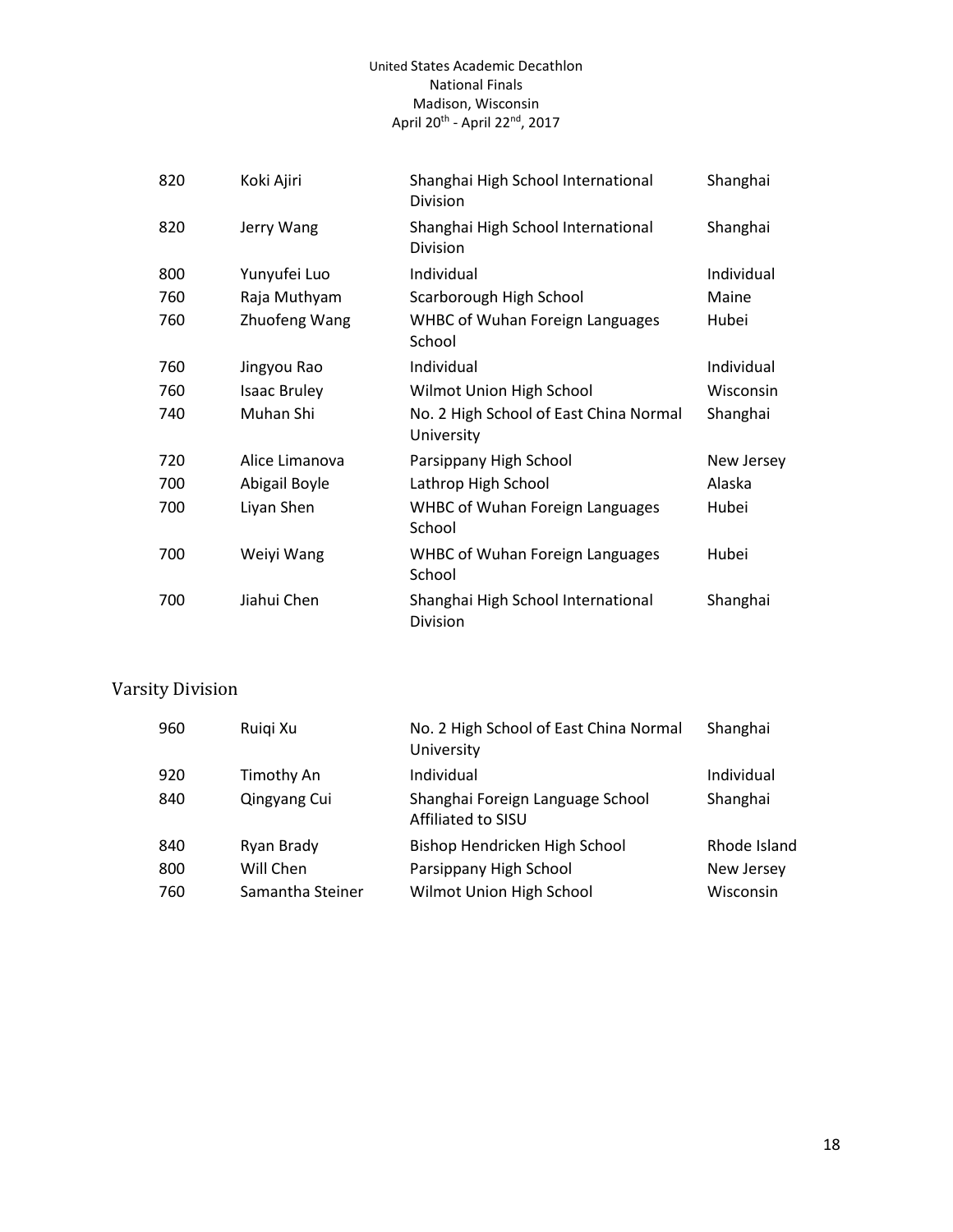| 820 | Koki Ajiri          | Shanghai High School International<br>Division       | Shanghai   |
|-----|---------------------|------------------------------------------------------|------------|
| 820 | Jerry Wang          | Shanghai High School International<br>Division       | Shanghai   |
| 800 | Yunyufei Luo        | Individual                                           | Individual |
| 760 | Raja Muthyam        | Scarborough High School                              | Maine      |
| 760 | Zhuofeng Wang       | <b>WHBC of Wuhan Foreign Languages</b><br>School     | Hubei      |
| 760 | Jingyou Rao         | Individual                                           | Individual |
| 760 | <b>Isaac Bruley</b> | Wilmot Union High School                             | Wisconsin  |
| 740 | Muhan Shi           | No. 2 High School of East China Normal<br>University | Shanghai   |
| 720 | Alice Limanova      | Parsippany High School                               | New Jersey |
| 700 | Abigail Boyle       | Lathrop High School                                  | Alaska     |
| 700 | Liyan Shen          | <b>WHBC of Wuhan Foreign Languages</b><br>School     | Hubei      |
| 700 | Weiyi Wang          | <b>WHBC of Wuhan Foreign Languages</b><br>School     | Hubei      |
| 700 | Jiahui Chen         | Shanghai High School International<br>Division       | Shanghai   |

| 960 | Ruigi Xu         | No. 2 High School of East China Normal<br>University   | Shanghai     |
|-----|------------------|--------------------------------------------------------|--------------|
| 920 | Timothy An       | Individual                                             | Individual   |
| 840 | Qingyang Cui     | Shanghai Foreign Language School<br>Affiliated to SISU | Shanghai     |
| 840 | Ryan Brady       | Bishop Hendricken High School                          | Rhode Island |
| 800 | Will Chen        | Parsippany High School                                 | New Jersey   |
| 760 | Samantha Steiner | Wilmot Union High School                               | Wisconsin    |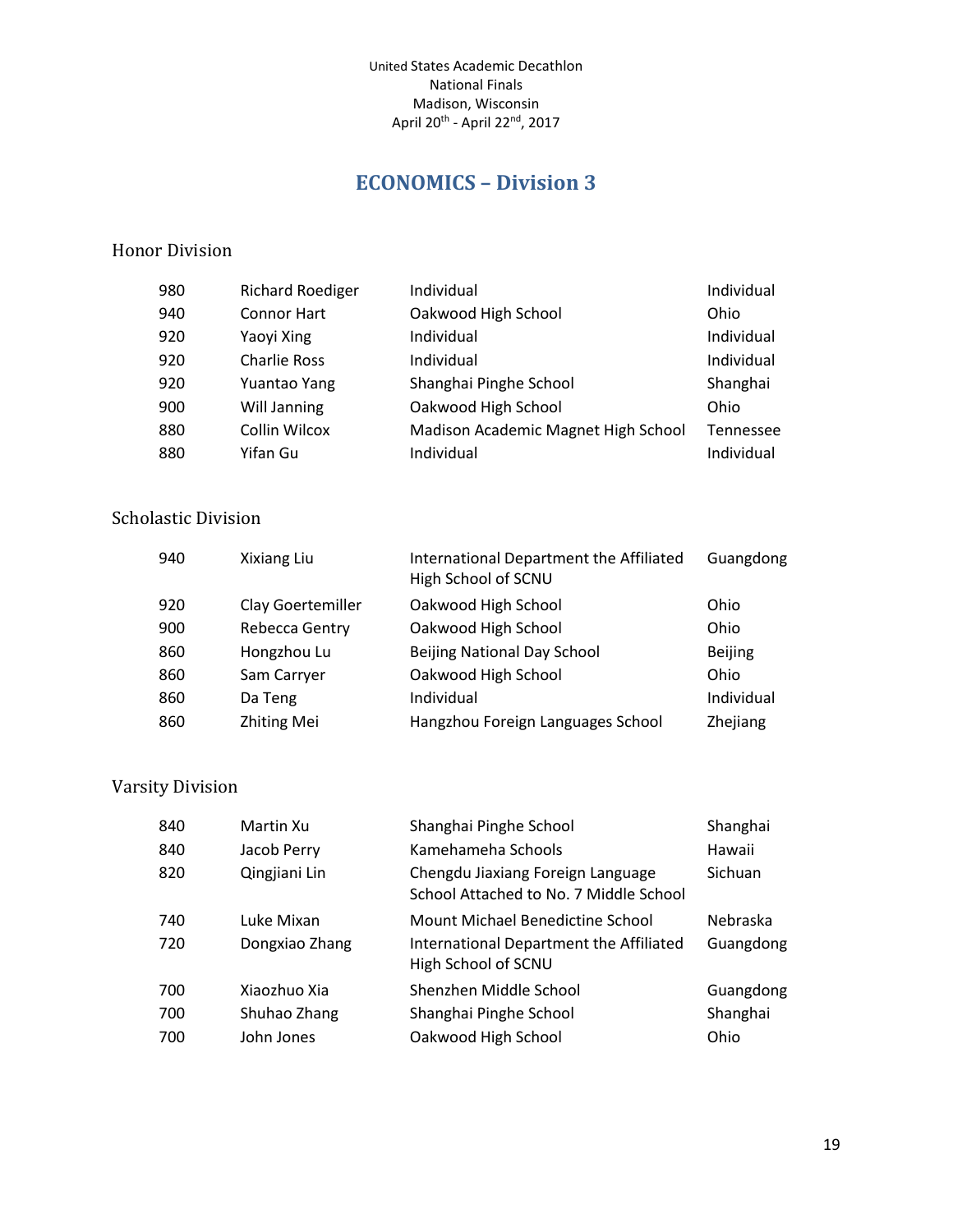# **ECONOMICS – Division 3**

#### <span id="page-18-0"></span>Honor Division

| 980 | <b>Richard Roediger</b> | Individual                          | Individual |
|-----|-------------------------|-------------------------------------|------------|
| 940 | <b>Connor Hart</b>      | Oakwood High School                 | Ohio       |
| 920 | Yaoyi Xing              | Individual                          | Individual |
| 920 | <b>Charlie Ross</b>     | Individual                          | Individual |
| 920 | Yuantao Yang            | Shanghai Pinghe School              | Shanghai   |
| 900 | Will Janning            | Oakwood High School                 | Ohio       |
| 880 | Collin Wilcox           | Madison Academic Magnet High School | Tennessee  |
| 880 | Yifan Gu                | Individual                          | Individual |

## Scholastic Division

| 940 | Xixiang Liu        | International Department the Affiliated<br>High School of SCNU | Guangdong      |
|-----|--------------------|----------------------------------------------------------------|----------------|
| 920 | Clay Goertemiller  | Oakwood High School                                            | Ohio           |
| 900 | Rebecca Gentry     | Oakwood High School                                            | Ohio           |
| 860 | Hongzhou Lu        | <b>Beijing National Day School</b>                             | <b>Beijing</b> |
| 860 | Sam Carryer        | Oakwood High School                                            | Ohio           |
| 860 | Da Teng            | Individual                                                     | Individual     |
| 860 | <b>Zhiting Mei</b> | Hangzhou Foreign Languages School                              | Zhejiang       |

| 840 | Martin Xu      | Shanghai Pinghe School                                                      | Shanghai       |
|-----|----------------|-----------------------------------------------------------------------------|----------------|
| 840 | Jacob Perry    | Kamehameha Schools                                                          | Hawaii         |
| 820 | Qingjiani Lin  | Chengdu Jiaxiang Foreign Language<br>School Attached to No. 7 Middle School | <b>Sichuan</b> |
| 740 | Luke Mixan     | Mount Michael Benedictine School                                            | Nebraska       |
| 720 | Dongxiao Zhang | International Department the Affiliated<br>High School of SCNU              | Guangdong      |
| 700 | Xiaozhuo Xia   | Shenzhen Middle School                                                      | Guangdong      |
| 700 | Shuhao Zhang   | Shanghai Pinghe School                                                      | Shanghai       |
| 700 | John Jones     | Oakwood High School                                                         | Ohio           |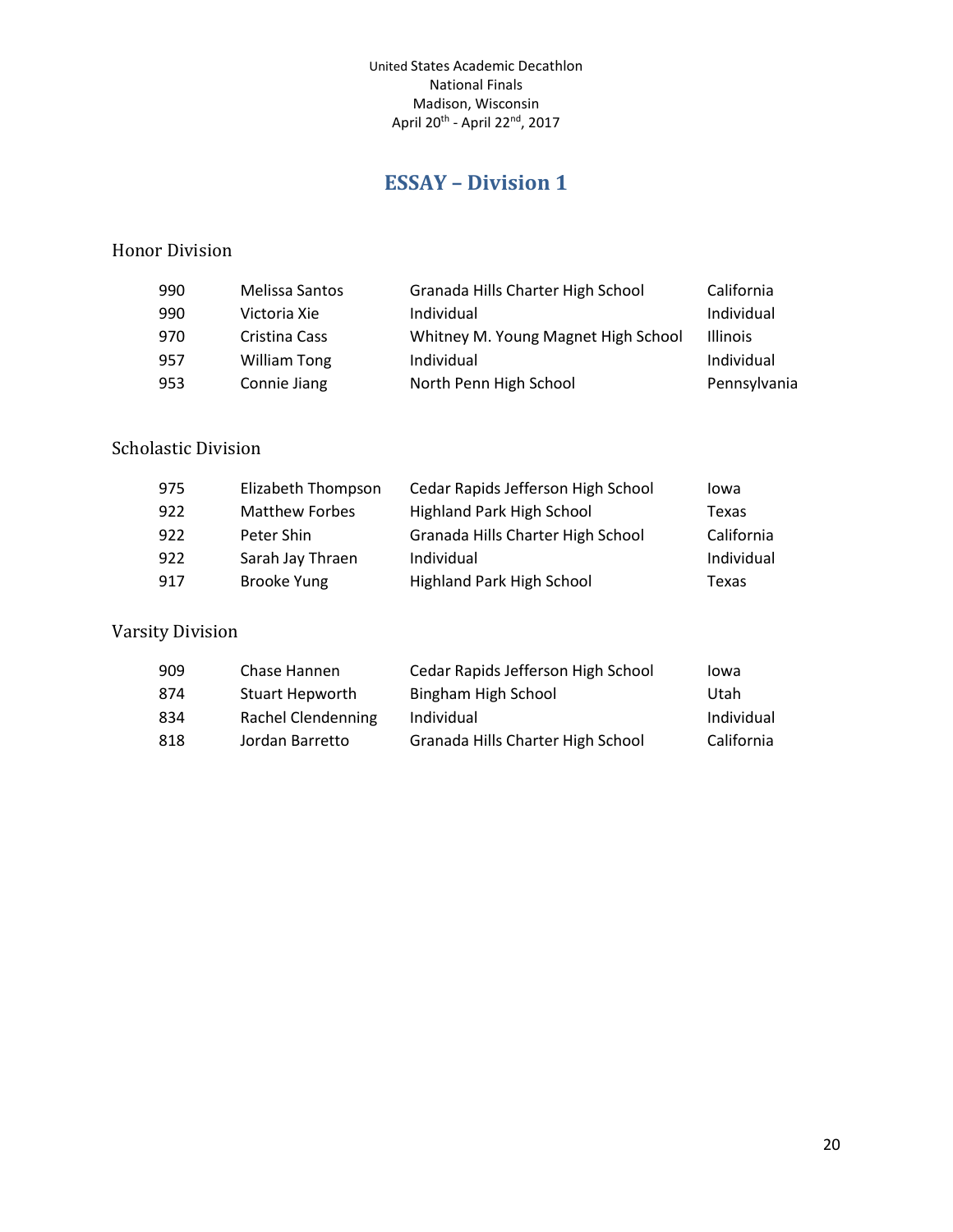# **ESSAY – Division 1**

#### <span id="page-19-0"></span>Honor Division

| 990 | Melissa Santos      | Granada Hills Charter High School   | California      |
|-----|---------------------|-------------------------------------|-----------------|
| 990 | Victoria Xie        | Individual                          | Individual      |
| 970 | Cristina Cass       | Whitney M. Young Magnet High School | <b>Illinois</b> |
| 957 | <b>William Tong</b> | Individual                          | Individual      |
| 953 | Connie Jiang        | North Penn High School              | Pennsylvania    |

## Scholastic Division

| 975 | Elizabeth Thompson    | Cedar Rapids Jefferson High School | lowa       |
|-----|-----------------------|------------------------------------|------------|
| 922 | <b>Matthew Forbes</b> | Highland Park High School          | Texas      |
| 922 | Peter Shin            | Granada Hills Charter High School  | California |
| 922 | Sarah Jay Thraen      | Individual                         | Individual |
| 917 | <b>Brooke Yung</b>    | Highland Park High School          | Texas      |

| 909 | Chase Hannen           | Cedar Rapids Jefferson High School | lowa       |
|-----|------------------------|------------------------------------|------------|
| 874 | <b>Stuart Hepworth</b> | Bingham High School                | Utah       |
| 834 | Rachel Clendenning     | Individual                         | Individual |
| 818 | Jordan Barretto        | Granada Hills Charter High School  | California |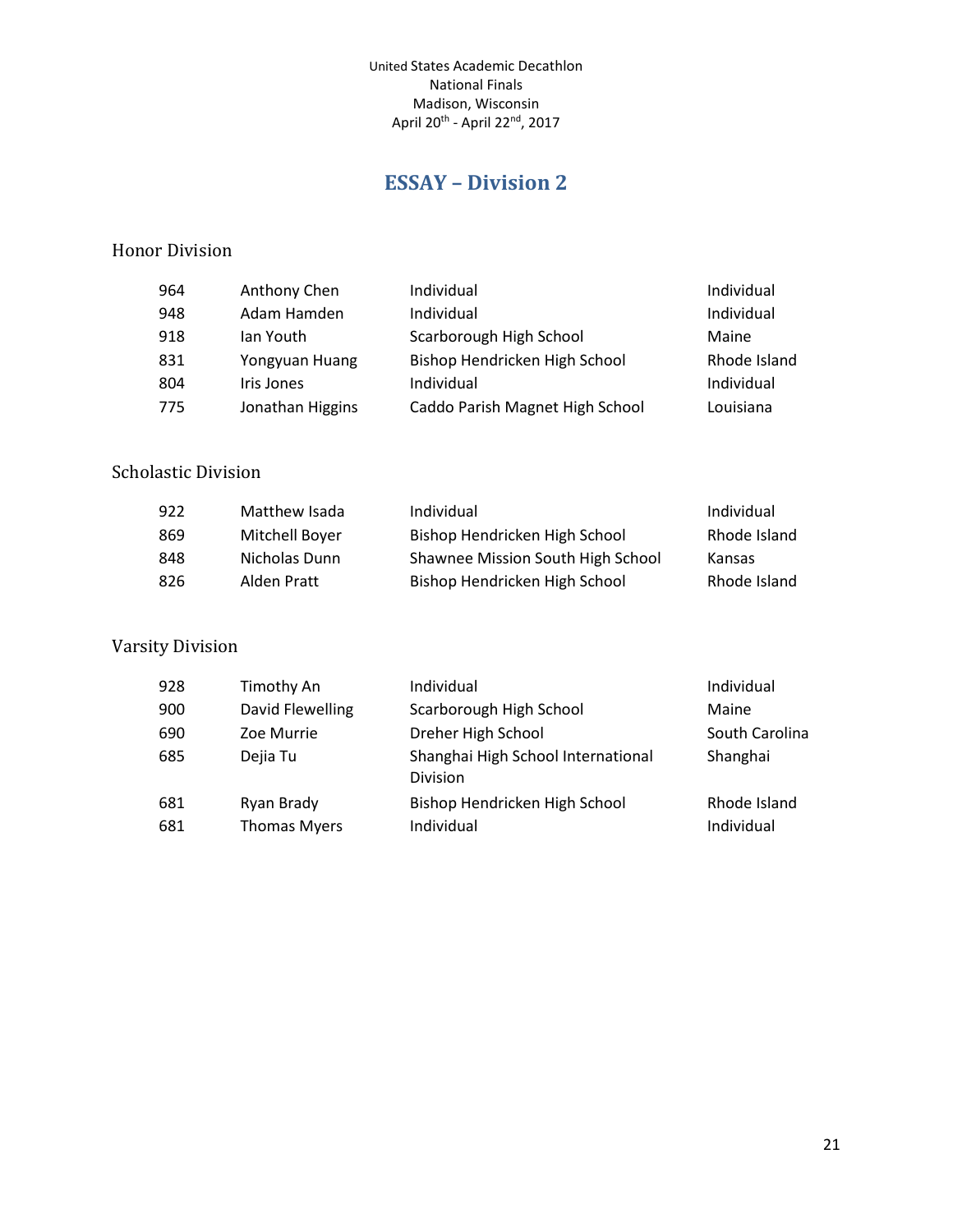## **ESSAY – Division 2**

#### <span id="page-20-0"></span>Honor Division

| Anthony Chen     | Individual                      | Individual   |
|------------------|---------------------------------|--------------|
| Adam Hamden      | Individual                      | Individual   |
| lan Youth        | Scarborough High School         | Maine        |
| Yongyuan Huang   | Bishop Hendricken High School   | Rhode Island |
| Iris Jones       | Individual                      | Individual   |
| Jonathan Higgins | Caddo Parish Magnet High School | Louisiana    |
|                  |                                 |              |

#### Scholastic Division

| 922 | Matthew Isada  | Individual                        | Individual   |
|-----|----------------|-----------------------------------|--------------|
| 869 | Mitchell Boyer | Bishop Hendricken High School     | Rhode Island |
| 848 | Nicholas Dunn  | Shawnee Mission South High School | Kansas       |
| 826 | Alden Pratt    | Bishop Hendricken High School     | Rhode Island |

| 928 | Timothy An          | Individual                                     | Individual     |
|-----|---------------------|------------------------------------------------|----------------|
| 900 | David Flewelling    | Scarborough High School                        | Maine          |
| 690 | Zoe Murrie          | Dreher High School                             | South Carolina |
| 685 | Dejia Tu            | Shanghai High School International<br>Division | Shanghai       |
| 681 | Ryan Brady          | Bishop Hendricken High School                  | Rhode Island   |
| 681 | <b>Thomas Myers</b> | Individual                                     | Individual     |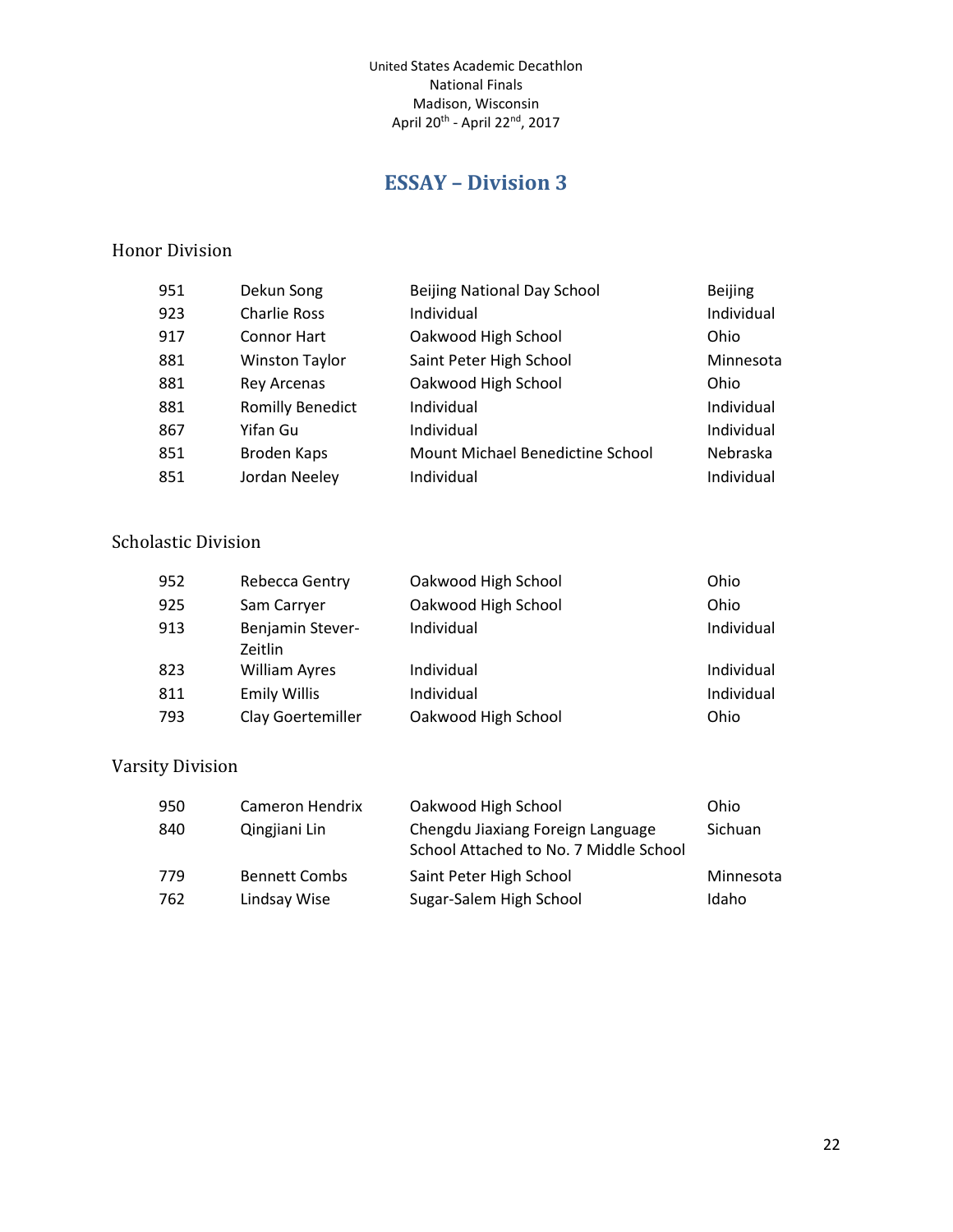# **ESSAY – Division 3**

#### <span id="page-21-0"></span>Honor Division

| 951 | Dekun Song              | <b>Beijing National Day School</b> | <b>Beijing</b> |
|-----|-------------------------|------------------------------------|----------------|
| 923 | <b>Charlie Ross</b>     | Individual                         | Individual     |
| 917 | <b>Connor Hart</b>      | Oakwood High School                | Ohio           |
| 881 | <b>Winston Taylor</b>   | Saint Peter High School            | Minnesota      |
| 881 | <b>Rey Arcenas</b>      | Oakwood High School                | Ohio           |
| 881 | <b>Romilly Benedict</b> | Individual                         | Individual     |
| 867 | Yifan Gu                | Individual                         | Individual     |
| 851 | Broden Kaps             | Mount Michael Benedictine School   | Nebraska       |
| 851 | Jordan Neeley           | Individual                         | Individual     |

## Scholastic Division

| 952 | Rebecca Gentry                     | Oakwood High School | Ohio       |
|-----|------------------------------------|---------------------|------------|
| 925 | Sam Carryer                        | Oakwood High School | Ohio       |
| 913 | Benjamin Stever-<br><b>Zeitlin</b> | Individual          | Individual |
| 823 | <b>William Ayres</b>               | Individual          | Individual |
| 811 | <b>Emily Willis</b>                | Individual          | Individual |
| 793 | Clay Goertemiller                  | Oakwood High School | Ohio       |

| 950 | Cameron Hendrix      | Oakwood High School                                                         | Ohio      |
|-----|----------------------|-----------------------------------------------------------------------------|-----------|
| 840 | Qingjiani Lin        | Chengdu Jiaxiang Foreign Language<br>School Attached to No. 7 Middle School | Sichuan   |
| 779 | <b>Bennett Combs</b> | Saint Peter High School                                                     | Minnesota |
| 762 | Lindsay Wise         | Sugar-Salem High School                                                     | Idaho     |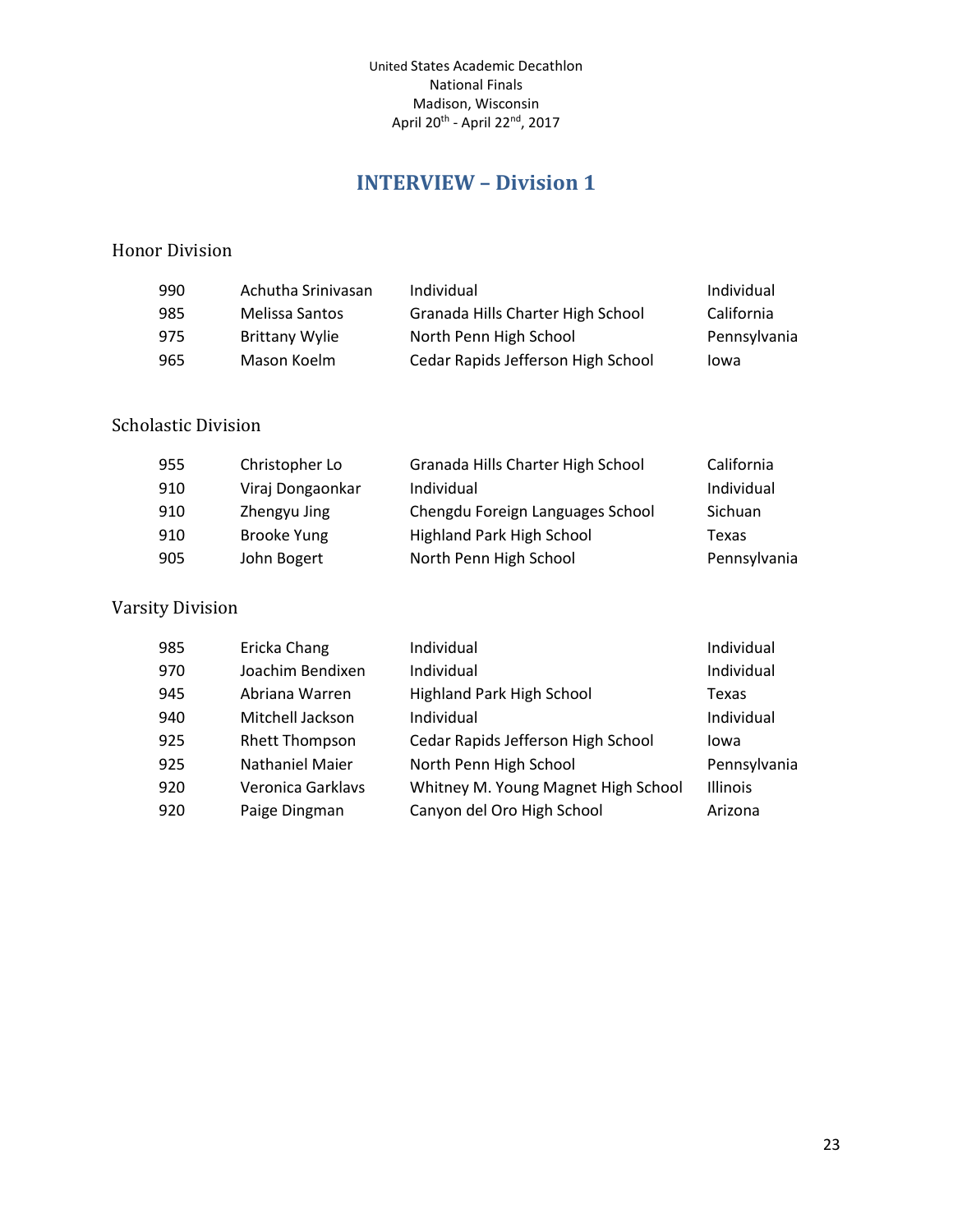## **INTERVIEW – Division 1**

#### <span id="page-22-0"></span>Honor Division

| 990 | Achutha Srinivasan    | Individual                         | Individual   |
|-----|-----------------------|------------------------------------|--------------|
| 985 | Melissa Santos        | Granada Hills Charter High School  | California   |
| 975 | <b>Brittany Wylie</b> | North Penn High School             | Pennsylvania |
| 965 | Mason Koelm           | Cedar Rapids Jefferson High School | lowa         |

#### Scholastic Division

| 955 | Christopher Lo     | Granada Hills Charter High School | California   |
|-----|--------------------|-----------------------------------|--------------|
| 910 | Viraj Dongaonkar   | Individual                        | Individual   |
| 910 | Zhengyu Jing       | Chengdu Foreign Languages School  | Sichuan      |
| 910 | <b>Brooke Yung</b> | Highland Park High School         | Texas        |
| 905 | John Bogert        | North Penn High School            | Pennsylvania |

| 985 | Ericka Chang           | Individual                          | Individual      |
|-----|------------------------|-------------------------------------|-----------------|
| 970 | Joachim Bendixen       | Individual                          | Individual      |
| 945 | Abriana Warren         | <b>Highland Park High School</b>    | Texas           |
| 940 | Mitchell Jackson       | Individual                          | Individual      |
| 925 | <b>Rhett Thompson</b>  | Cedar Rapids Jefferson High School  | Iowa            |
| 925 | <b>Nathaniel Maier</b> | North Penn High School              | Pennsylvania    |
| 920 | Veronica Garklavs      | Whitney M. Young Magnet High School | <b>Illinois</b> |
| 920 | Paige Dingman          | Canyon del Oro High School          | Arizona         |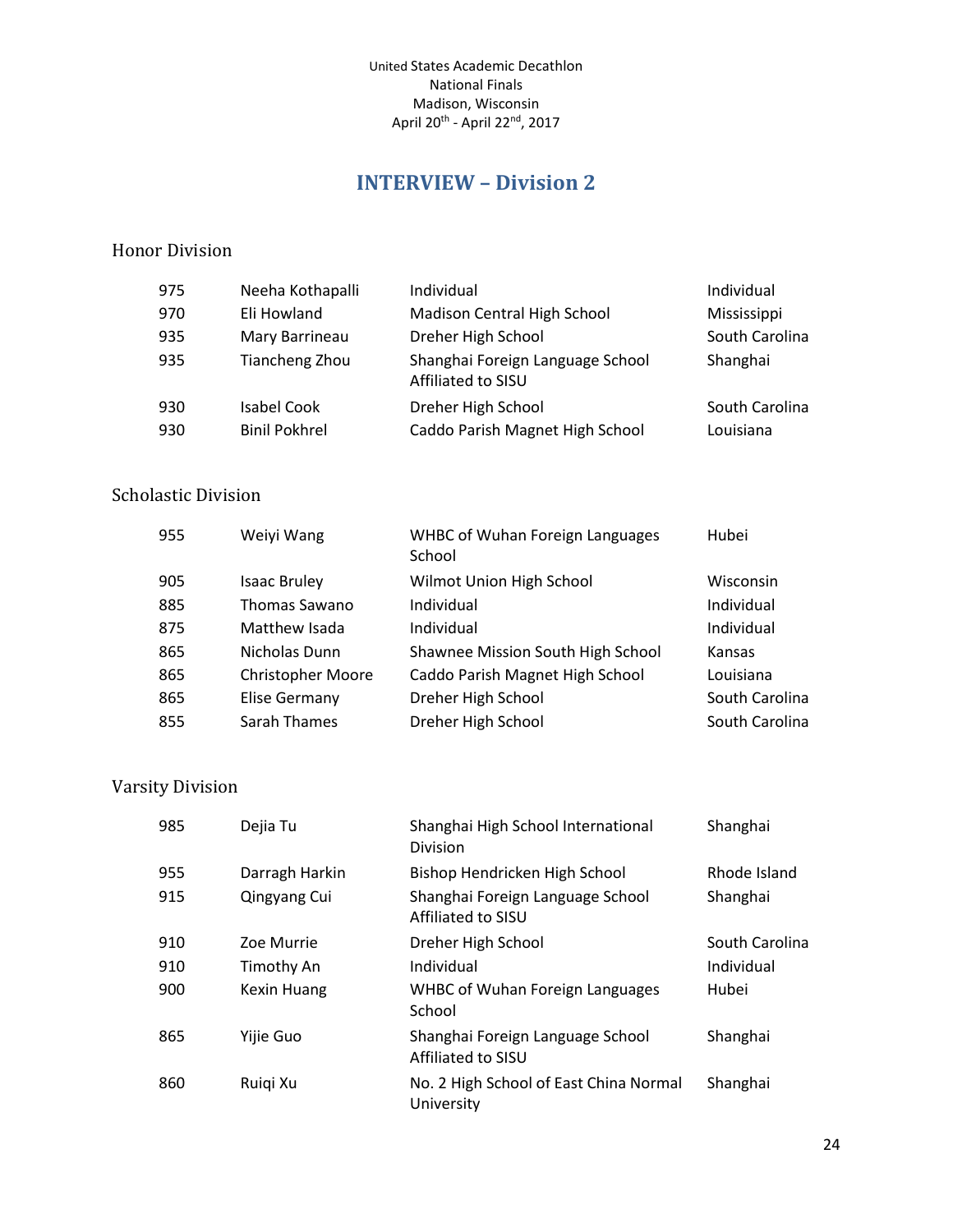## **INTERVIEW – Division 2**

#### <span id="page-23-0"></span>Honor Division

| 975 | Neeha Kothapalli     | Individual                                             | Individual     |
|-----|----------------------|--------------------------------------------------------|----------------|
| 970 | Eli Howland          | Madison Central High School                            | Mississippi    |
| 935 | Mary Barrineau       | Dreher High School                                     | South Carolina |
| 935 | Tiancheng Zhou       | Shanghai Foreign Language School<br>Affiliated to SISU | Shanghai       |
| 930 | Isabel Cook          | Dreher High School                                     | South Carolina |
| 930 | <b>Binil Pokhrel</b> | Caddo Parish Magnet High School                        | Louisiana      |

#### Scholastic Division

| 955 | Weiyi Wang               | <b>WHBC of Wuhan Foreign Languages</b><br>School | Hubei          |
|-----|--------------------------|--------------------------------------------------|----------------|
| 905 | <b>Isaac Bruley</b>      | Wilmot Union High School                         | Wisconsin      |
| 885 | Thomas Sawano            | Individual                                       | Individual     |
| 875 | Matthew Isada            | Individual                                       | Individual     |
| 865 | Nicholas Dunn            | Shawnee Mission South High School                | Kansas         |
| 865 | <b>Christopher Moore</b> | Caddo Parish Magnet High School                  | Louisiana      |
| 865 | <b>Elise Germany</b>     | Dreher High School                               | South Carolina |
| 855 | Sarah Thames             | Dreher High School                               | South Carolina |

| 985 | Dejia Tu           | Shanghai High School International<br><b>Division</b>  | Shanghai       |
|-----|--------------------|--------------------------------------------------------|----------------|
| 955 | Darragh Harkin     | Bishop Hendricken High School                          | Rhode Island   |
| 915 | Qingyang Cui       | Shanghai Foreign Language School<br>Affiliated to SISU | Shanghai       |
| 910 | Zoe Murrie         | Dreher High School                                     | South Carolina |
| 910 | Timothy An         | Individual                                             | Individual     |
| 900 | <b>Kexin Huang</b> | <b>WHBC of Wuhan Foreign Languages</b><br>School       | Hubei          |
| 865 | Yijie Guo          | Shanghai Foreign Language School<br>Affiliated to SISU | Shanghai       |
| 860 | Ruigi Xu           | No. 2 High School of East China Normal<br>University   | Shanghai       |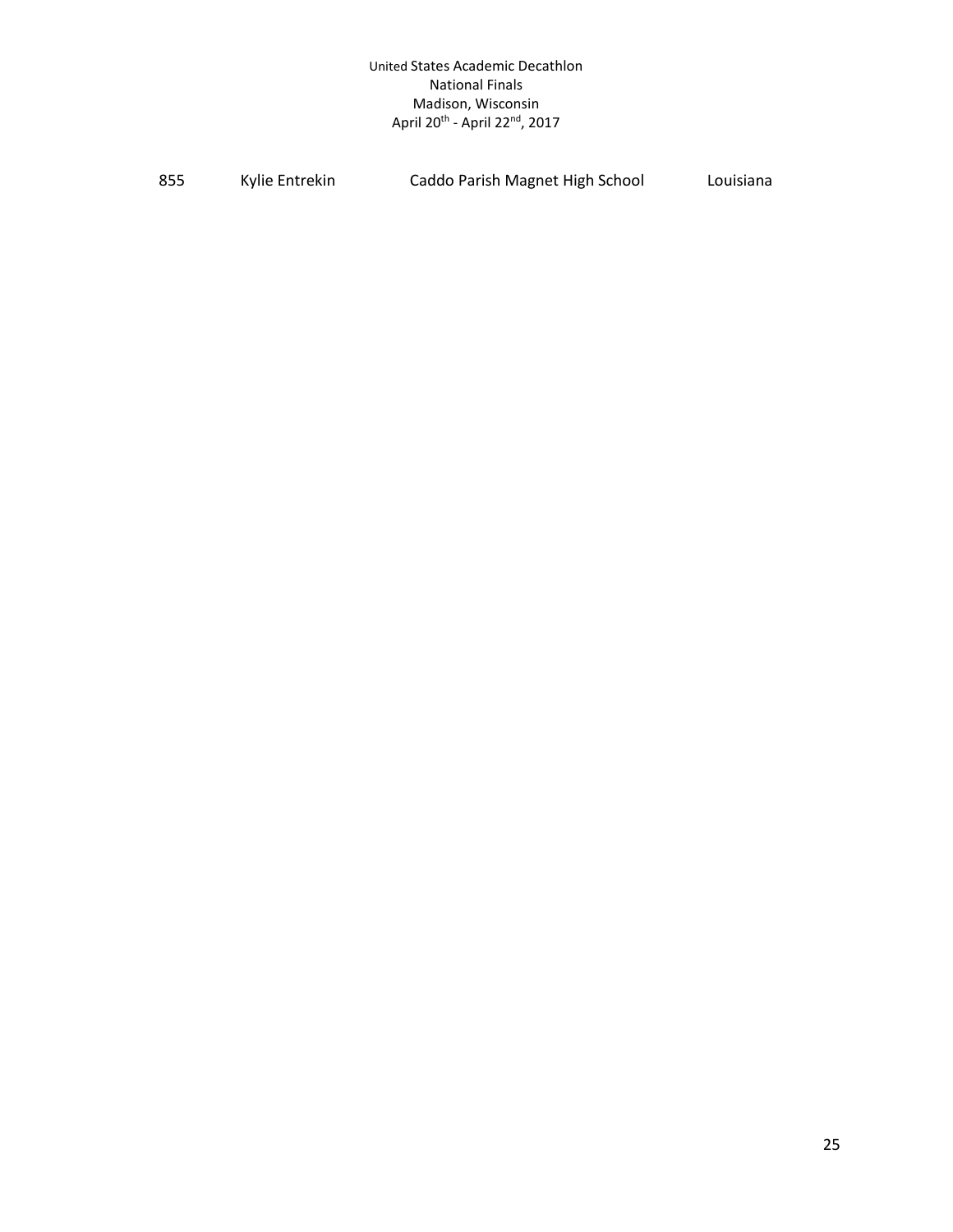| 855 | Kylie Entrekin | Caddo Parish Magnet High School | Louisiana |
|-----|----------------|---------------------------------|-----------|
|-----|----------------|---------------------------------|-----------|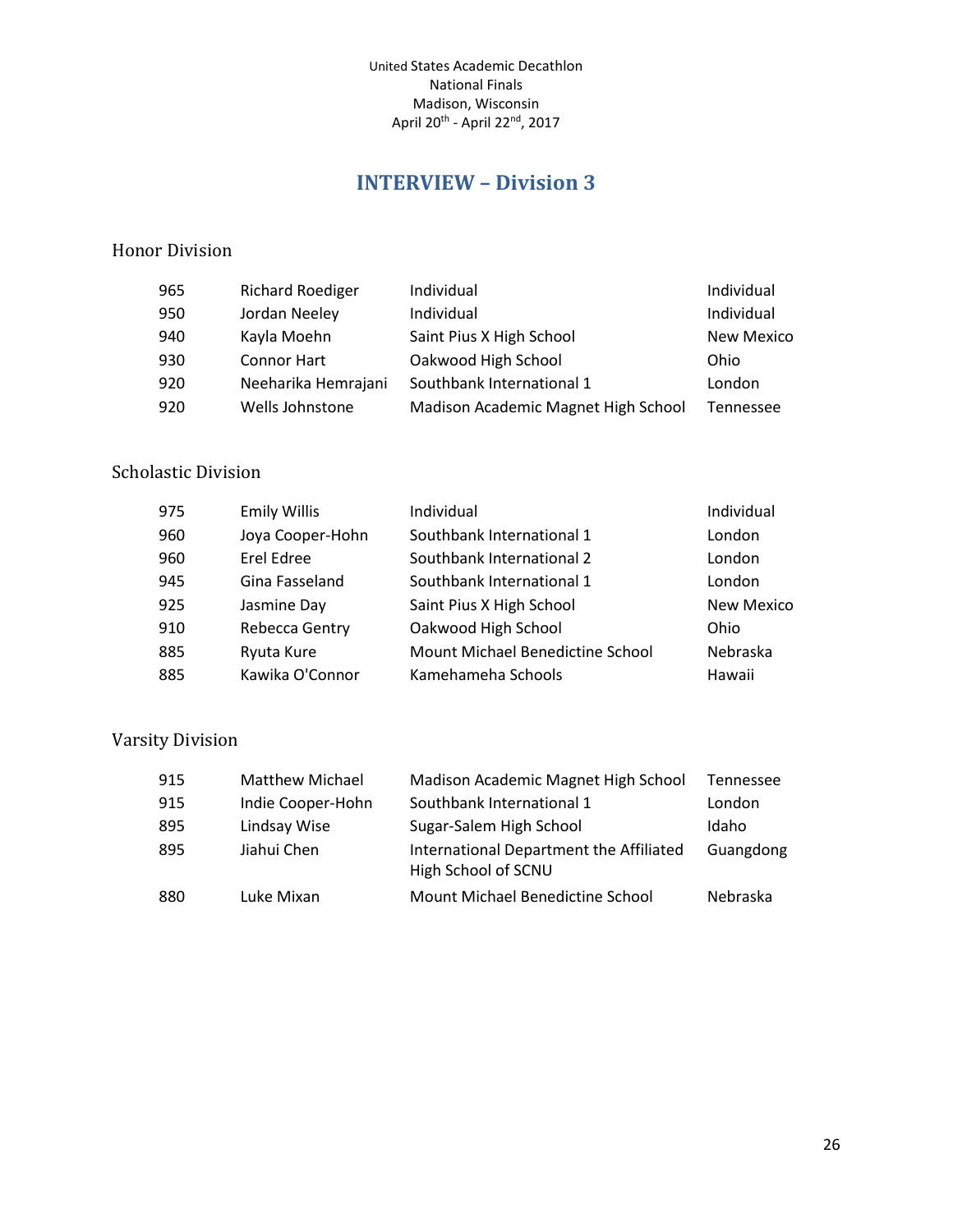## **INTERVIEW – Division 3**

#### <span id="page-25-0"></span>Honor Division

| 965 | <b>Richard Roediger</b> | Individual                          | Individual        |
|-----|-------------------------|-------------------------------------|-------------------|
| 950 | Jordan Neeley           | Individual                          | Individual        |
| 940 | Kayla Moehn             | Saint Pius X High School            | <b>New Mexico</b> |
| 930 | Connor Hart             | Oakwood High School                 | Ohio              |
| 920 | Neeharika Hemrajani     | Southbank International 1           | London            |
| 920 | Wells Johnstone         | Madison Academic Magnet High School | Tennessee         |

#### Scholastic Division

| 975 | <b>Emily Willis</b> | Individual                       | Individual        |
|-----|---------------------|----------------------------------|-------------------|
| 960 | Joya Cooper-Hohn    | Southbank International 1        | London            |
| 960 | Erel Edree          | Southbank International 2        | London            |
| 945 | Gina Fasseland      | Southbank International 1        | London            |
| 925 | Jasmine Day         | Saint Pius X High School         | <b>New Mexico</b> |
| 910 | Rebecca Gentry      | Oakwood High School              | Ohio              |
| 885 | Ryuta Kure          | Mount Michael Benedictine School | Nebraska          |
| 885 | Kawika O'Connor     | Kamehameha Schools               | Hawaii            |

| 915 | Matthew Michael   | Madison Academic Magnet High School                            | Tennessee |
|-----|-------------------|----------------------------------------------------------------|-----------|
| 915 | Indie Cooper-Hohn | Southbank International 1                                      | London    |
| 895 | Lindsay Wise      | Sugar-Salem High School                                        | Idaho     |
| 895 | Jiahui Chen       | International Department the Affiliated<br>High School of SCNU | Guangdong |
| 880 | Luke Mixan        | Mount Michael Benedictine School                               | Nebraska  |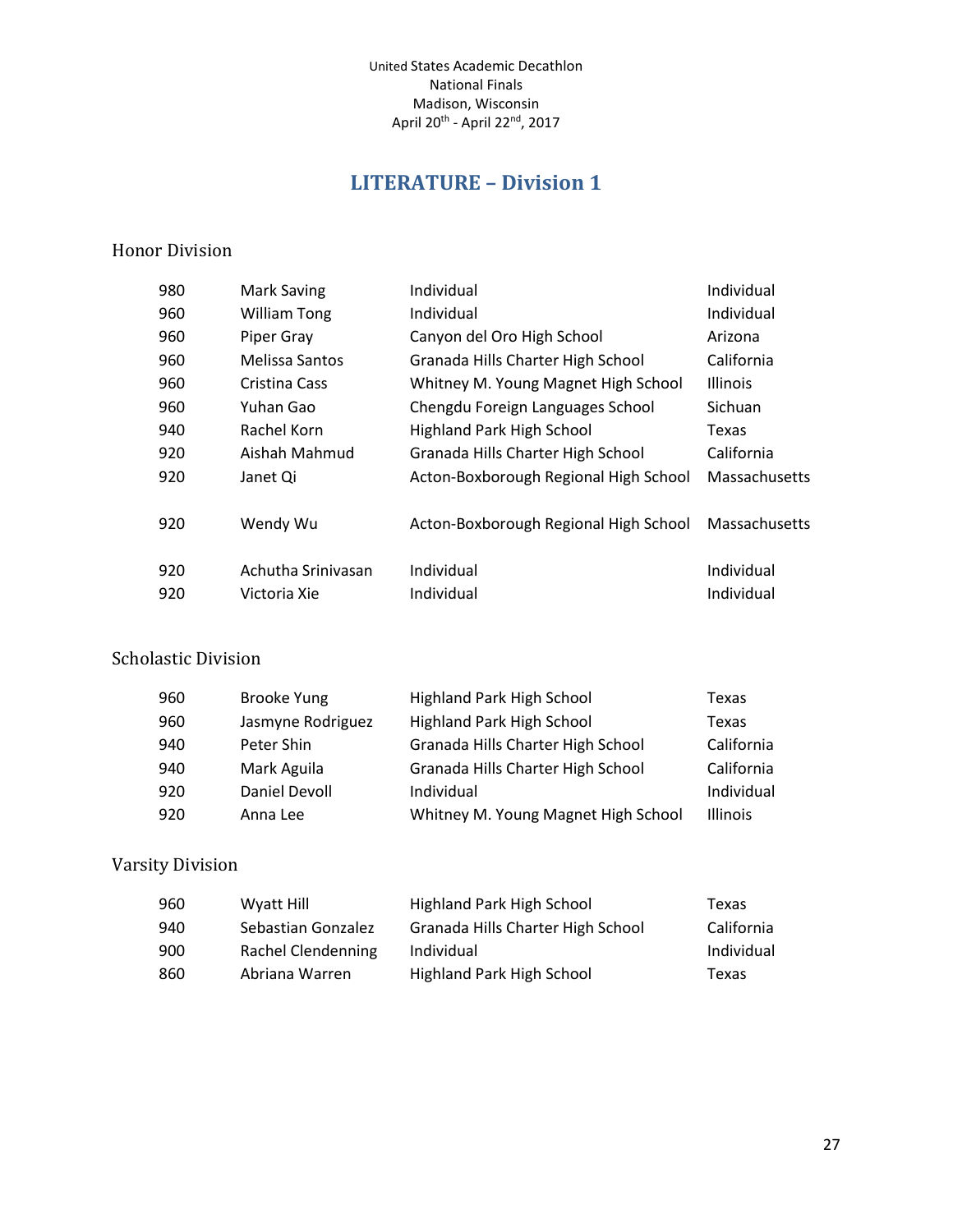# **LITERATURE – Division 1**

#### <span id="page-26-0"></span>Honor Division

| 980 | Mark Saving         | Individual                            | Individual      |
|-----|---------------------|---------------------------------------|-----------------|
| 960 | <b>William Tong</b> | Individual                            | Individual      |
| 960 | Piper Gray          | Canyon del Oro High School            | Arizona         |
| 960 | Melissa Santos      | Granada Hills Charter High School     | California      |
| 960 | Cristina Cass       | Whitney M. Young Magnet High School   | <b>Illinois</b> |
| 960 | Yuhan Gao           | Chengdu Foreign Languages School      | Sichuan         |
| 940 | Rachel Korn         | <b>Highland Park High School</b>      | Texas           |
| 920 | Aishah Mahmud       | Granada Hills Charter High School     | California      |
| 920 | Janet Qi            | Acton-Boxborough Regional High School | Massachusetts   |
| 920 | Wendy Wu            | Acton-Boxborough Regional High School | Massachusetts   |
| 920 | Achutha Sriniyasan  | Individual                            | Individual      |
| 920 | Victoria Xie        | Individual                            | Individual      |
|     |                     |                                       |                 |

#### Scholastic Division

| 960 | <b>Brooke Yung</b> | Highland Park High School           | Texas           |
|-----|--------------------|-------------------------------------|-----------------|
| 960 | Jasmyne Rodriguez  | <b>Highland Park High School</b>    | Texas           |
| 940 | Peter Shin         | Granada Hills Charter High School   | California      |
| 940 | Mark Aguila        | Granada Hills Charter High School   | California      |
| 920 | Daniel Devoll      | Individual                          | Individual      |
| 920 | Anna Lee           | Whitney M. Young Magnet High School | <b>Illinois</b> |

| 960 | Wyatt Hill         | Highland Park High School         | Texas      |
|-----|--------------------|-----------------------------------|------------|
| 940 | Sebastian Gonzalez | Granada Hills Charter High School | California |
| 900 | Rachel Clendenning | Individual                        | Individual |
| 860 | Abriana Warren     | Highland Park High School         | Texas      |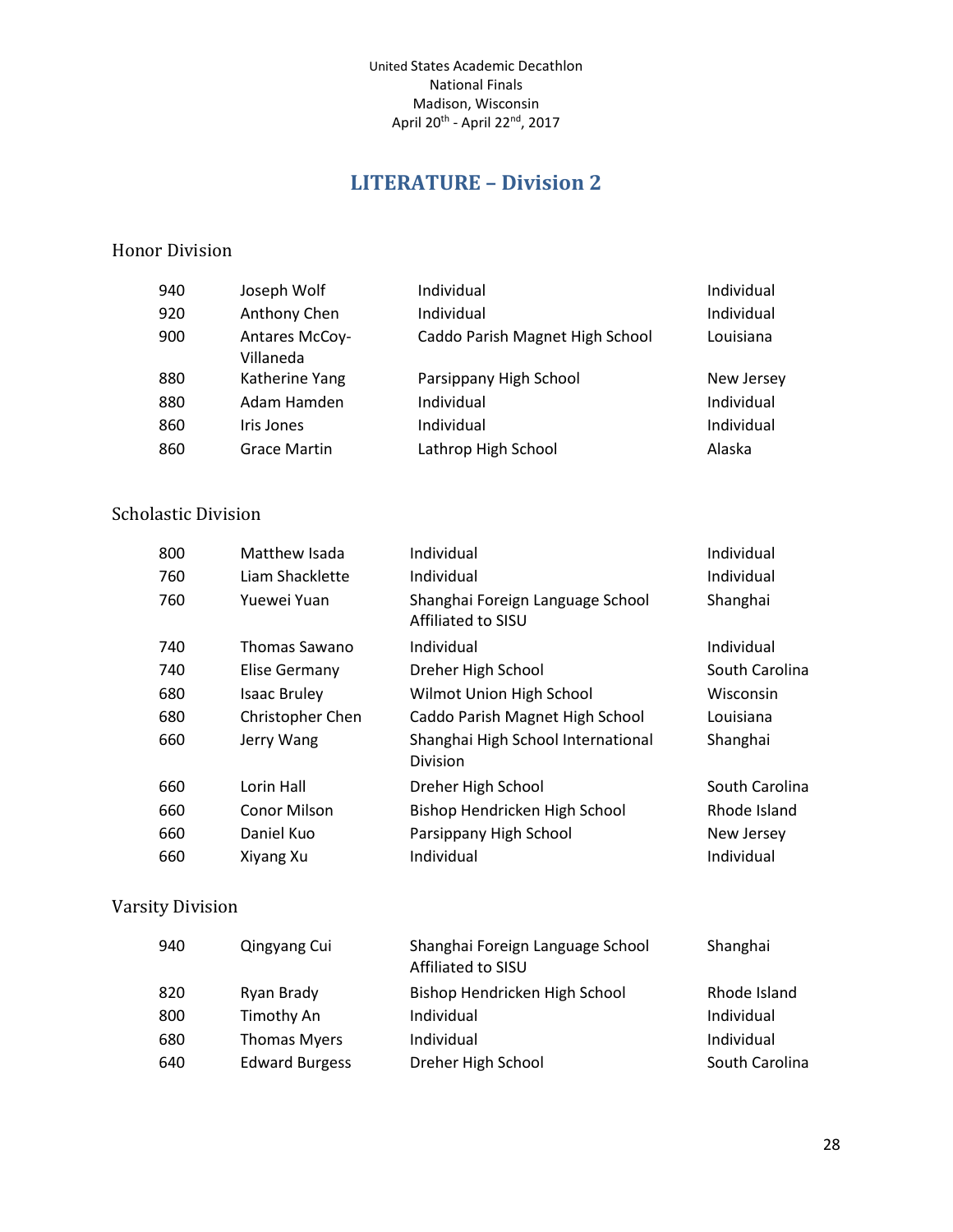# **LITERATURE – Division 2**

#### <span id="page-27-0"></span>Honor Division

| 940 | Joseph Wolf                        | Individual                      | Individual |
|-----|------------------------------------|---------------------------------|------------|
| 920 | Anthony Chen                       | Individual                      | Individual |
| 900 | <b>Antares McCoy-</b><br>Villaneda | Caddo Parish Magnet High School | Louisiana  |
| 880 | Katherine Yang                     | Parsippany High School          | New Jersey |
| 880 | Adam Hamden                        | Individual                      | Individual |
| 860 | Iris Jones                         | Individual                      | Individual |
| 860 | <b>Grace Martin</b>                | Lathrop High School             | Alaska     |

#### Scholastic Division

| 800 | Matthew Isada       | Individual                                             | Individual     |
|-----|---------------------|--------------------------------------------------------|----------------|
| 760 | Liam Shacklette     | Individual                                             | Individual     |
| 760 | Yuewei Yuan         | Shanghai Foreign Language School<br>Affiliated to SISU | Shanghai       |
| 740 | Thomas Sawano       | Individual                                             | Individual     |
| 740 | Elise Germany       | Dreher High School                                     | South Carolina |
| 680 | <b>Isaac Bruley</b> | Wilmot Union High School                               | Wisconsin      |
| 680 | Christopher Chen    | Caddo Parish Magnet High School                        | Louisiana      |
| 660 | Jerry Wang          | Shanghai High School International<br><b>Division</b>  | Shanghai       |
| 660 | Lorin Hall          | Dreher High School                                     | South Carolina |
| 660 | Conor Milson        | Bishop Hendricken High School                          | Rhode Island   |
| 660 | Daniel Kuo          | Parsippany High School                                 | New Jersey     |
| 660 | Xiyang Xu           | Individual                                             | Individual     |

| 940 | Qingyang Cui          | Shanghai Foreign Language School<br>Affiliated to SISU | Shanghai       |
|-----|-----------------------|--------------------------------------------------------|----------------|
| 820 | Ryan Brady            | Bishop Hendricken High School                          | Rhode Island   |
| 800 | Timothy An            | Individual                                             | Individual     |
| 680 | <b>Thomas Myers</b>   | Individual                                             | Individual     |
| 640 | <b>Edward Burgess</b> | Dreher High School                                     | South Carolina |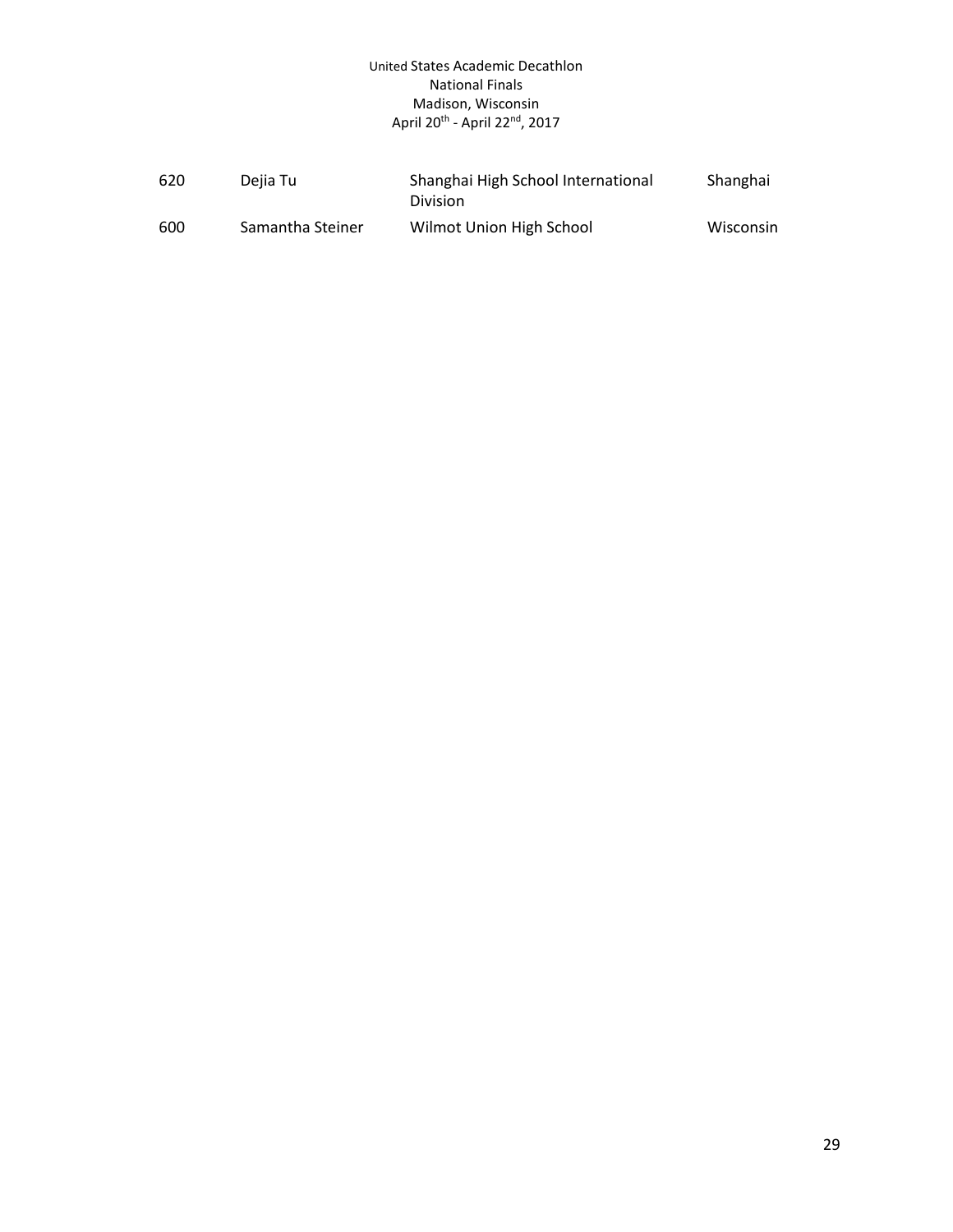| 620 | Dejia Tu         | Shanghai High School International<br><b>Division</b> | Shanghai  |
|-----|------------------|-------------------------------------------------------|-----------|
| 600 | Samantha Steiner | Wilmot Union High School                              | Wisconsin |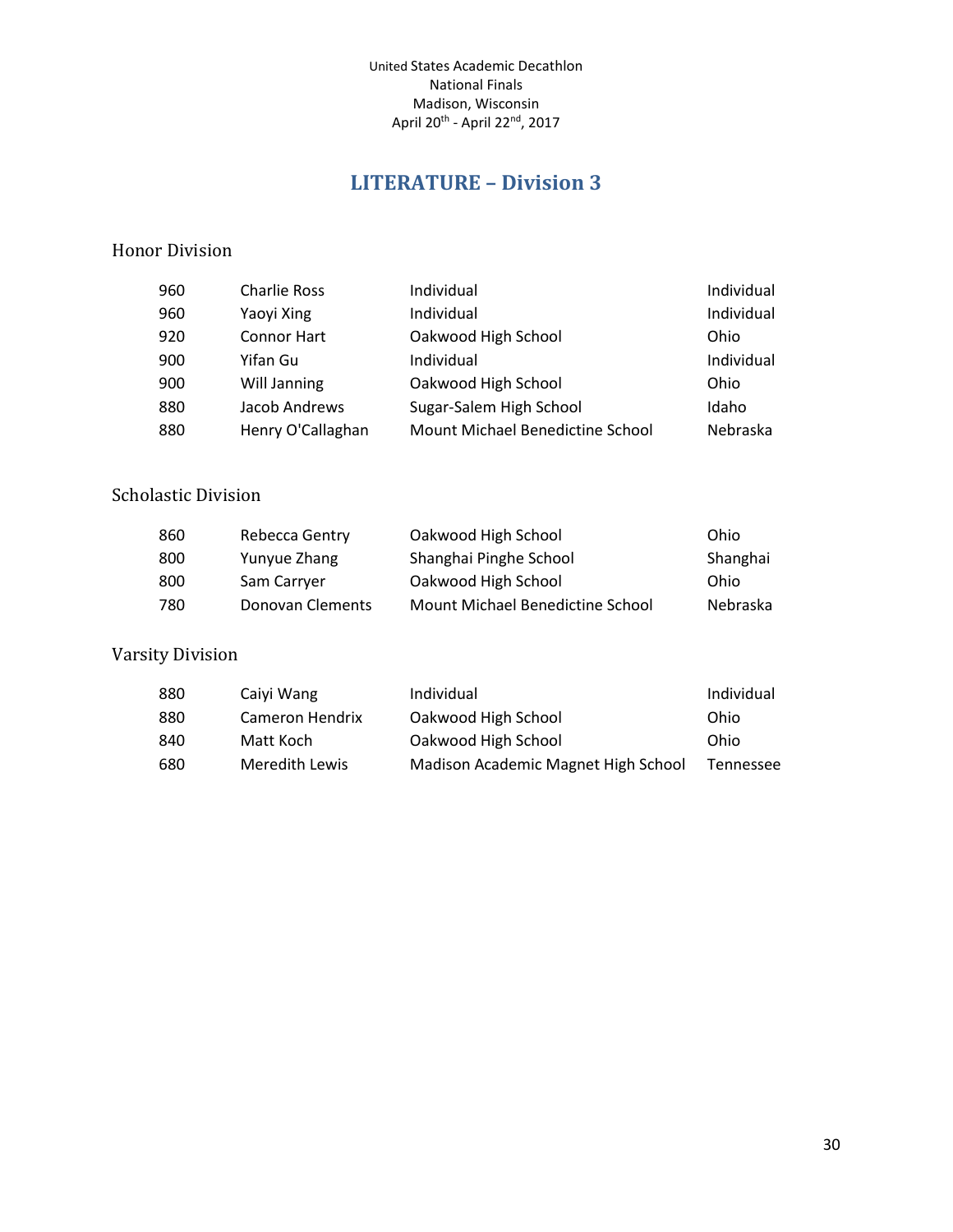# **LITERATURE – Division 3**

#### <span id="page-29-0"></span>Honor Division

| 960 | <b>Charlie Ross</b> | Individual                       | Individual |
|-----|---------------------|----------------------------------|------------|
| 960 | Yaoyi Xing          | Individual                       | Individual |
| 920 | <b>Connor Hart</b>  | Oakwood High School              | Ohio       |
| 900 | Yifan Gu            | Individual                       | Individual |
| 900 | Will Janning        | Oakwood High School              | Ohio       |
| 880 | Jacob Andrews       | Sugar-Salem High School          | Idaho      |
| 880 | Henry O'Callaghan   | Mount Michael Benedictine School | Nebraska   |

#### Scholastic Division

| 860 | Rebecca Gentry   | Oakwood High School              | Ohio     |
|-----|------------------|----------------------------------|----------|
| 800 | Yunyue Zhang     | Shanghai Pinghe School           | Shanghai |
| 800 | Sam Carryer      | Oakwood High School              | Ohio     |
| 780 | Donovan Clements | Mount Michael Benedictine School | Nebraska |

| 880 | Caivi Wang      | Individual                          | Individual |
|-----|-----------------|-------------------------------------|------------|
| 880 | Cameron Hendrix | Oakwood High School                 | Ohio       |
| 840 | Matt Koch       | Oakwood High School                 | Ohio       |
| 680 | Meredith Lewis  | Madison Academic Magnet High School | Tennessee  |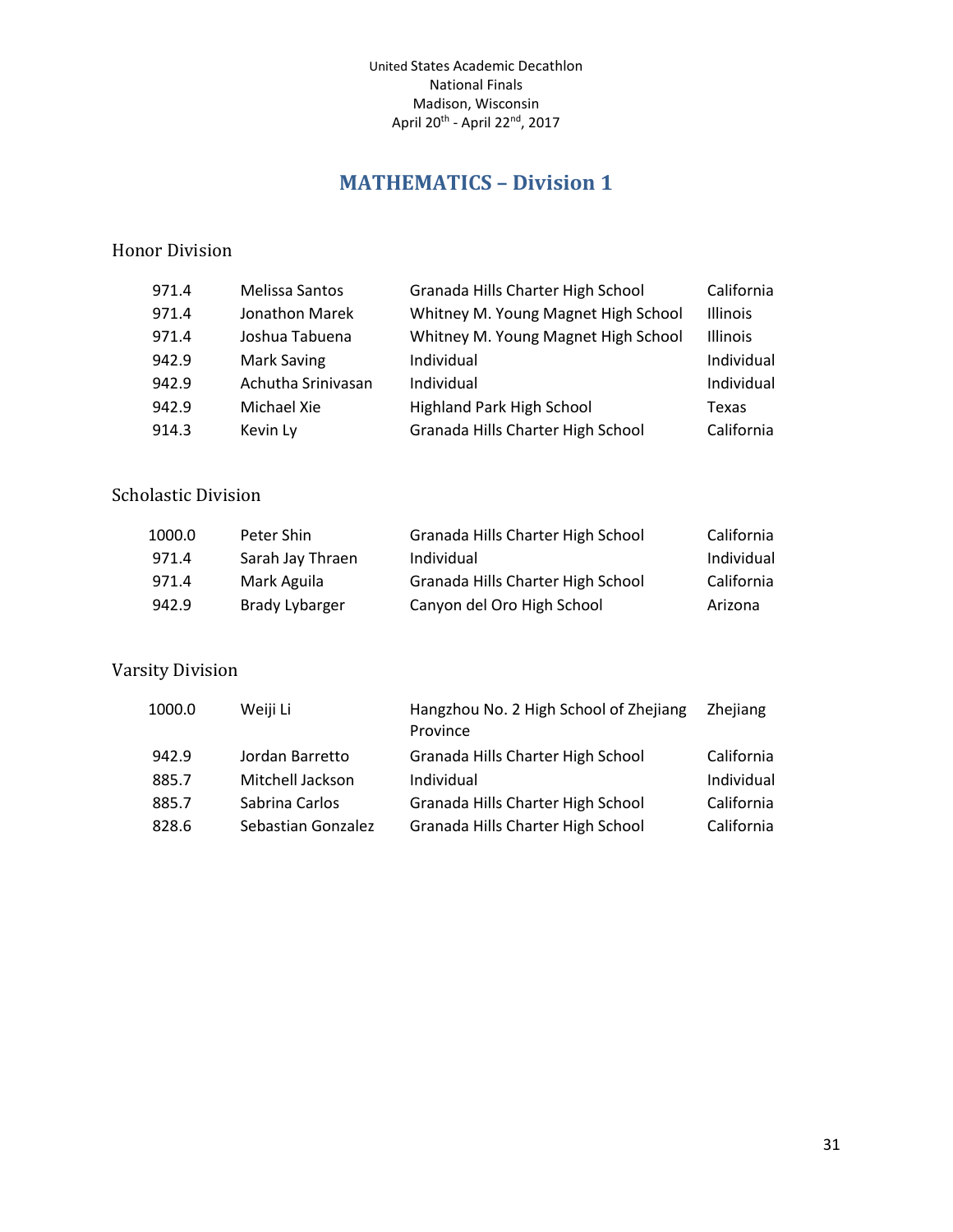## **MATHEMATICS – Division 1**

#### <span id="page-30-0"></span>Honor Division

| 971.4 | Melissa Santos     | Granada Hills Charter High School   | California      |
|-------|--------------------|-------------------------------------|-----------------|
| 971.4 | Jonathon Marek     | Whitney M. Young Magnet High School | <b>Illinois</b> |
| 971.4 | Joshua Tabuena     | Whitney M. Young Magnet High School | <b>Illinois</b> |
| 942.9 | Mark Saving        | Individual                          | Individual      |
| 942.9 | Achutha Srinivasan | Individual                          | Individual      |
| 942.9 | Michael Xie        | Highland Park High School           | Texas           |
| 914.3 | Kevin Ly           | Granada Hills Charter High School   | California      |

#### Scholastic Division

| 1000.0 | Peter Shin       | Granada Hills Charter High School | California |
|--------|------------------|-----------------------------------|------------|
| 971.4  | Sarah Jay Thraen | Individual                        | Individual |
| 971.4  | Mark Aguila      | Granada Hills Charter High School | California |
| 942.9  | Brady Lybarger   | Canyon del Oro High School        | Arizona    |

| 1000.0 | Weiji Li           | Hangzhou No. 2 High School of Zhejiang<br>Province | <b>Zhejiang</b> |
|--------|--------------------|----------------------------------------------------|-----------------|
| 942.9  | Jordan Barretto    | Granada Hills Charter High School                  | California      |
| 885.7  | Mitchell Jackson   | Individual                                         | Individual      |
| 885.7  | Sabrina Carlos     | Granada Hills Charter High School                  | California      |
| 828.6  | Sebastian Gonzalez | Granada Hills Charter High School                  | California      |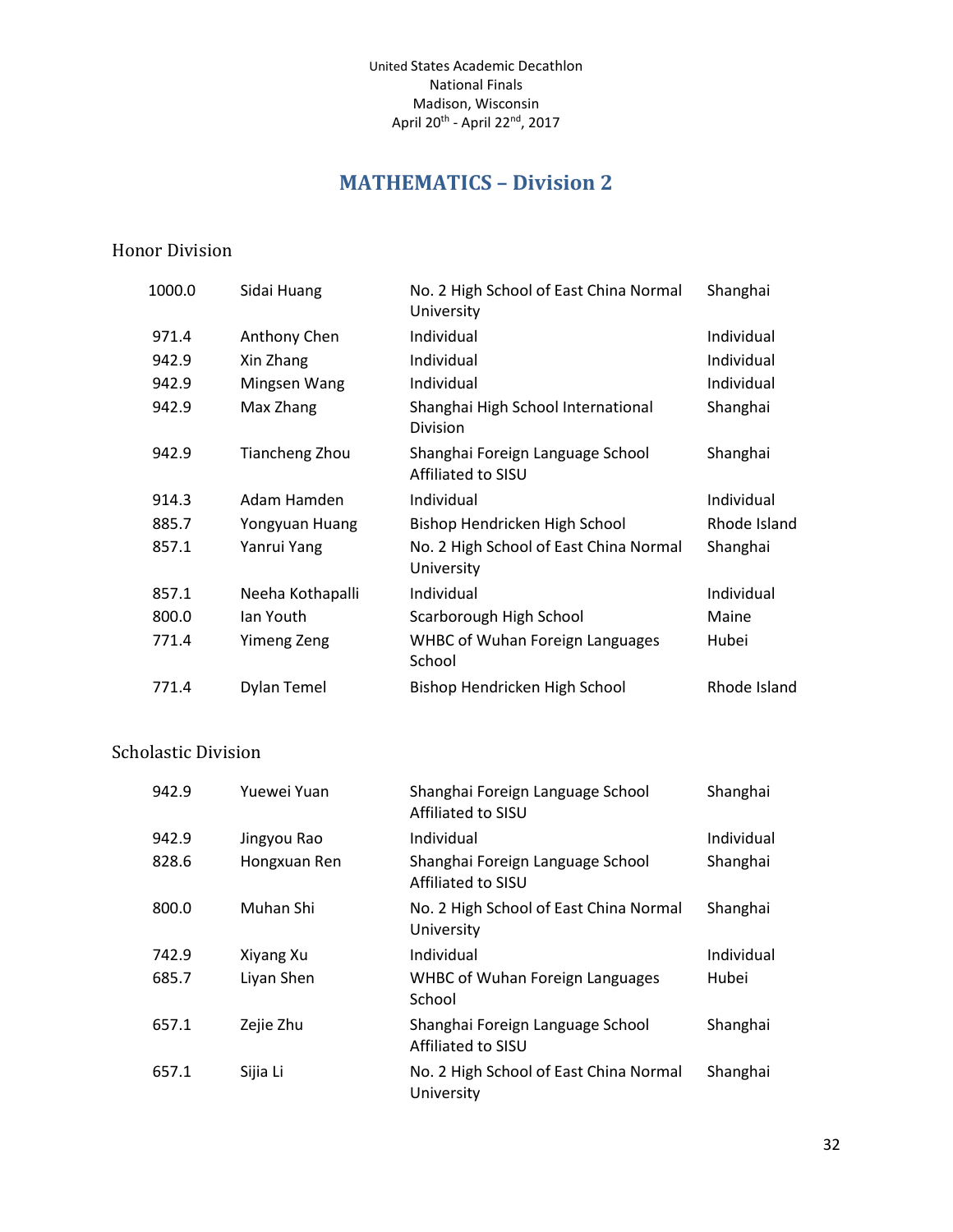## **MATHEMATICS – Division 2**

#### <span id="page-31-0"></span>Honor Division

| 1000.0 | Sidai Huang           | No. 2 High School of East China Normal<br>University   | Shanghai     |
|--------|-----------------------|--------------------------------------------------------|--------------|
| 971.4  | Anthony Chen          | Individual                                             | Individual   |
| 942.9  | Xin Zhang             | Individual                                             | Individual   |
| 942.9  | Mingsen Wang          | Individual                                             | Individual   |
| 942.9  | Max Zhang             | Shanghai High School International<br>Division         | Shanghai     |
| 942.9  | <b>Tiancheng Zhou</b> | Shanghai Foreign Language School<br>Affiliated to SISU | Shanghai     |
| 914.3  | Adam Hamden           | Individual                                             | Individual   |
| 885.7  | Yongyuan Huang        | Bishop Hendricken High School                          | Rhode Island |
| 857.1  | Yanrui Yang           | No. 2 High School of East China Normal<br>University   | Shanghai     |
| 857.1  | Neeha Kothapalli      | Individual                                             | Individual   |
| 800.0  | Ian Youth             | Scarborough High School                                | Maine        |
| 771.4  | <b>Yimeng Zeng</b>    | <b>WHBC of Wuhan Foreign Languages</b><br>School       | Hubei        |
| 771.4  | Dylan Temel           | Bishop Hendricken High School                          | Rhode Island |

#### Scholastic Division

| 942.9 | Yuewei Yuan  | Shanghai Foreign Language School<br>Affiliated to SISU | Shanghai   |
|-------|--------------|--------------------------------------------------------|------------|
| 942.9 | Jingyou Rao  | Individual                                             | Individual |
| 828.6 | Hongxuan Ren | Shanghai Foreign Language School<br>Affiliated to SISU | Shanghai   |
| 800.0 | Muhan Shi    | No. 2 High School of East China Normal<br>University   | Shanghai   |
| 742.9 | Xiyang Xu    | Individual                                             | Individual |
| 685.7 | Liyan Shen   | <b>WHBC of Wuhan Foreign Languages</b><br>School       | Hubei      |
| 657.1 | Zejie Zhu    | Shanghai Foreign Language School<br>Affiliated to SISU | Shanghai   |
| 657.1 | Sijia Li     | No. 2 High School of East China Normal<br>University   | Shanghai   |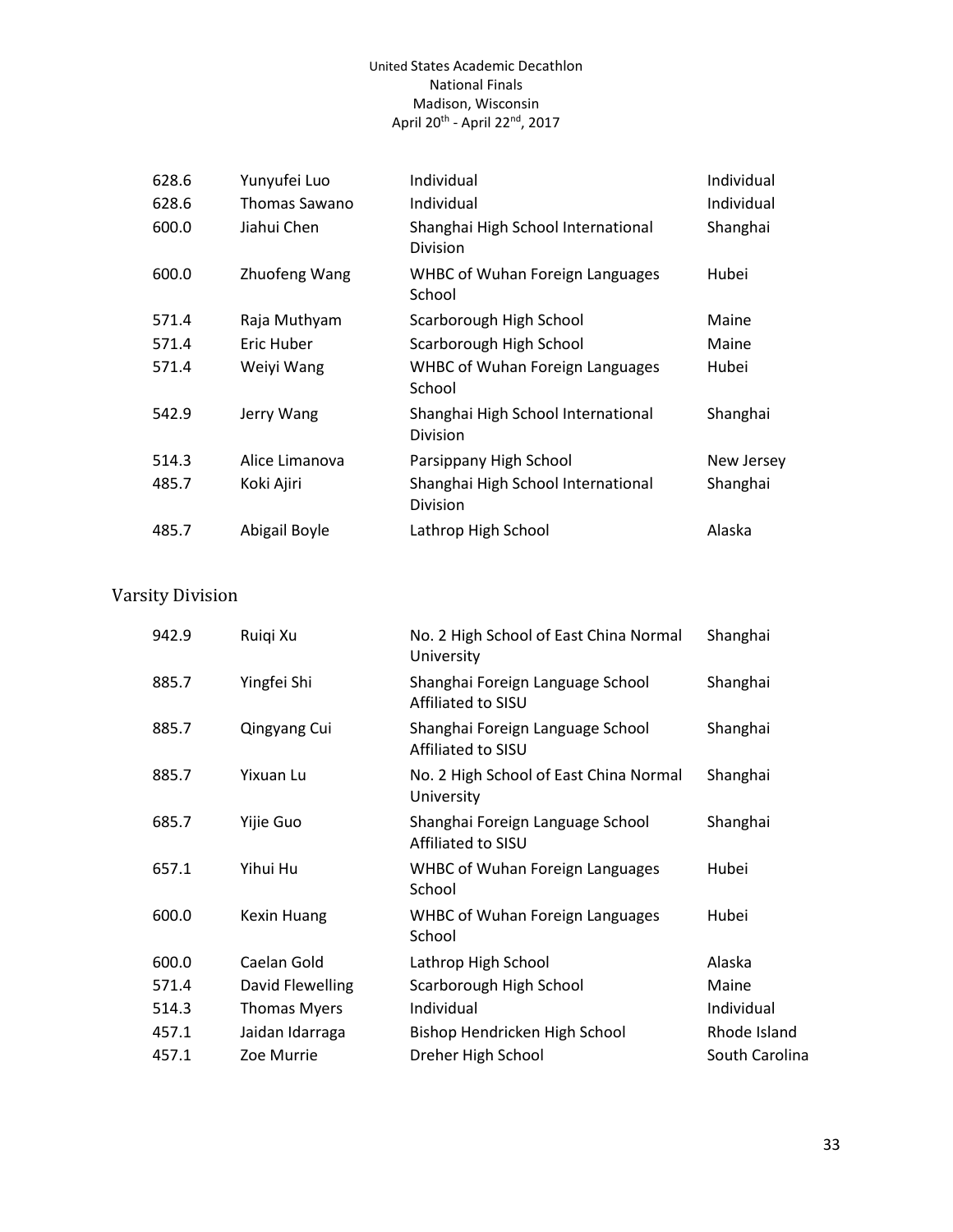| 628.6<br>628.6 | Yunyufei Luo<br>Thomas Sawano | Individual<br>Individual                         | Individual<br>Individual |
|----------------|-------------------------------|--------------------------------------------------|--------------------------|
| 600.0          | Jiahui Chen                   | Shanghai High School International<br>Division   | Shanghai                 |
| 600.0          | Zhuofeng Wang                 | <b>WHBC of Wuhan Foreign Languages</b><br>School | Hubei                    |
| 571.4          | Raja Muthyam                  | Scarborough High School                          | Maine                    |
| 571.4          | Eric Huber                    | Scarborough High School                          | Maine                    |
| 571.4          | Weiyi Wang                    | <b>WHBC of Wuhan Foreign Languages</b><br>School | Hubei                    |
| 542.9          | Jerry Wang                    | Shanghai High School International<br>Division   | Shanghai                 |
| 514.3          | Alice Limanova                | Parsippany High School                           | New Jersey               |
| 485.7          | Koki Ajiri                    | Shanghai High School International<br>Division   | Shanghai                 |
| 485.7          | Abigail Boyle                 | Lathrop High School                              | Alaska                   |

| 942.9 | Ruigi Xu            | No. 2 High School of East China Normal<br>University   | Shanghai       |
|-------|---------------------|--------------------------------------------------------|----------------|
| 885.7 | Yingfei Shi         | Shanghai Foreign Language School<br>Affiliated to SISU | Shanghai       |
| 885.7 | Qingyang Cui        | Shanghai Foreign Language School<br>Affiliated to SISU | Shanghai       |
| 885.7 | Yixuan Lu           | No. 2 High School of East China Normal<br>University   | Shanghai       |
| 685.7 | Yijie Guo           | Shanghai Foreign Language School<br>Affiliated to SISU | Shanghai       |
| 657.1 | Yihui Hu            | <b>WHBC of Wuhan Foreign Languages</b><br>School       | Hubei          |
| 600.0 | <b>Kexin Huang</b>  | <b>WHBC of Wuhan Foreign Languages</b><br>School       | Hubei          |
| 600.0 | Caelan Gold         | Lathrop High School                                    | Alaska         |
| 571.4 | David Flewelling    | Scarborough High School                                | Maine          |
| 514.3 | <b>Thomas Myers</b> | Individual                                             | Individual     |
| 457.1 | Jaidan Idarraga     | Bishop Hendricken High School                          | Rhode Island   |
| 457.1 | Zoe Murrie          | Dreher High School                                     | South Carolina |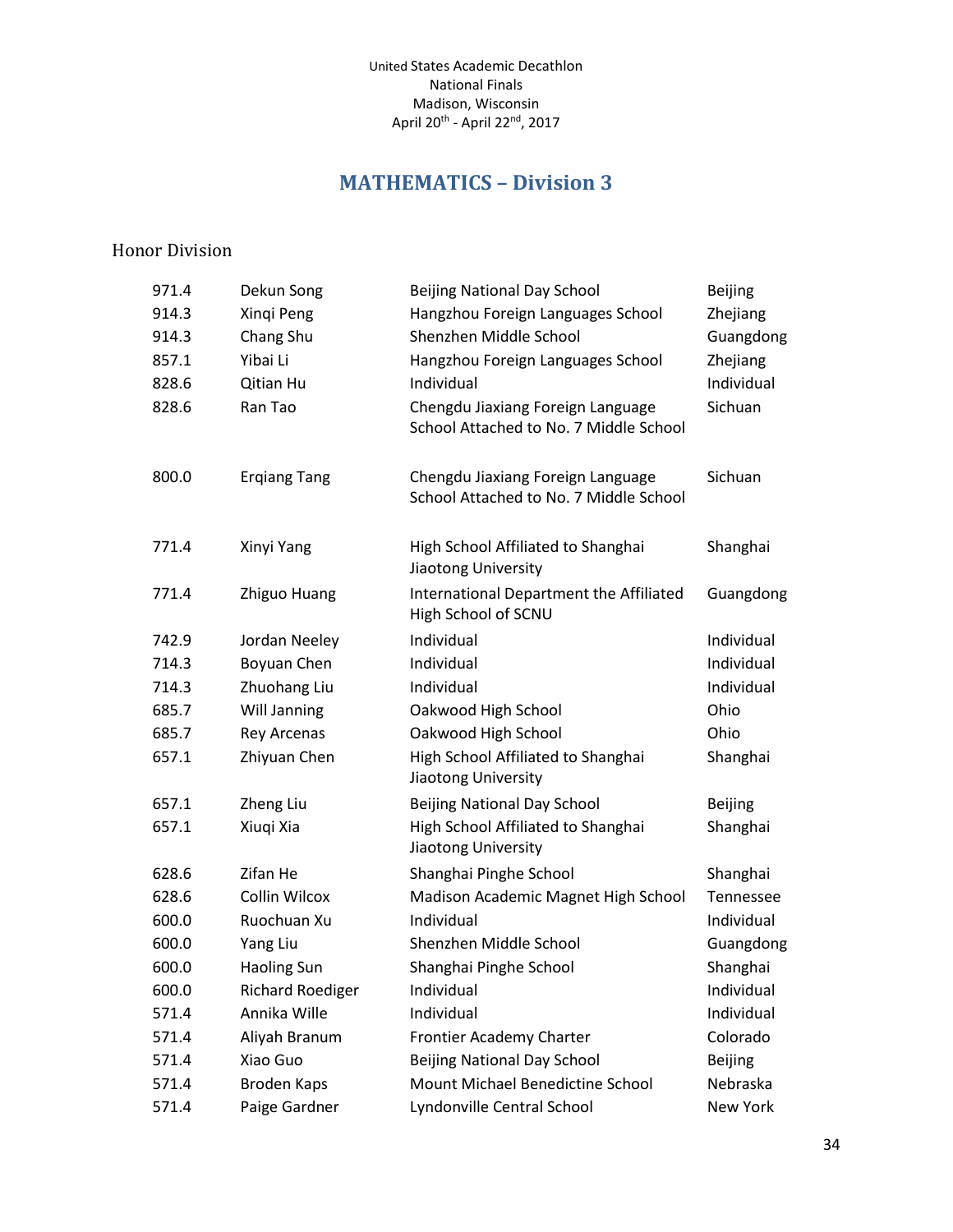# **MATHEMATICS – Division 3**

#### <span id="page-33-0"></span>Honor Division

| 971.4 | Dekun Song              | <b>Beijing National Day School</b>                                          | <b>Beijing</b> |
|-------|-------------------------|-----------------------------------------------------------------------------|----------------|
| 914.3 | Xinqi Peng              | Hangzhou Foreign Languages School                                           | Zhejiang       |
| 914.3 | Chang Shu               | Shenzhen Middle School                                                      | Guangdong      |
| 857.1 | Yibai Li                | Hangzhou Foreign Languages School                                           | Zhejiang       |
| 828.6 | Qitian Hu               | Individual                                                                  | Individual     |
| 828.6 | Ran Tao                 | Chengdu Jiaxiang Foreign Language<br>School Attached to No. 7 Middle School | Sichuan        |
| 800.0 | <b>Ergiang Tang</b>     | Chengdu Jiaxiang Foreign Language<br>School Attached to No. 7 Middle School | Sichuan        |
| 771.4 | Xinyi Yang              | High School Affiliated to Shanghai<br>Jiaotong University                   | Shanghai       |
| 771.4 | Zhiguo Huang            | International Department the Affiliated<br>High School of SCNU              | Guangdong      |
| 742.9 | Jordan Neeley           | Individual                                                                  | Individual     |
| 714.3 | Boyuan Chen             | Individual                                                                  | Individual     |
| 714.3 | Zhuohang Liu            | Individual                                                                  | Individual     |
| 685.7 | Will Janning            | Oakwood High School                                                         | Ohio           |
| 685.7 | Rey Arcenas             | Oakwood High School                                                         | Ohio           |
| 657.1 | Zhiyuan Chen            | High School Affiliated to Shanghai<br>Jiaotong University                   | Shanghai       |
| 657.1 | Zheng Liu               | <b>Beijing National Day School</b>                                          | <b>Beijing</b> |
| 657.1 | Xiuqi Xia               | High School Affiliated to Shanghai<br>Jiaotong University                   | Shanghai       |
| 628.6 | Zifan He                | Shanghai Pinghe School                                                      | Shanghai       |
| 628.6 | <b>Collin Wilcox</b>    | Madison Academic Magnet High School                                         | Tennessee      |
| 600.0 | Ruochuan Xu             | Individual                                                                  | Individual     |
| 600.0 | Yang Liu                | Shenzhen Middle School                                                      | Guangdong      |
| 600.0 | <b>Haoling Sun</b>      | Shanghai Pinghe School                                                      | Shanghai       |
| 600.0 | <b>Richard Roediger</b> | Individual                                                                  | Individual     |
| 571.4 | Annika Wille            | Individual                                                                  | Individual     |
| 571.4 | Aliyah Branum           | Frontier Academy Charter                                                    | Colorado       |
| 571.4 | Xiao Guo                | <b>Beijing National Day School</b>                                          | <b>Beijing</b> |
| 571.4 | <b>Broden Kaps</b>      | Mount Michael Benedictine School                                            | Nebraska       |
| 571.4 | Paige Gardner           | Lyndonville Central School                                                  | New York       |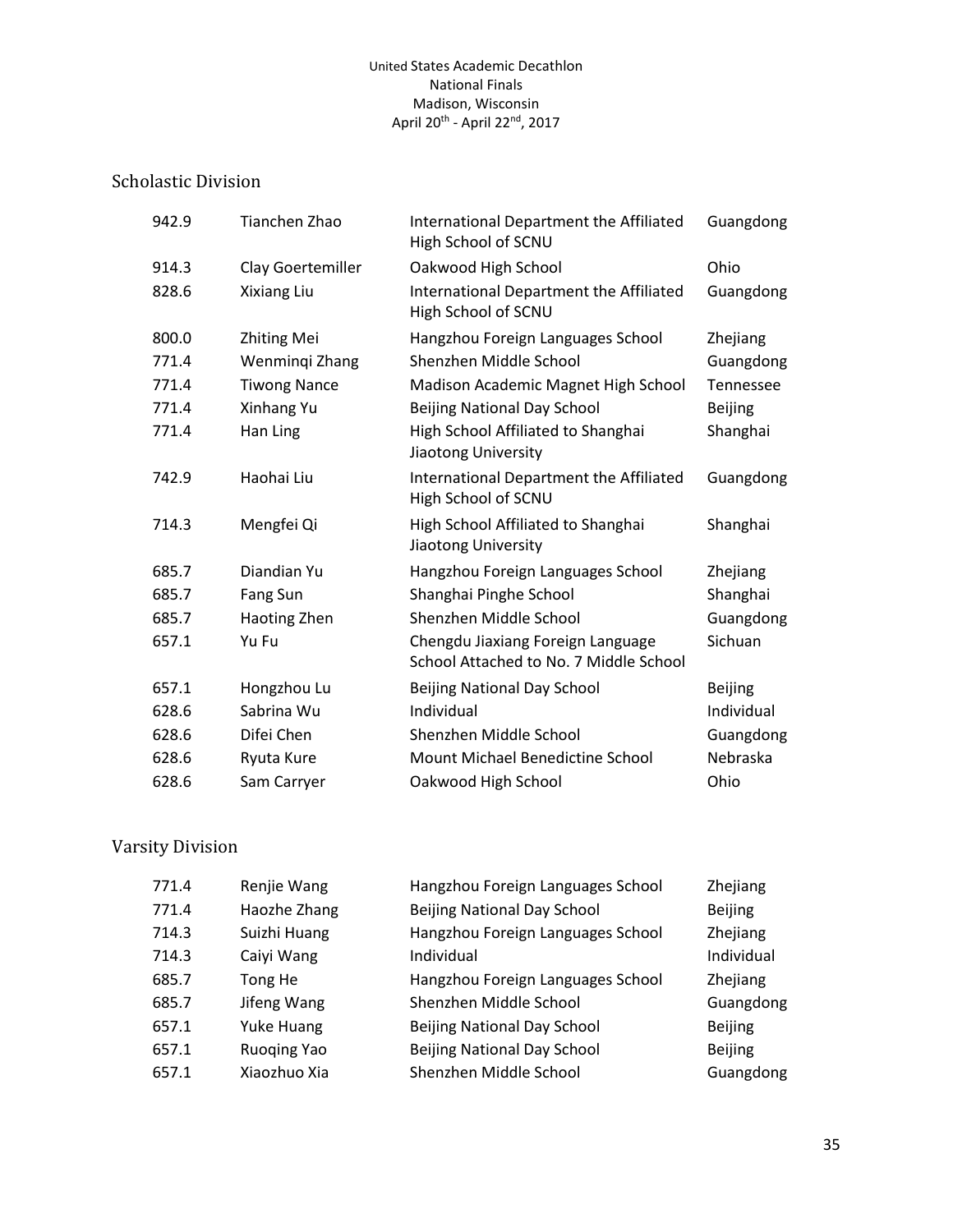## Scholastic Division

| 942.9 | Tianchen Zhao       | International Department the Affiliated<br>High School of SCNU              | Guangdong      |
|-------|---------------------|-----------------------------------------------------------------------------|----------------|
| 914.3 | Clay Goertemiller   | Oakwood High School                                                         | Ohio           |
| 828.6 | Xixiang Liu         | International Department the Affiliated<br>High School of SCNU              | Guangdong      |
| 800.0 | <b>Zhiting Mei</b>  | Hangzhou Foreign Languages School                                           | Zhejiang       |
| 771.4 | Wenmingi Zhang      | Shenzhen Middle School                                                      | Guangdong      |
| 771.4 | <b>Tiwong Nance</b> | Madison Academic Magnet High School                                         | Tennessee      |
| 771.4 | Xinhang Yu          | <b>Beijing National Day School</b>                                          | <b>Beijing</b> |
| 771.4 | Han Ling            | High School Affiliated to Shanghai<br>Jiaotong University                   | Shanghai       |
| 742.9 | Haohai Liu          | International Department the Affiliated<br>High School of SCNU              | Guangdong      |
| 714.3 | Mengfei Qi          | High School Affiliated to Shanghai<br>Jiaotong University                   | Shanghai       |
| 685.7 | Diandian Yu         | Hangzhou Foreign Languages School                                           | Zhejiang       |
| 685.7 | Fang Sun            | Shanghai Pinghe School                                                      | Shanghai       |
| 685.7 | Haoting Zhen        | Shenzhen Middle School                                                      | Guangdong      |
| 657.1 | Yu Fu               | Chengdu Jiaxiang Foreign Language<br>School Attached to No. 7 Middle School | Sichuan        |
| 657.1 | Hongzhou Lu         | Beijing National Day School                                                 | <b>Beijing</b> |
| 628.6 | Sabrina Wu          | Individual                                                                  | Individual     |
| 628.6 | Difei Chen          | Shenzhen Middle School                                                      | Guangdong      |
| 628.6 | Ryuta Kure          | Mount Michael Benedictine School                                            | Nebraska       |
| 628.6 | Sam Carryer         | Oakwood High School                                                         | Ohio           |

| 771.4 | Renjie Wang        | Hangzhou Foreign Languages School  | Zhejiang       |
|-------|--------------------|------------------------------------|----------------|
| 771.4 | Haozhe Zhang       | <b>Beijing National Day School</b> | <b>Beijing</b> |
| 714.3 | Suizhi Huang       | Hangzhou Foreign Languages School  | Zhejiang       |
| 714.3 | Caiyi Wang         | Individual                         | Individual     |
| 685.7 | Tong He            | Hangzhou Foreign Languages School  | Zhejiang       |
| 685.7 | Jifeng Wang        | Shenzhen Middle School             | Guangdong      |
| 657.1 | Yuke Huang         | <b>Beijing National Day School</b> | <b>Beijing</b> |
| 657.1 | <b>Ruoging Yao</b> | <b>Beijing National Day School</b> | <b>Beijing</b> |
| 657.1 | Xiaozhuo Xia       | Shenzhen Middle School             | Guangdong      |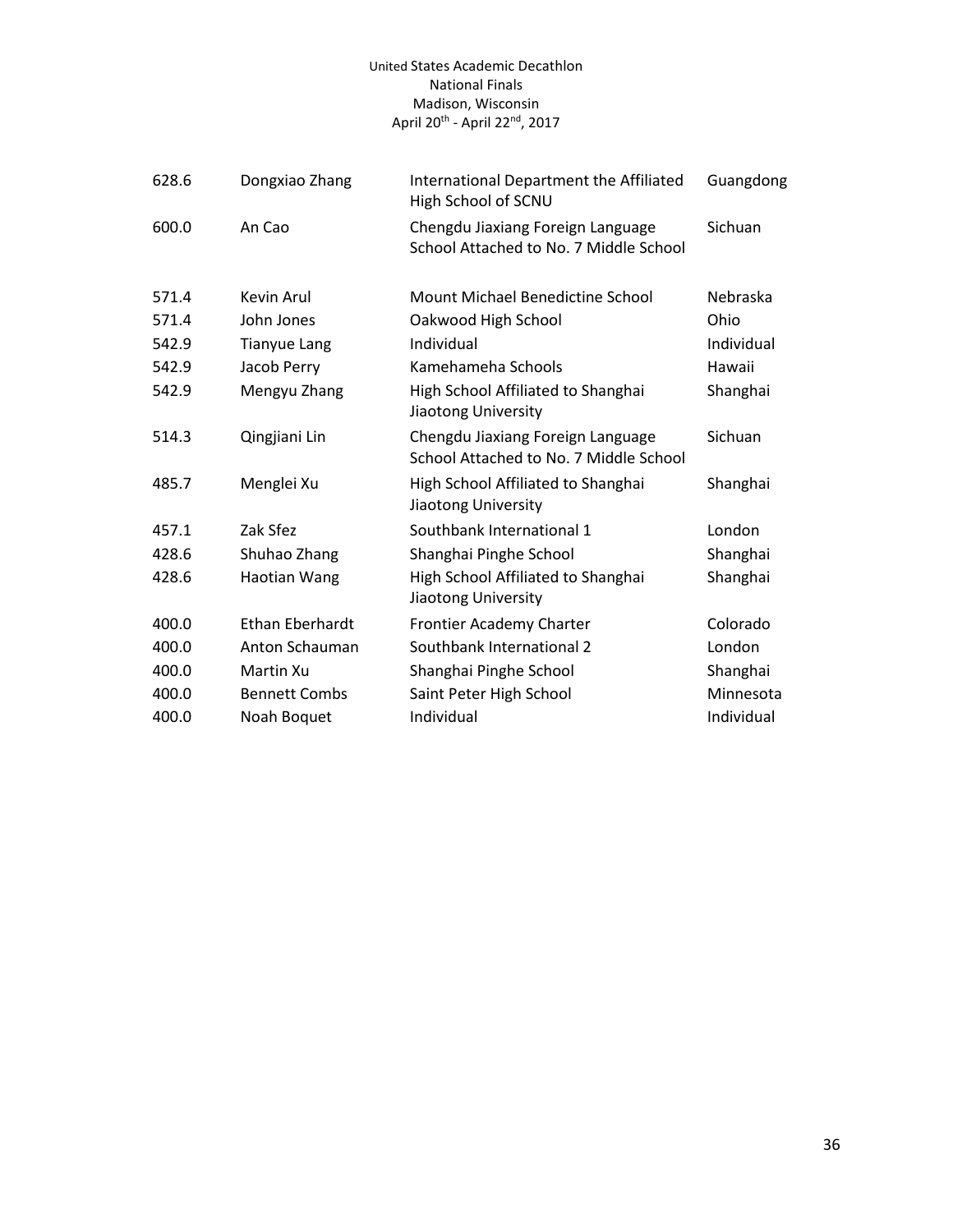| 628.6 | Dongxiao Zhang         | International Department the Affiliated<br>High School of SCNU              | Guangdong  |
|-------|------------------------|-----------------------------------------------------------------------------|------------|
| 600.0 | An Cao                 | Chengdu Jiaxiang Foreign Language<br>School Attached to No. 7 Middle School | Sichuan    |
| 571.4 | Kevin Arul             | Mount Michael Benedictine School                                            | Nebraska   |
| 571.4 | John Jones             | Oakwood High School                                                         | Ohio       |
| 542.9 | <b>Tianyue Lang</b>    | Individual                                                                  | Individual |
| 542.9 | Jacob Perry            | Kamehameha Schools                                                          | Hawaii     |
| 542.9 | Mengyu Zhang           | High School Affiliated to Shanghai<br>Jiaotong University                   | Shanghai   |
| 514.3 | Qingjiani Lin          | Chengdu Jiaxiang Foreign Language<br>School Attached to No. 7 Middle School | Sichuan    |
| 485.7 | Menglei Xu             | High School Affiliated to Shanghai<br>Jiaotong University                   | Shanghai   |
| 457.1 | Zak Sfez               | Southbank International 1                                                   | London     |
| 428.6 | Shuhao Zhang           | Shanghai Pinghe School                                                      | Shanghai   |
| 428.6 | Haotian Wang           | High School Affiliated to Shanghai<br>Jiaotong University                   | Shanghai   |
| 400.0 | <b>Ethan Eberhardt</b> | Frontier Academy Charter                                                    | Colorado   |
| 400.0 | Anton Schauman         | Southbank International 2                                                   | London     |
| 400.0 | Martin Xu              | Shanghai Pinghe School                                                      | Shanghai   |
| 400.0 | <b>Bennett Combs</b>   | Saint Peter High School                                                     | Minnesota  |
| 400.0 | Noah Boquet            | Individual                                                                  | Individual |
|       |                        |                                                                             |            |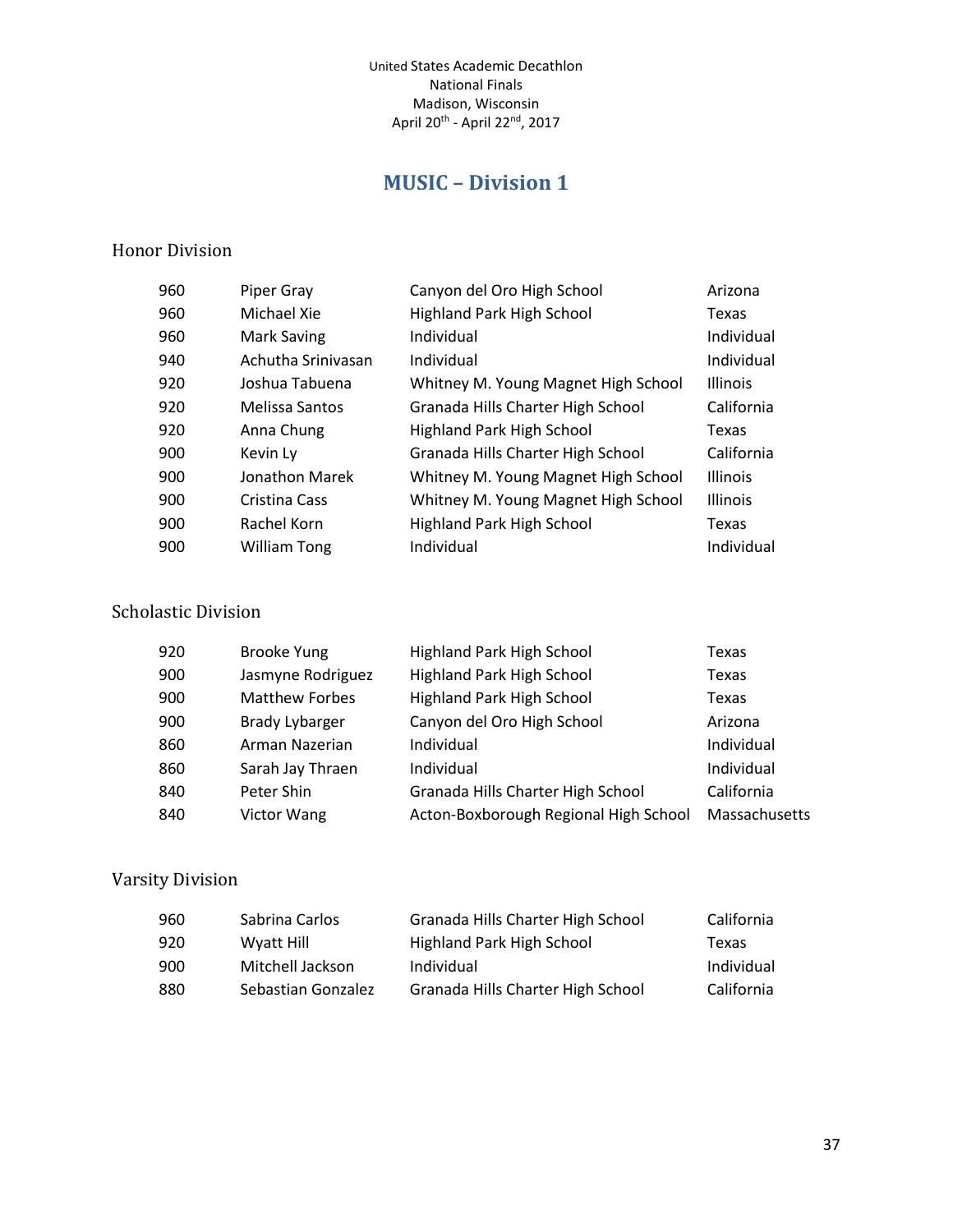# **MUSIC – Division 1**

#### <span id="page-36-0"></span>Honor Division

| 960 | Piper Gray          | Canyon del Oro High School          | Arizona         |
|-----|---------------------|-------------------------------------|-----------------|
| 960 | Michael Xie         | <b>Highland Park High School</b>    | Texas           |
| 960 | Mark Saving         | Individual                          | Individual      |
| 940 | Achutha Sriniyasan  | Individual                          | Individual      |
| 920 | Joshua Tabuena      | Whitney M. Young Magnet High School | <b>Illinois</b> |
| 920 | Melissa Santos      | Granada Hills Charter High School   | California      |
| 920 | Anna Chung          | <b>Highland Park High School</b>    | Texas           |
| 900 | Kevin Ly            | Granada Hills Charter High School   | California      |
| 900 | Jonathon Marek      | Whitney M. Young Magnet High School | <b>Illinois</b> |
| 900 | Cristina Cass       | Whitney M. Young Magnet High School | <b>Illinois</b> |
| 900 | Rachel Korn         | Highland Park High School           | Texas           |
| 900 | <b>William Tong</b> | Individual                          | Individual      |

#### Scholastic Division

| 920 | <b>Brooke Yung</b>    | Highland Park High School             | Texas         |
|-----|-----------------------|---------------------------------------|---------------|
| 900 | Jasmyne Rodriguez     | <b>Highland Park High School</b>      | Texas         |
| 900 | <b>Matthew Forbes</b> | Highland Park High School             | Texas         |
| 900 | Brady Lybarger        | Canyon del Oro High School            | Arizona       |
| 860 | Arman Nazerian        | Individual                            | Individual    |
| 860 | Sarah Jay Thraen      | Individual                            | Individual    |
| 840 | Peter Shin            | Granada Hills Charter High School     | California    |
| 840 | <b>Victor Wang</b>    | Acton-Boxborough Regional High School | Massachusetts |

| 960 | Sabrina Carlos     | Granada Hills Charter High School | California |
|-----|--------------------|-----------------------------------|------------|
| 920 | Wyatt Hill         | Highland Park High School         | Texas      |
| 900 | Mitchell Jackson   | Individual                        | Individual |
| 880 | Sebastian Gonzalez | Granada Hills Charter High School | California |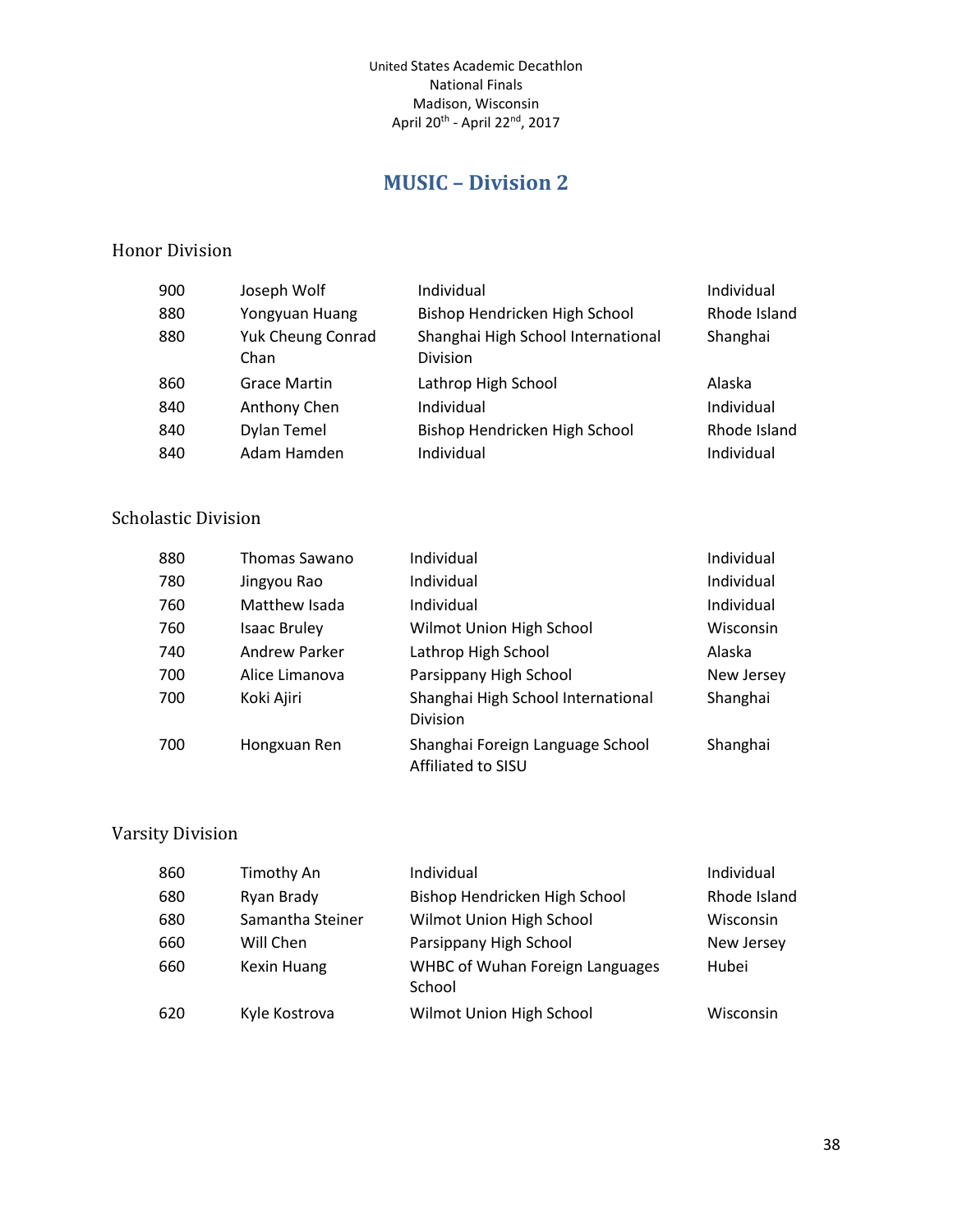# **MUSIC – Division 2**

#### <span id="page-37-0"></span>Honor Division

| 900 | Joseph Wolf                      | Individual                                     | Individual   |
|-----|----------------------------------|------------------------------------------------|--------------|
| 880 | Yongyuan Huang                   | Bishop Hendricken High School                  | Rhode Island |
| 880 | <b>Yuk Cheung Conrad</b><br>Chan | Shanghai High School International<br>Division | Shanghai     |
| 860 | <b>Grace Martin</b>              | Lathrop High School                            | Alaska       |
| 840 | Anthony Chen                     | Individual                                     | Individual   |
| 840 | <b>Dylan Temel</b>               | Bishop Hendricken High School                  | Rhode Island |
| 840 | Adam Hamden                      | Individual                                     | Individual   |

## Scholastic Division

| 880 | <b>Thomas Sawano</b> | Individual                                             | Individual |
|-----|----------------------|--------------------------------------------------------|------------|
| 780 | Jingyou Rao          | Individual                                             | Individual |
| 760 | Matthew Isada        | Individual                                             | Individual |
| 760 | <b>Isaac Bruley</b>  | Wilmot Union High School                               | Wisconsin  |
| 740 | Andrew Parker        | Lathrop High School                                    | Alaska     |
| 700 | Alice Limanova       | Parsippany High School                                 | New Jersey |
| 700 | Koki Ajiri           | Shanghai High School International<br>Division         | Shanghai   |
| 700 | Hongxuan Ren         | Shanghai Foreign Language School<br>Affiliated to SISU | Shanghai   |

| 860 | Timothy An         | Individual                                       | Individual   |
|-----|--------------------|--------------------------------------------------|--------------|
| 680 | Ryan Brady         | Bishop Hendricken High School                    | Rhode Island |
| 680 | Samantha Steiner   | Wilmot Union High School                         | Wisconsin    |
| 660 | Will Chen          | Parsippany High School                           | New Jersey   |
| 660 | <b>Kexin Huang</b> | <b>WHBC of Wuhan Foreign Languages</b><br>School | Hubei        |
| 620 | Kyle Kostrova      | Wilmot Union High School                         | Wisconsin    |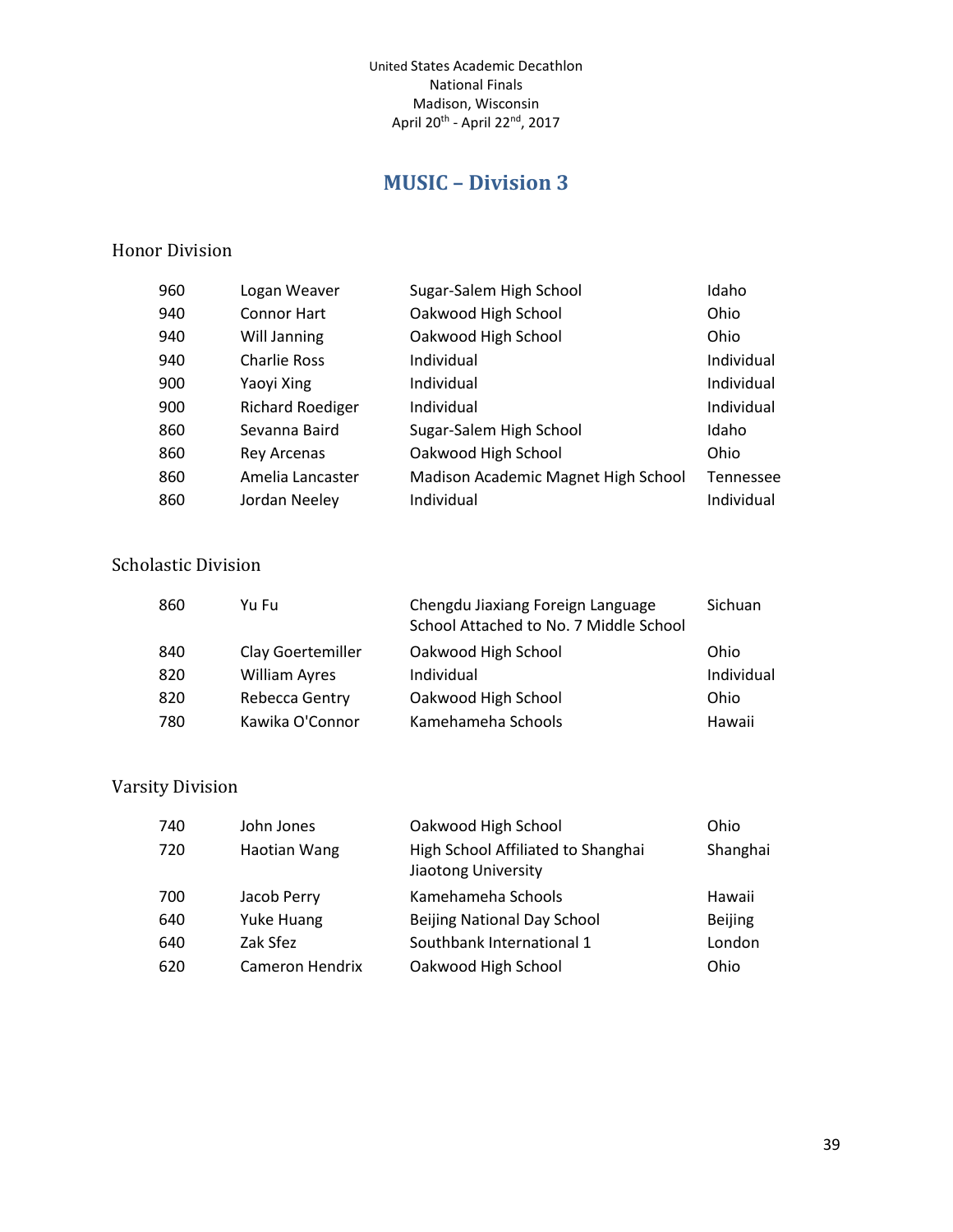# **MUSIC – Division 3**

#### <span id="page-38-0"></span>Honor Division

| 960 | Logan Weaver            | Sugar-Salem High School             | Idaho      |
|-----|-------------------------|-------------------------------------|------------|
| 940 | <b>Connor Hart</b>      | Oakwood High School                 | Ohio       |
| 940 | Will Janning            | Oakwood High School                 | Ohio       |
| 940 | <b>Charlie Ross</b>     | Individual                          | Individual |
| 900 | Yaoyi Xing              | Individual                          | Individual |
| 900 | <b>Richard Roediger</b> | Individual                          | Individual |
| 860 | Sevanna Baird           | Sugar-Salem High School             | Idaho      |
| 860 | <b>Rey Arcenas</b>      | Oakwood High School                 | Ohio       |
| 860 | Amelia Lancaster        | Madison Academic Magnet High School | Tennessee  |
| 860 | Jordan Neeley           | Individual                          | Individual |

#### Scholastic Division

| 860 | Yu Fu                | Chengdu Jiaxiang Foreign Language<br>School Attached to No. 7 Middle School | Sichuan    |
|-----|----------------------|-----------------------------------------------------------------------------|------------|
| 840 | Clay Goertemiller    | Oakwood High School                                                         | Ohio       |
| 820 | <b>William Ayres</b> | Individual                                                                  | Individual |
| 820 | Rebecca Gentry       | Oakwood High School                                                         | Ohio       |
| 780 | Kawika O'Connor      | Kamehameha Schools                                                          | Hawaii     |

| 740 | John Jones      | Oakwood High School                                       | Ohio           |
|-----|-----------------|-----------------------------------------------------------|----------------|
| 720 | Haotian Wang    | High School Affiliated to Shanghai<br>Jiaotong University | Shanghai       |
| 700 | Jacob Perry     | Kamehameha Schools                                        | Hawaii         |
| 640 | Yuke Huang      | <b>Beijing National Day School</b>                        | <b>Beijing</b> |
| 640 | Zak Sfez        | Southbank International 1                                 | London         |
| 620 | Cameron Hendrix | Oakwood High School                                       | Ohio           |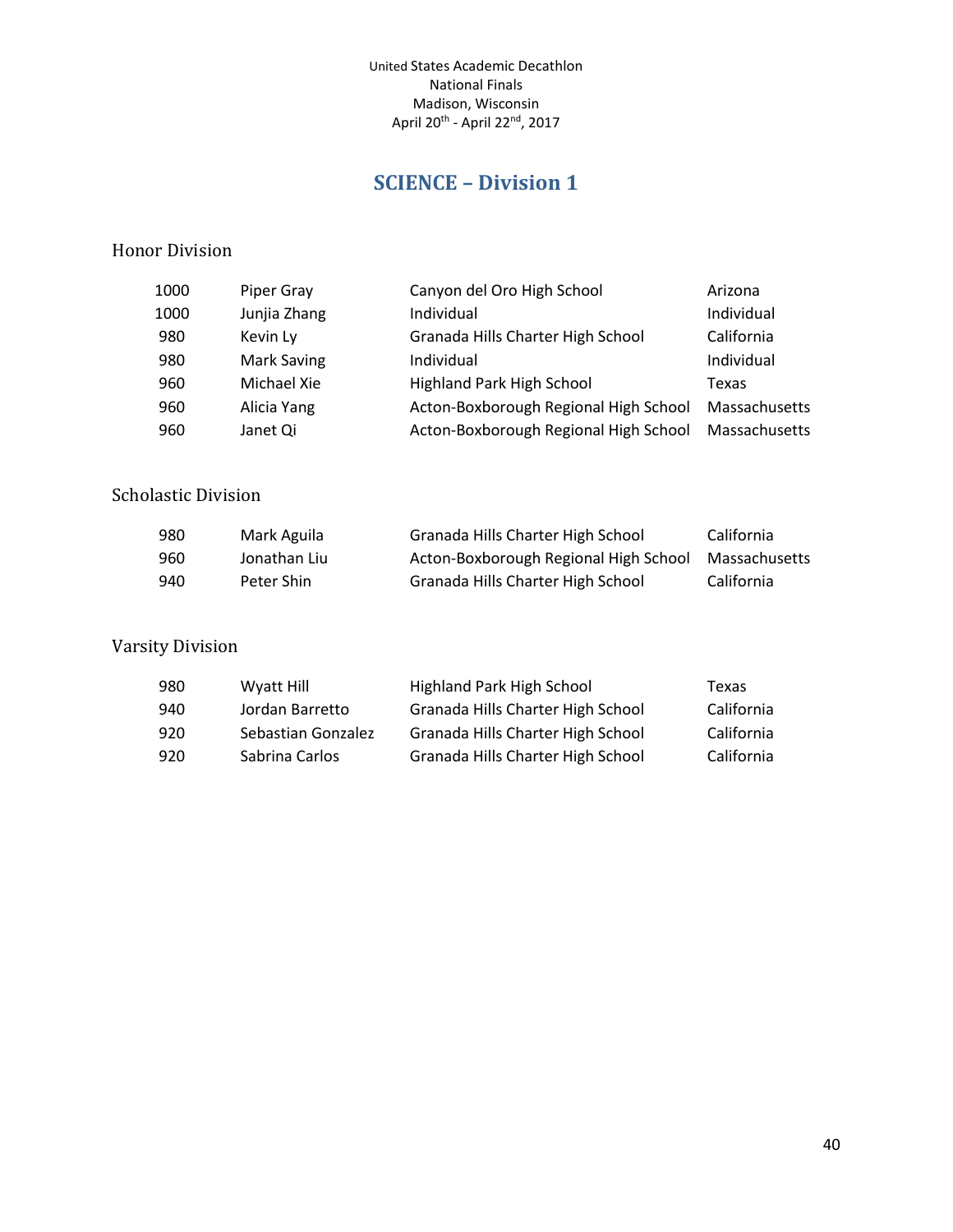# **SCIENCE – Division 1**

#### <span id="page-39-0"></span>Honor Division

| Junjia Zhang<br>Individual<br>Individual<br>1000                             |  |
|------------------------------------------------------------------------------|--|
| Granada Hills Charter High School<br>California<br>980<br>Kevin Ly           |  |
| Mark Saving<br>Individual<br>Individual<br>980                               |  |
| <b>Highland Park High School</b><br>Michael Xie<br>960<br>Texas              |  |
| Acton-Boxborough Regional High School<br>Alicia Yang<br>Massachusetts<br>960 |  |
| Acton-Boxborough Regional High School<br>Massachusetts<br>960<br>Janet Qi    |  |

#### Scholastic Division

| 980 | Mark Aguila  | Granada Hills Charter High School                   | California |
|-----|--------------|-----------------------------------------------------|------------|
| 960 | Jonathan Liu | Acton-Boxborough Regional High School Massachusetts |            |
| 940 | Peter Shin   | Granada Hills Charter High School                   | California |

| 980 | Wyatt Hill         | Highland Park High School         | Texas      |
|-----|--------------------|-----------------------------------|------------|
| 940 | Jordan Barretto    | Granada Hills Charter High School | California |
| 920 | Sebastian Gonzalez | Granada Hills Charter High School | California |
| 920 | Sabrina Carlos     | Granada Hills Charter High School | California |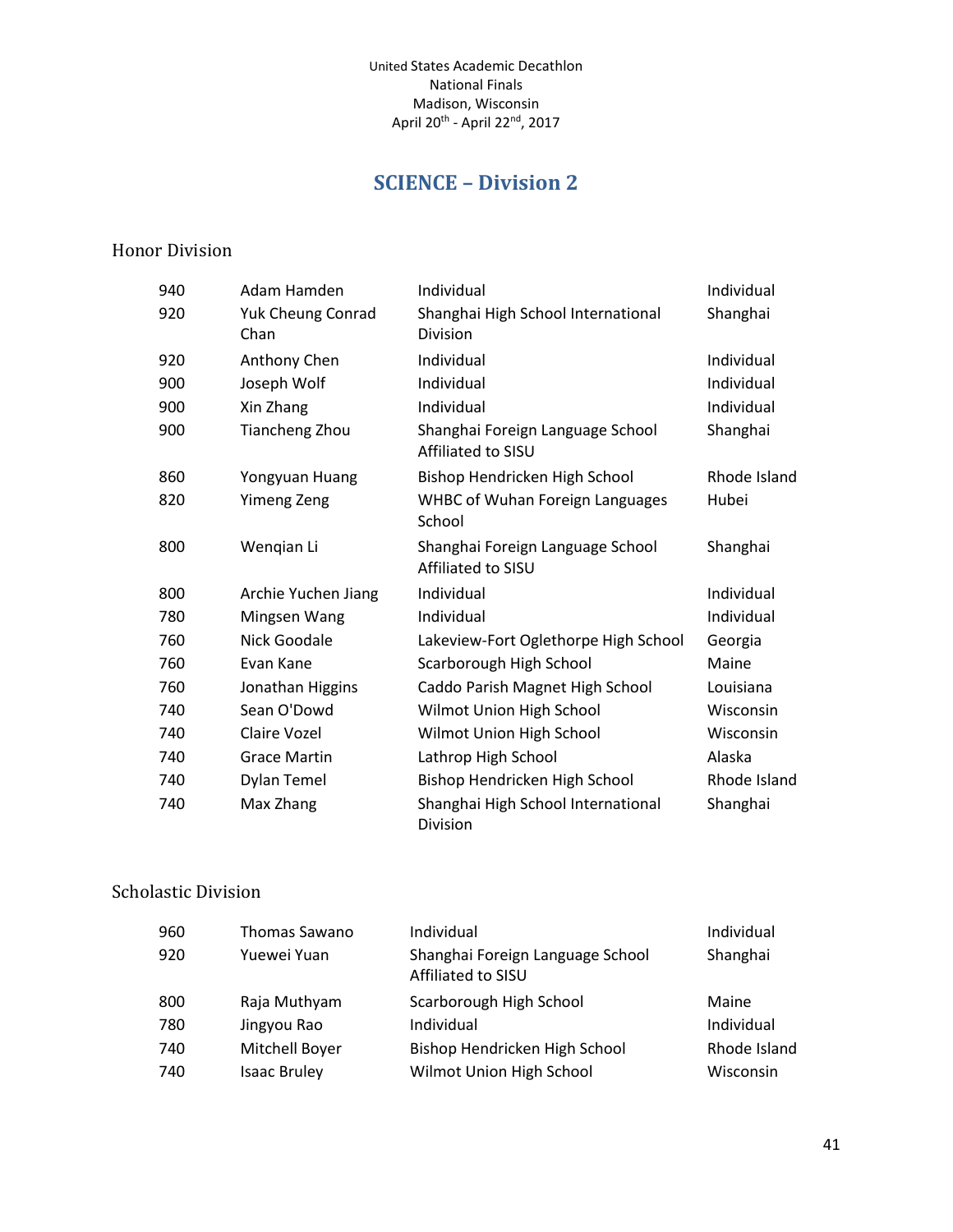## **SCIENCE – Division 2**

#### <span id="page-40-0"></span>Honor Division

| 940 | Adam Hamden               | Individual                                             | Individual   |
|-----|---------------------------|--------------------------------------------------------|--------------|
| 920 | Yuk Cheung Conrad<br>Chan | Shanghai High School International<br>Division         | Shanghai     |
| 920 | Anthony Chen              | Individual                                             | Individual   |
| 900 | Joseph Wolf               | Individual                                             | Individual   |
| 900 | Xin Zhang                 | Individual                                             | Individual   |
| 900 | Tiancheng Zhou            | Shanghai Foreign Language School<br>Affiliated to SISU | Shanghai     |
| 860 | Yongyuan Huang            | Bishop Hendricken High School                          | Rhode Island |
| 820 | <b>Yimeng Zeng</b>        | <b>WHBC of Wuhan Foreign Languages</b><br>School       | Hubei        |
| 800 | Wengian Li                | Shanghai Foreign Language School<br>Affiliated to SISU | Shanghai     |
| 800 | Archie Yuchen Jiang       | Individual                                             | Individual   |
| 780 | Mingsen Wang              | Individual                                             | Individual   |
| 760 | <b>Nick Goodale</b>       | Lakeview-Fort Oglethorpe High School                   | Georgia      |
| 760 | Evan Kane                 | Scarborough High School                                | Maine        |
| 760 | Jonathan Higgins          | Caddo Parish Magnet High School                        | Louisiana    |
| 740 | Sean O'Dowd               | Wilmot Union High School                               | Wisconsin    |
| 740 | Claire Vozel              | Wilmot Union High School                               | Wisconsin    |
| 740 | <b>Grace Martin</b>       | Lathrop High School                                    | Alaska       |
| 740 | Dylan Temel               | Bishop Hendricken High School                          | Rhode Island |
| 740 | Max Zhang                 | Shanghai High School International<br>Division         | Shanghai     |

#### Scholastic Division

| 960 | Thomas Sawano       | Individual                                             | Individual   |
|-----|---------------------|--------------------------------------------------------|--------------|
| 920 | Yuewei Yuan         | Shanghai Foreign Language School<br>Affiliated to SISU | Shanghai     |
| 800 | Raja Muthyam        | Scarborough High School                                | Maine        |
| 780 | Jingyou Rao         | Individual                                             | Individual   |
| 740 | Mitchell Boyer      | Bishop Hendricken High School                          | Rhode Island |
| 740 | <b>Isaac Bruley</b> | Wilmot Union High School                               | Wisconsin    |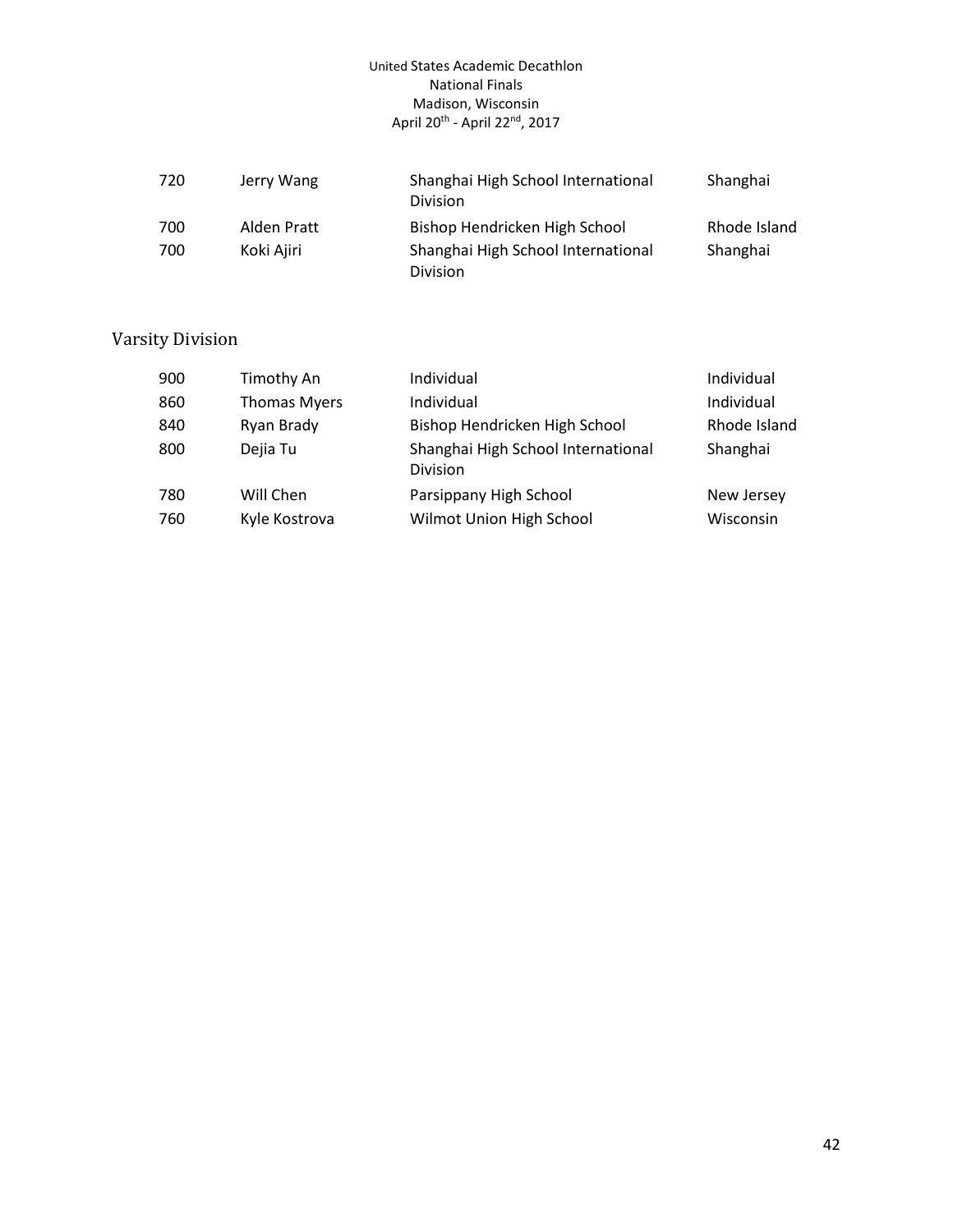| 720 | Jerry Wang  | Shanghai High School International<br><b>Division</b> | Shanghai     |
|-----|-------------|-------------------------------------------------------|--------------|
| 700 | Alden Pratt | Bishop Hendricken High School                         | Rhode Island |
| 700 | Koki Ajiri  | Shanghai High School International<br><b>Division</b> | Shanghai     |

| 900 | Timothy An          | Individual                                     | Individual   |
|-----|---------------------|------------------------------------------------|--------------|
| 860 | <b>Thomas Myers</b> | Individual                                     | Individual   |
| 840 | Ryan Brady          | Bishop Hendricken High School                  | Rhode Island |
| 800 | Dejia Tu            | Shanghai High School International<br>Division | Shanghai     |
| 780 | Will Chen           | Parsippany High School                         | New Jersey   |
| 760 | Kyle Kostrova       | Wilmot Union High School                       | Wisconsin    |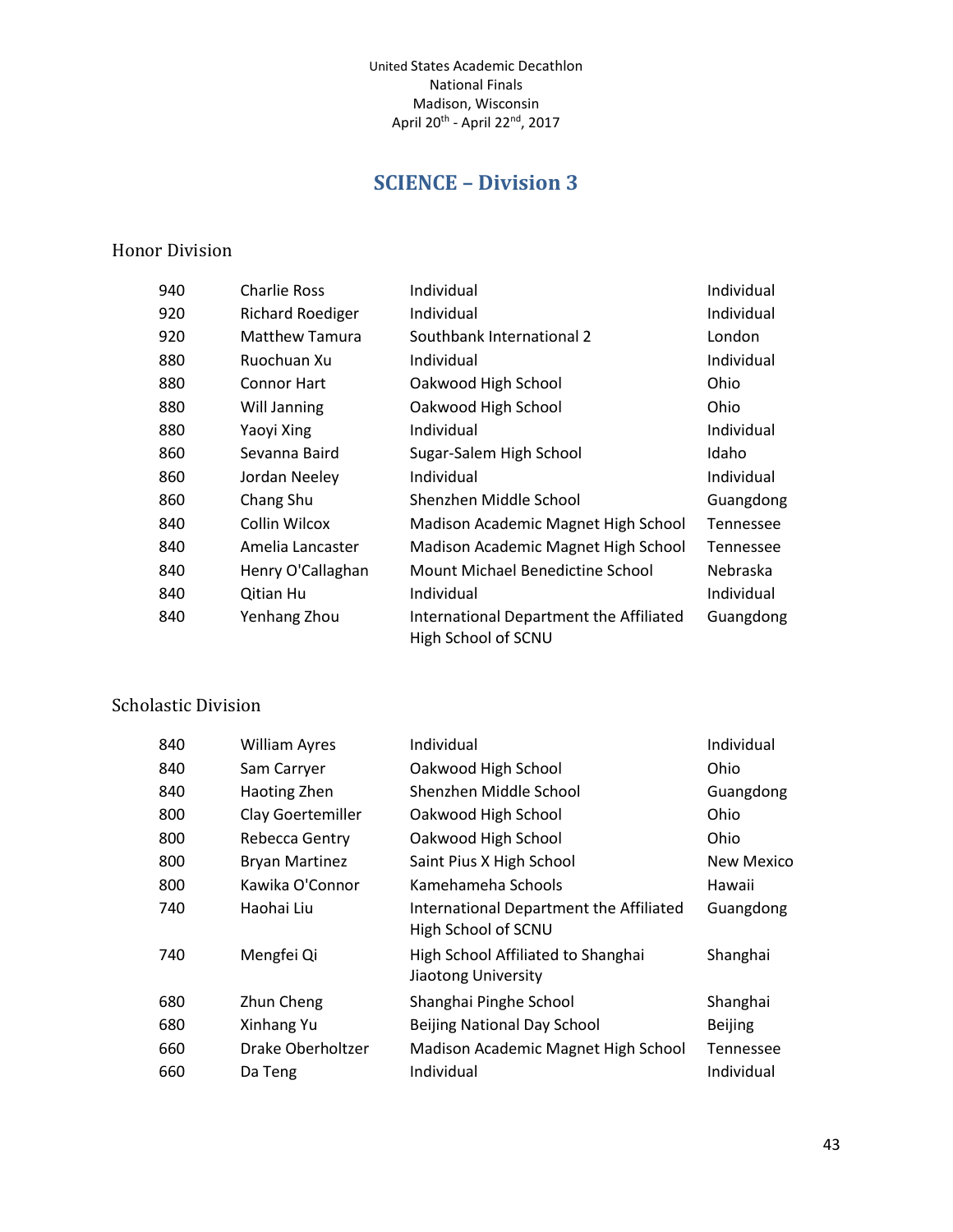## **SCIENCE – Division 3**

#### <span id="page-42-0"></span>Honor Division

| 940 | Charlie Ross            | Individual                                                     | Individual |
|-----|-------------------------|----------------------------------------------------------------|------------|
| 920 | <b>Richard Roediger</b> | Individual                                                     | Individual |
| 920 | <b>Matthew Tamura</b>   | Southbank International 2                                      | London     |
| 880 | Ruochuan Xu             | Individual                                                     | Individual |
| 880 | <b>Connor Hart</b>      | Oakwood High School                                            | Ohio       |
| 880 | Will Janning            | Oakwood High School                                            | Ohio       |
| 880 | Yaoyi Xing              | Individual                                                     | Individual |
| 860 | Sevanna Baird           | Sugar-Salem High School                                        | Idaho      |
| 860 | Jordan Neeley           | Individual                                                     | Individual |
| 860 | Chang Shu               | Shenzhen Middle School                                         | Guangdong  |
| 840 | Collin Wilcox           | Madison Academic Magnet High School                            | Tennessee  |
| 840 | Amelia Lancaster        | Madison Academic Magnet High School                            | Tennessee  |
| 840 | Henry O'Callaghan       | Mount Michael Benedictine School                               | Nebraska   |
| 840 | Qitian Hu               | Individual                                                     | Individual |
| 840 | Yenhang Zhou            | International Department the Affiliated<br>High School of SCNU | Guangdong  |

## Scholastic Division

| 840 | <b>William Ayres</b>  | Individual                                                     | Individual        |
|-----|-----------------------|----------------------------------------------------------------|-------------------|
| 840 | Sam Carryer           | Oakwood High School                                            | Ohio              |
| 840 | Haoting Zhen          | Shenzhen Middle School                                         | Guangdong         |
| 800 | Clay Goertemiller     | Oakwood High School                                            | Ohio              |
| 800 | Rebecca Gentry        | Oakwood High School                                            | Ohio              |
| 800 | <b>Bryan Martinez</b> | Saint Pius X High School                                       | <b>New Mexico</b> |
| 800 | Kawika O'Connor       | Kamehameha Schools                                             | Hawaii            |
| 740 | Haohai Liu            | International Department the Affiliated<br>High School of SCNU | Guangdong         |
| 740 | Mengfei Qi            | High School Affiliated to Shanghai<br>Jiaotong University      | Shanghai          |
| 680 | Zhun Cheng            | Shanghai Pinghe School                                         | Shanghai          |
| 680 | Xinhang Yu            | <b>Beijing National Day School</b>                             | <b>Beijing</b>    |
| 660 | Drake Oberholtzer     | Madison Academic Magnet High School                            | Tennessee         |
| 660 | Da Teng               | Individual                                                     | Individual        |
|     |                       |                                                                |                   |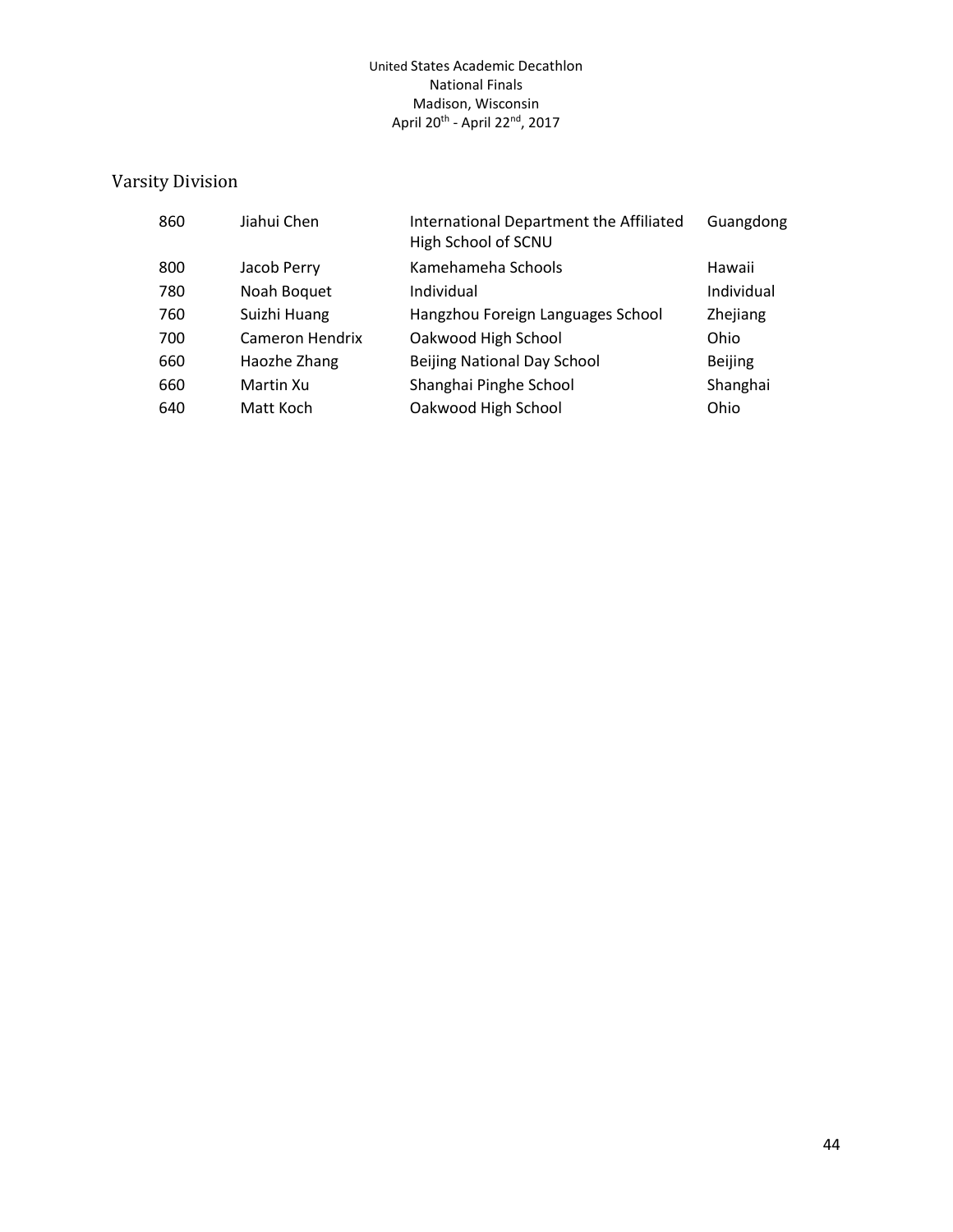| 860 | Jiahui Chen     | International Department the Affiliated<br>High School of SCNU | Guangdong      |
|-----|-----------------|----------------------------------------------------------------|----------------|
| 800 | Jacob Perry     | Kamehameha Schools                                             | Hawaii         |
| 780 | Noah Boquet     | Individual                                                     | Individual     |
| 760 | Suizhi Huang    | Hangzhou Foreign Languages School                              | Zhejiang       |
| 700 | Cameron Hendrix | Oakwood High School                                            | Ohio           |
| 660 | Haozhe Zhang    | <b>Beijing National Day School</b>                             | <b>Beijing</b> |
| 660 | Martin Xu       | Shanghai Pinghe School                                         | Shanghai       |
| 640 | Matt Koch       | Oakwood High School                                            | Ohio           |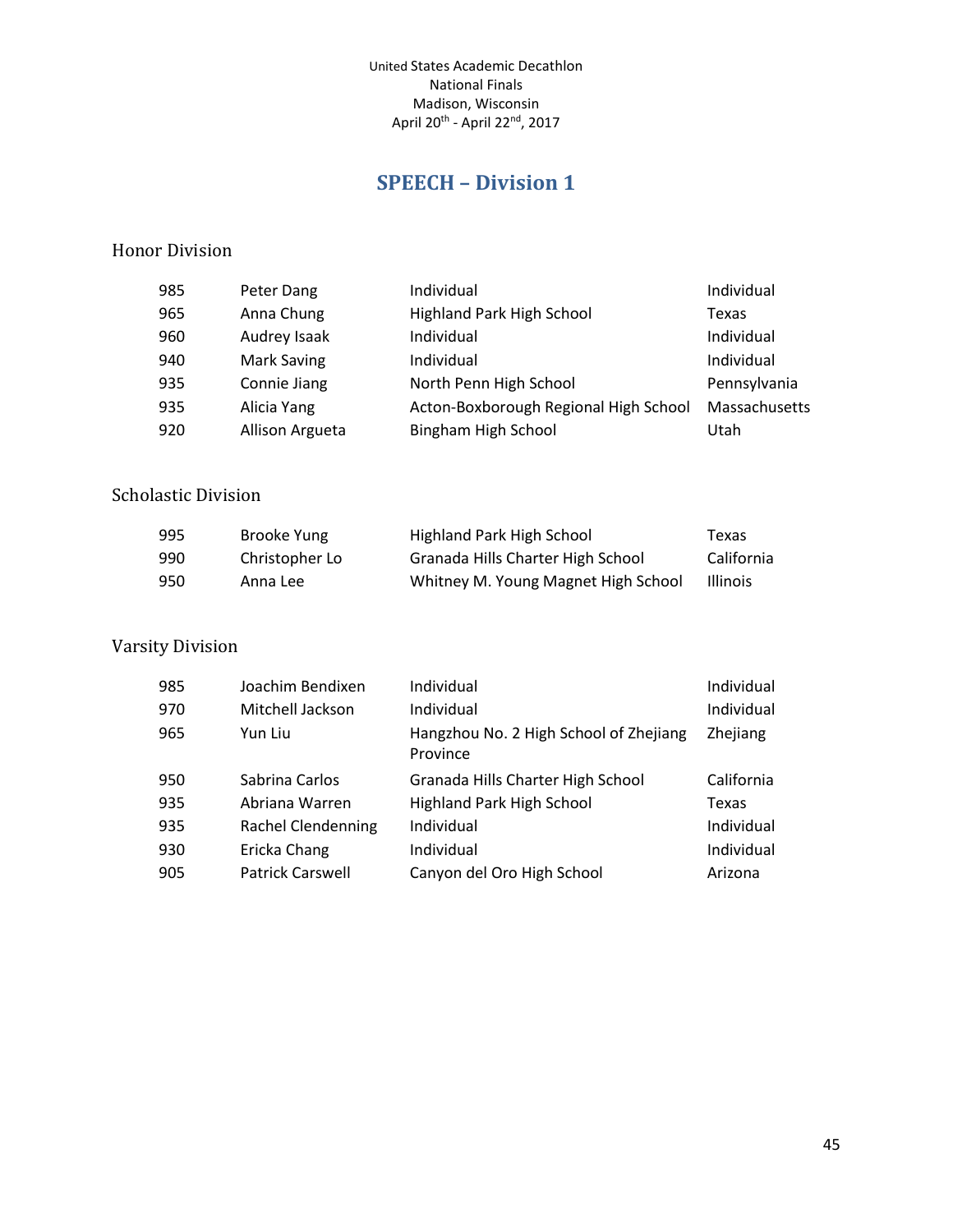## **SPEECH – Division 1**

#### <span id="page-44-0"></span>Honor Division

| 985 | Peter Dang      | Individual                            | Individual    |
|-----|-----------------|---------------------------------------|---------------|
| 965 | Anna Chung      | Highland Park High School             | Texas         |
| 960 | Audrey Isaak    | Individual                            | Individual    |
| 940 | Mark Saving     | Individual                            | Individual    |
| 935 | Connie Jiang    | North Penn High School                | Pennsylvania  |
| 935 | Alicia Yang     | Acton-Boxborough Regional High School | Massachusetts |
| 920 | Allison Argueta | Bingham High School                   | Utah          |
|     |                 |                                       |               |

#### Scholastic Division

| 995 | Brooke Yung    | Highland Park High School           | Texas           |
|-----|----------------|-------------------------------------|-----------------|
| 990 | Christopher Lo | Granada Hills Charter High School   | California      |
| 950 | Anna Lee       | Whitney M. Young Magnet High School | <b>Illinois</b> |

| 985 | Joachim Bendixen          | Individual                                         | Individual |
|-----|---------------------------|----------------------------------------------------|------------|
| 970 | Mitchell Jackson          | Individual                                         | Individual |
| 965 | Yun Liu                   | Hangzhou No. 2 High School of Zhejiang<br>Province | Zhejiang   |
| 950 | Sabrina Carlos            | Granada Hills Charter High School                  | California |
| 935 | Abriana Warren            | <b>Highland Park High School</b>                   | Texas      |
| 935 | <b>Rachel Clendenning</b> | Individual                                         | Individual |
| 930 | Ericka Chang              | Individual                                         | Individual |
| 905 | <b>Patrick Carswell</b>   | Canyon del Oro High School                         | Arizona    |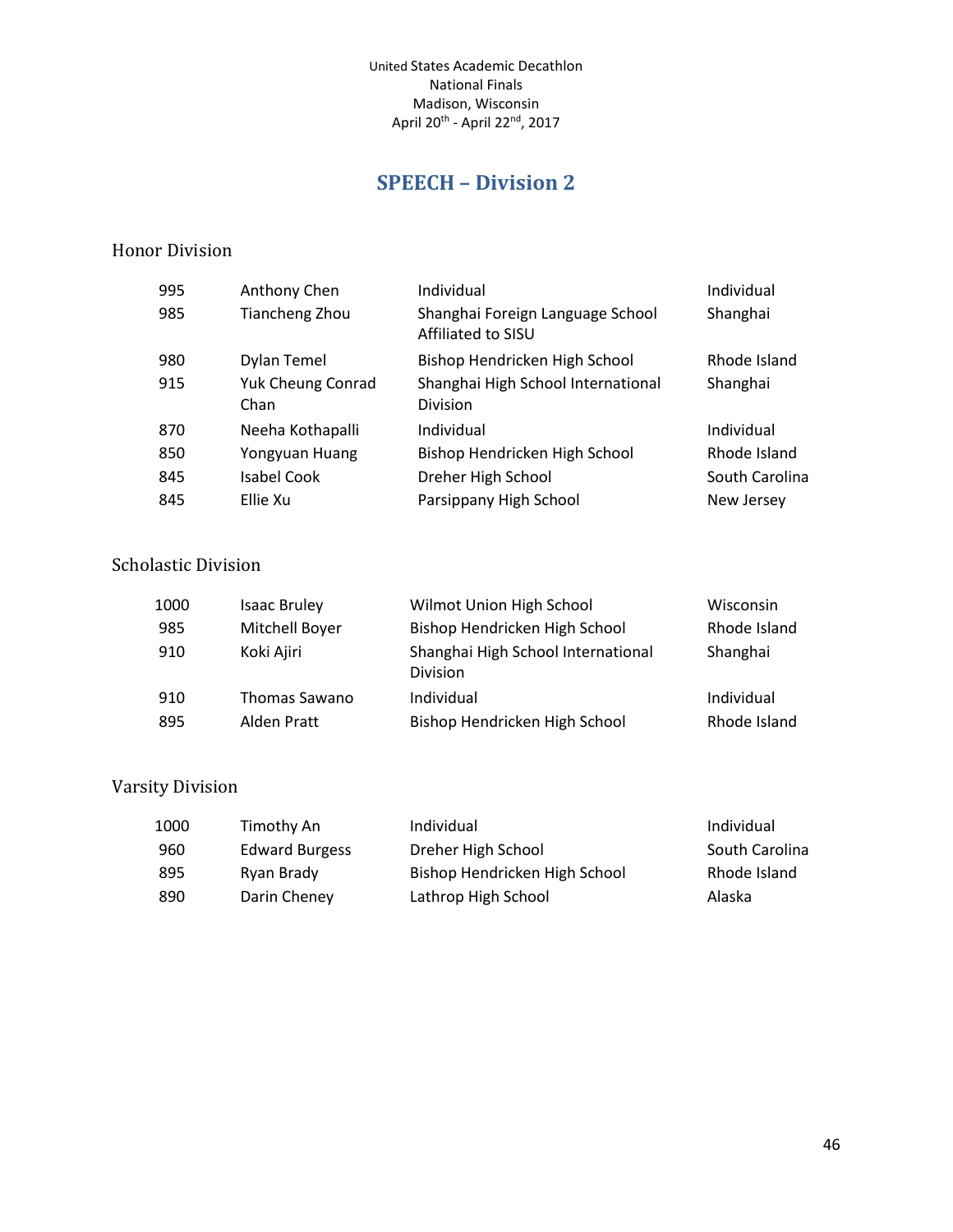## **SPEECH – Division 2**

#### <span id="page-45-0"></span>Honor Division

| 995 | Anthony Chen             | Individual                                             | Individual     |
|-----|--------------------------|--------------------------------------------------------|----------------|
| 985 | <b>Tiancheng Zhou</b>    | Shanghai Foreign Language School<br>Affiliated to SISU | Shanghai       |
| 980 | Dylan Temel              | Bishop Hendricken High School                          | Rhode Island   |
| 915 | <b>Yuk Cheung Conrad</b> | Shanghai High School International                     | Shanghai       |
|     | Chan                     | <b>Division</b>                                        |                |
| 870 | Neeha Kothapalli         | Individual                                             | Individual     |
| 850 | Yongyuan Huang           | Bishop Hendricken High School                          | Rhode Island   |
| 845 | <b>Isabel Cook</b>       | Dreher High School                                     | South Carolina |
| 845 | Ellie Xu                 | Parsippany High School                                 | New Jersey     |

#### Scholastic Division

| 1000 | <b>Isaac Bruley</b> | Wilmot Union High School                       | Wisconsin    |
|------|---------------------|------------------------------------------------|--------------|
| 985  | Mitchell Boyer      | Bishop Hendricken High School                  | Rhode Island |
| 910  | Koki Ajiri          | Shanghai High School International<br>Division | Shanghai     |
| 910  | Thomas Sawano       | Individual                                     | Individual   |
| 895  | Alden Pratt         | Bishop Hendricken High School                  | Rhode Island |

| 1000 | Timothy An            | Individual                    | Individual     |
|------|-----------------------|-------------------------------|----------------|
| 960  | <b>Edward Burgess</b> | Dreher High School            | South Carolina |
| 895  | Ryan Brady            | Bishop Hendricken High School | Rhode Island   |
| 890  | Darin Cheney          | Lathrop High School           | Alaska         |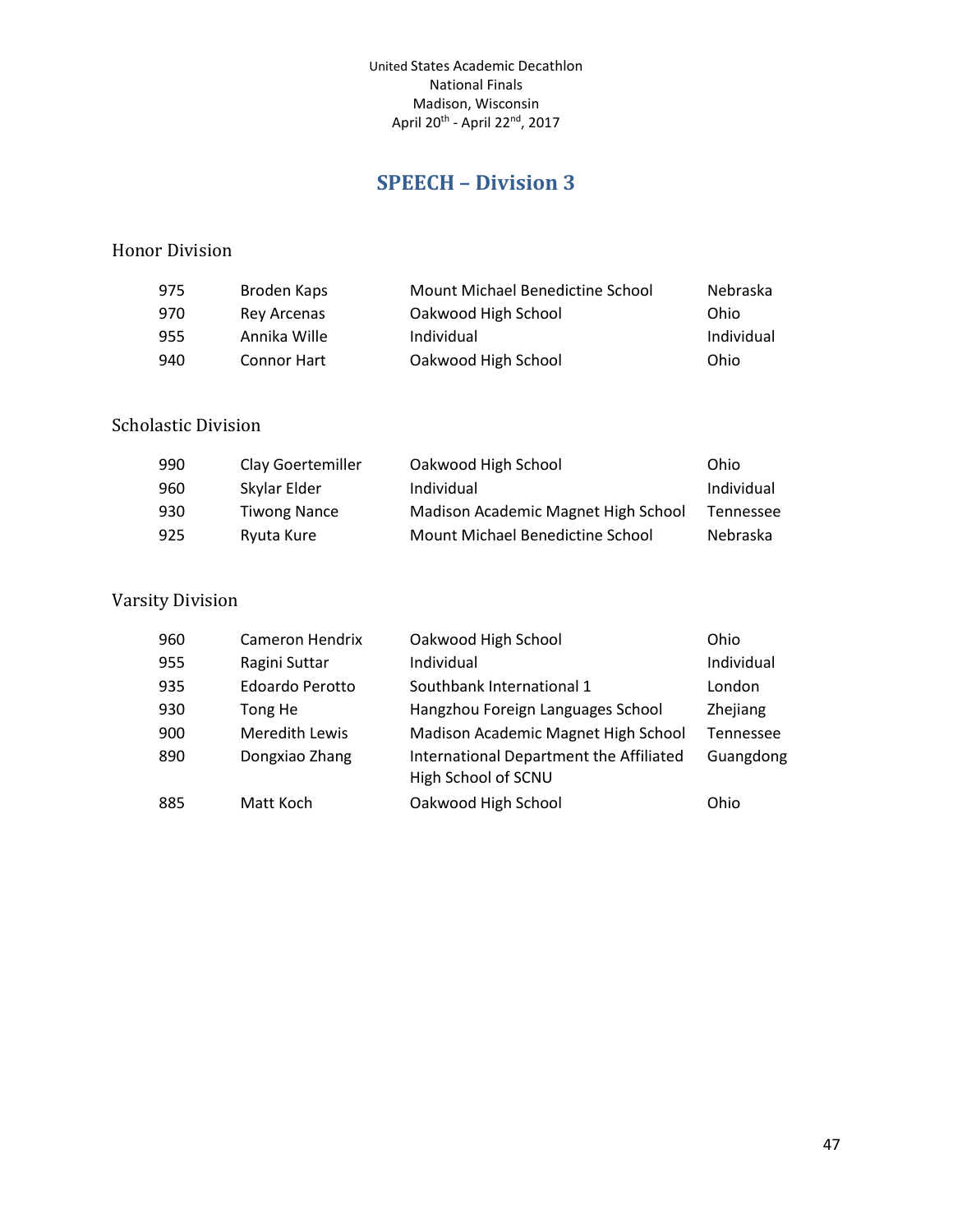## **SPEECH – Division 3**

#### <span id="page-46-0"></span>Honor Division

| 975 | Broden Kaps        | Mount Michael Benedictine School | Nebraska   |
|-----|--------------------|----------------------------------|------------|
| 970 | Rey Arcenas        | Oakwood High School              | Ohio       |
| 955 | Annika Wille       | Individual                       | Individual |
| 940 | <b>Connor Hart</b> | Oakwood High School              | Ohio       |

#### Scholastic Division

| 990 | Clay Goertemiller   | Oakwood High School                 | Ohio       |
|-----|---------------------|-------------------------------------|------------|
| 960 | Skylar Elder        | Individual                          | Individual |
| 930 | <b>Tiwong Nance</b> | Madison Academic Magnet High School | Tennessee  |
| 925 | Ryuta Kure          | Mount Michael Benedictine School    | Nebraska   |

| 960 | Cameron Hendrix        | Oakwood High School                                            | Ohio       |
|-----|------------------------|----------------------------------------------------------------|------------|
| 955 | Ragini Suttar          | Individual                                                     | Individual |
| 935 | <b>Edoardo Perotto</b> | Southbank International 1                                      | London     |
| 930 | Tong He                | Hangzhou Foreign Languages School                              | Zhejiang   |
| 900 | Meredith Lewis         | Madison Academic Magnet High School                            | Tennessee  |
| 890 | Dongxiao Zhang         | International Department the Affiliated<br>High School of SCNU | Guangdong  |
| 885 | Matt Koch              | Oakwood High School                                            | Ohio       |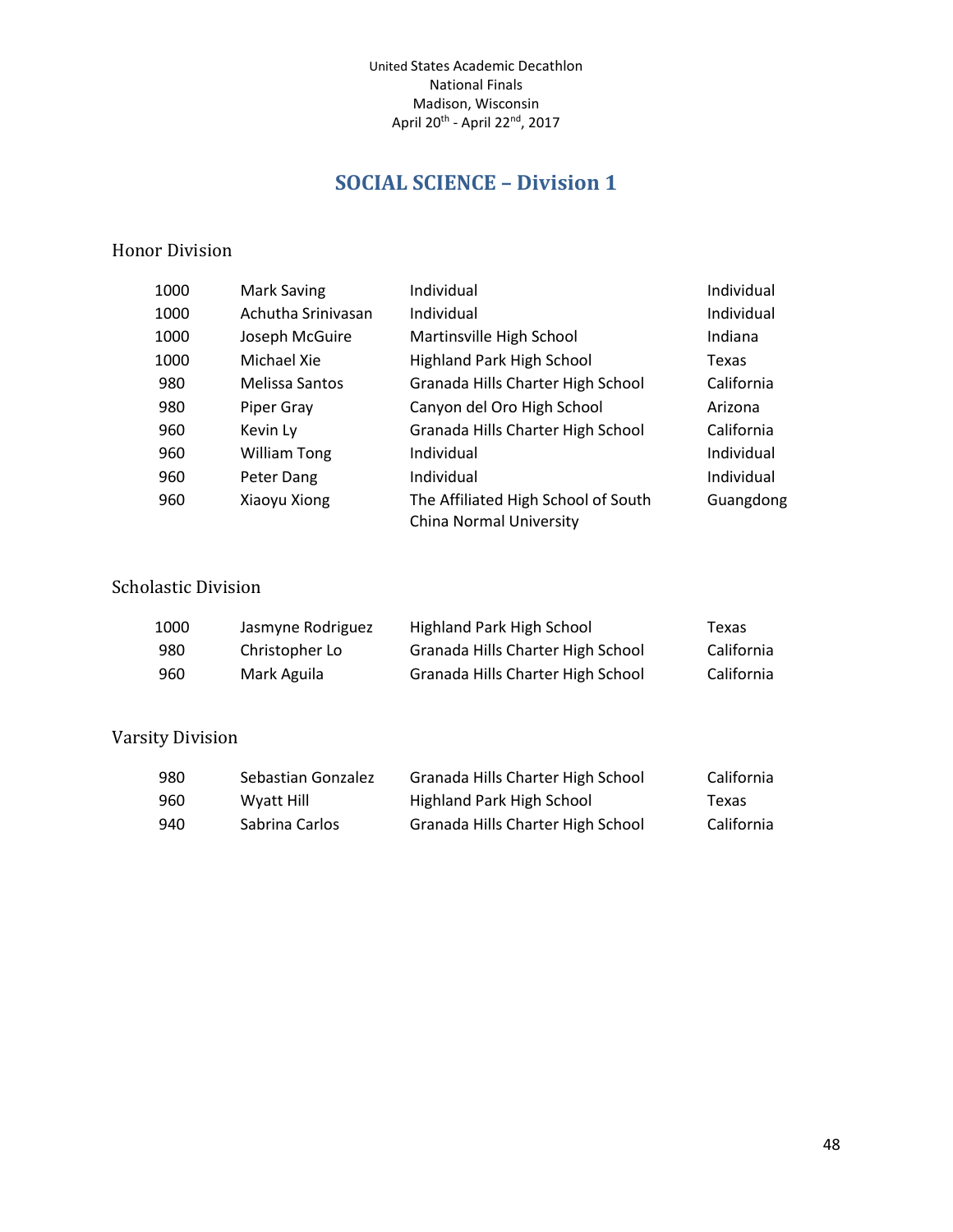# **SOCIAL SCIENCE – Division 1**

#### <span id="page-47-0"></span>Honor Division

| 1000 | Mark Saving         | Individual                                                     | Individual |
|------|---------------------|----------------------------------------------------------------|------------|
| 1000 | Achutha Srinivasan  | Individual                                                     | Individual |
| 1000 | Joseph McGuire      | Martinsville High School                                       | Indiana    |
| 1000 | Michael Xie         | <b>Highland Park High School</b>                               | Texas      |
| 980  | Melissa Santos      | Granada Hills Charter High School                              | California |
| 980  | Piper Gray          | Canyon del Oro High School                                     | Arizona    |
| 960  | Kevin Ly            | Granada Hills Charter High School                              | California |
| 960  | <b>William Tong</b> | Individual                                                     | Individual |
| 960  | Peter Dang          | Individual                                                     | Individual |
| 960  | Xiaoyu Xiong        | The Affiliated High School of South<br>China Normal University | Guangdong  |

## Scholastic Division

| 1000 | Jasmyne Rodriguez | Highland Park High School         | Texas      |
|------|-------------------|-----------------------------------|------------|
| 980  | Christopher Lo    | Granada Hills Charter High School | California |
| 960  | Mark Aguila       | Granada Hills Charter High School | California |

| 980 | Sebastian Gonzalez | Granada Hills Charter High School | California |
|-----|--------------------|-----------------------------------|------------|
| 960 | Wyatt Hill         | Highland Park High School         | Texas      |
| 940 | Sabrina Carlos     | Granada Hills Charter High School | California |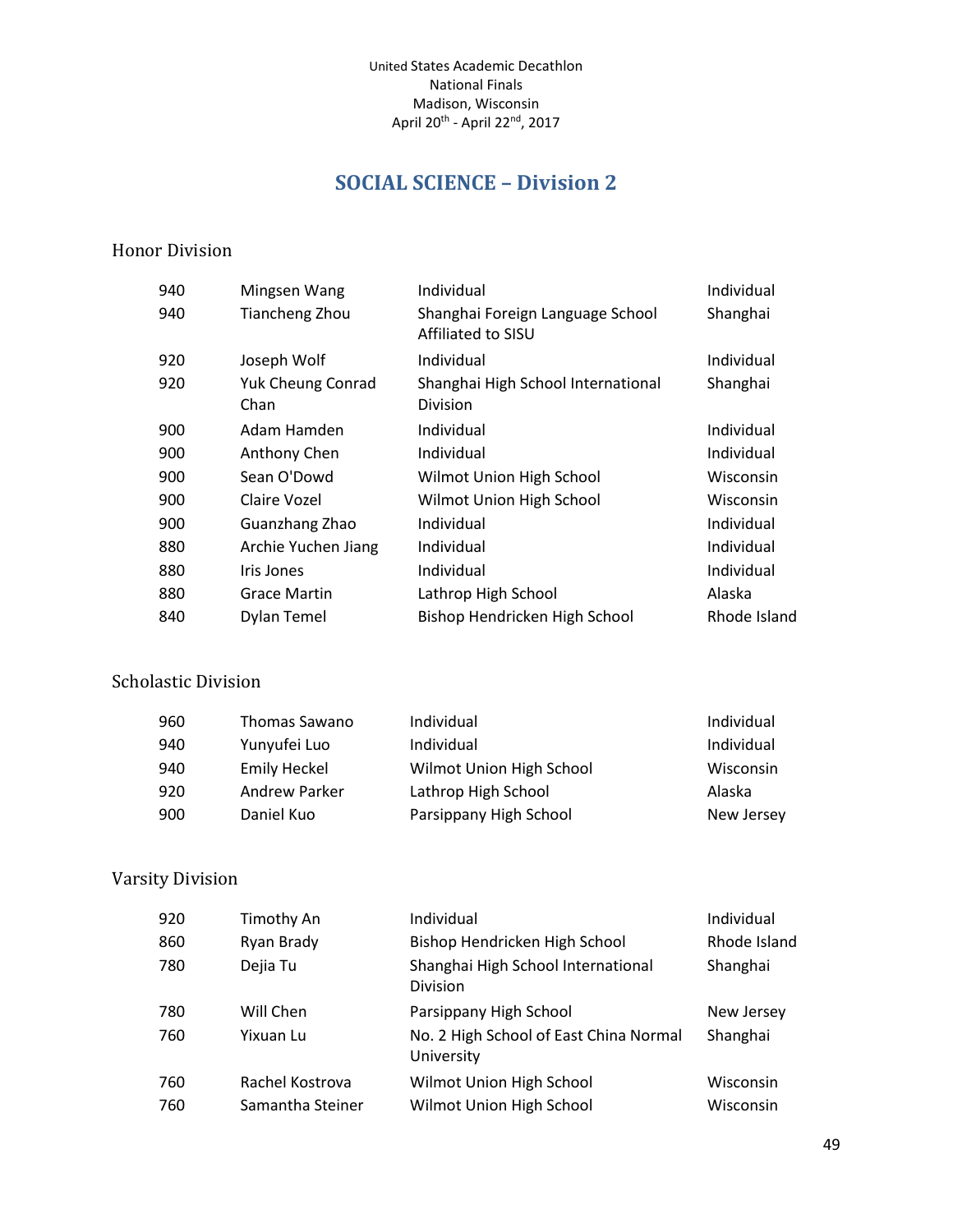# **SOCIAL SCIENCE – Division 2**

#### <span id="page-48-0"></span>Honor Division

| Mingsen Wang                     | Individual                                             | Individual   |
|----------------------------------|--------------------------------------------------------|--------------|
| <b>Tiancheng Zhou</b>            | Shanghai Foreign Language School<br>Affiliated to SISU | Shanghai     |
| Joseph Wolf                      | Individual                                             | Individual   |
| <b>Yuk Cheung Conrad</b><br>Chan | Shanghai High School International<br><b>Division</b>  | Shanghai     |
| Adam Hamden                      | Individual                                             | Individual   |
| Anthony Chen                     | Individual                                             | Individual   |
| Sean O'Dowd                      | Wilmot Union High School                               | Wisconsin    |
| Claire Vozel                     | Wilmot Union High School                               | Wisconsin    |
| Guanzhang Zhao                   | Individual                                             | Individual   |
| Archie Yuchen Jiang              | Individual                                             | Individual   |
| Iris Jones                       | Individual                                             | Individual   |
| <b>Grace Martin</b>              | Lathrop High School                                    | Alaska       |
| Dylan Temel                      | Bishop Hendricken High School                          | Rhode Island |
|                                  |                                                        |              |

## Scholastic Division

| 960 | Thomas Sawano       | Individual               | Individual |
|-----|---------------------|--------------------------|------------|
| 940 | Yunyufei Luo        | Individual               | Individual |
| 940 | <b>Emily Heckel</b> | Wilmot Union High School | Wisconsin  |
| 920 | Andrew Parker       | Lathrop High School      | Alaska     |
| 900 | Daniel Kuo          | Parsippany High School   | New Jersey |

| 920 | Timothy An       | Individual                                           | Individual   |
|-----|------------------|------------------------------------------------------|--------------|
| 860 | Ryan Brady       | Bishop Hendricken High School                        | Rhode Island |
| 780 | Dejia Tu         | Shanghai High School International<br>Division       | Shanghai     |
| 780 | Will Chen        | Parsippany High School                               | New Jersey   |
| 760 | Yixuan Lu        | No. 2 High School of East China Normal<br>University | Shanghai     |
| 760 | Rachel Kostrova  | Wilmot Union High School                             | Wisconsin    |
| 760 | Samantha Steiner | Wilmot Union High School                             | Wisconsin    |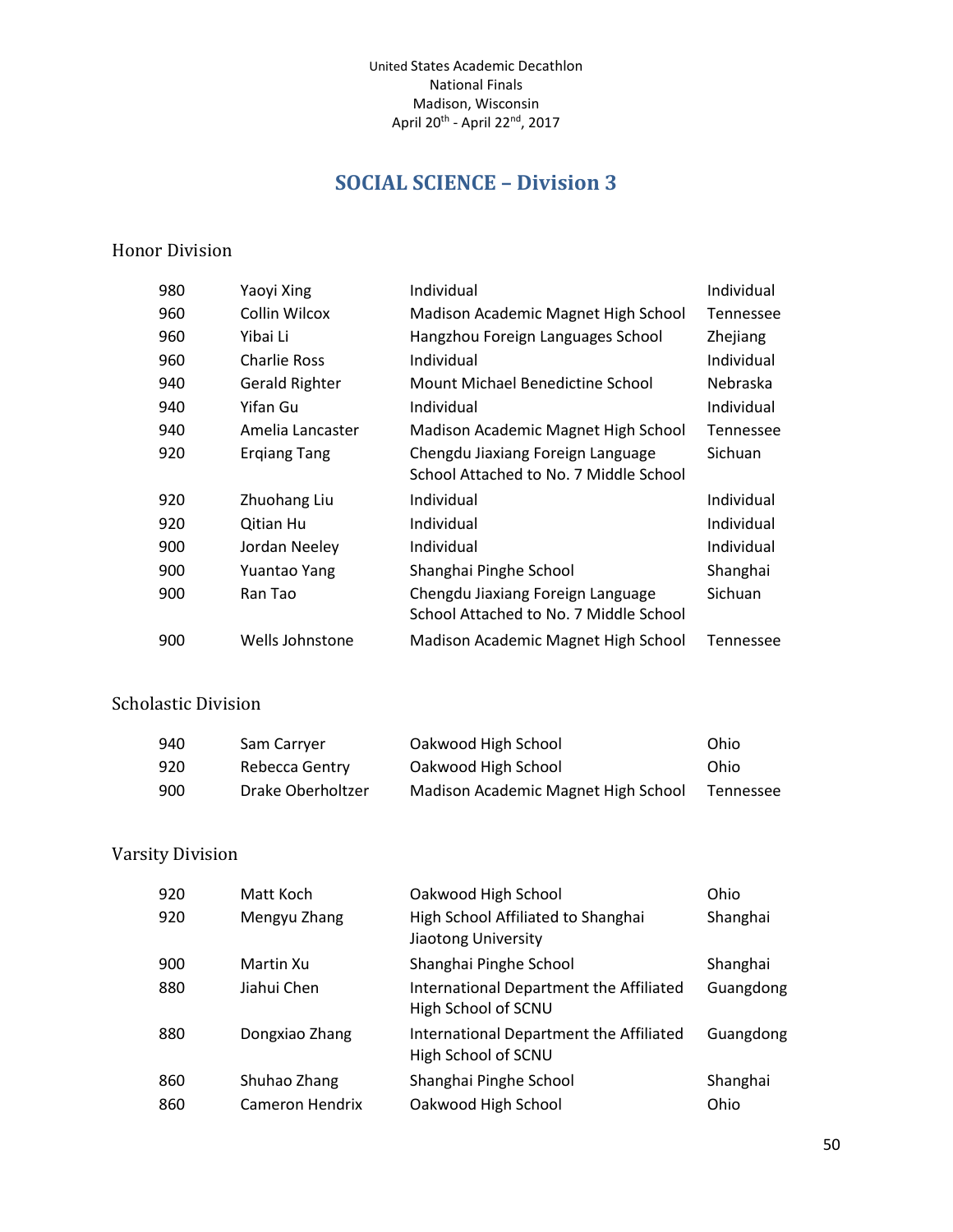# **SOCIAL SCIENCE – Division 3**

#### <span id="page-49-0"></span>Honor Division

| 980 | Yaoyi Xing            | Individual                             | Individual       |
|-----|-----------------------|----------------------------------------|------------------|
| 960 | Collin Wilcox         | Madison Academic Magnet High School    | <b>Tennessee</b> |
| 960 | Yibai Li              | Hangzhou Foreign Languages School      | Zhejiang         |
| 960 | Charlie Ross          | Individual                             | Individual       |
| 940 | <b>Gerald Righter</b> | Mount Michael Benedictine School       | Nebraska         |
| 940 | Yifan Gu              | Individual                             | Individual       |
| 940 | Amelia Lancaster      | Madison Academic Magnet High School    | <b>Tennessee</b> |
| 920 | <b>Ergiang Tang</b>   | Chengdu Jiaxiang Foreign Language      | Sichuan          |
|     |                       | School Attached to No. 7 Middle School |                  |
| 920 | Zhuohang Liu          | Individual                             | Individual       |
| 920 | <b>Qitian Hu</b>      | Individual                             | Individual       |
| 900 | Jordan Neeley         | Individual                             | Individual       |
| 900 | Yuantao Yang          | Shanghai Pinghe School                 | Shanghai         |
| 900 | Ran Tao               | Chengdu Jiaxiang Foreign Language      | Sichuan          |
|     |                       | School Attached to No. 7 Middle School |                  |
| 900 | Wells Johnstone       | Madison Academic Magnet High School    | Tennessee        |

#### Scholastic Division

| 940 | Sam Carryer       | Oakwood High School                 | Ohio      |
|-----|-------------------|-------------------------------------|-----------|
| 920 | Rebecca Gentry    | Oakwood High School                 | Ohio      |
| 900 | Drake Oberholtzer | Madison Academic Magnet High School | Tennessee |

| 920 | Matt Koch       | Oakwood High School                                            | Ohio      |
|-----|-----------------|----------------------------------------------------------------|-----------|
| 920 | Mengyu Zhang    | High School Affiliated to Shanghai<br>Jiaotong University      | Shanghai  |
| 900 | Martin Xu       | Shanghai Pinghe School                                         | Shanghai  |
| 880 | Jiahui Chen     | International Department the Affiliated<br>High School of SCNU | Guangdong |
| 880 | Dongxiao Zhang  | International Department the Affiliated<br>High School of SCNU | Guangdong |
| 860 | Shuhao Zhang    | Shanghai Pinghe School                                         | Shanghai  |
| 860 | Cameron Hendrix | Oakwood High School                                            | Ohio      |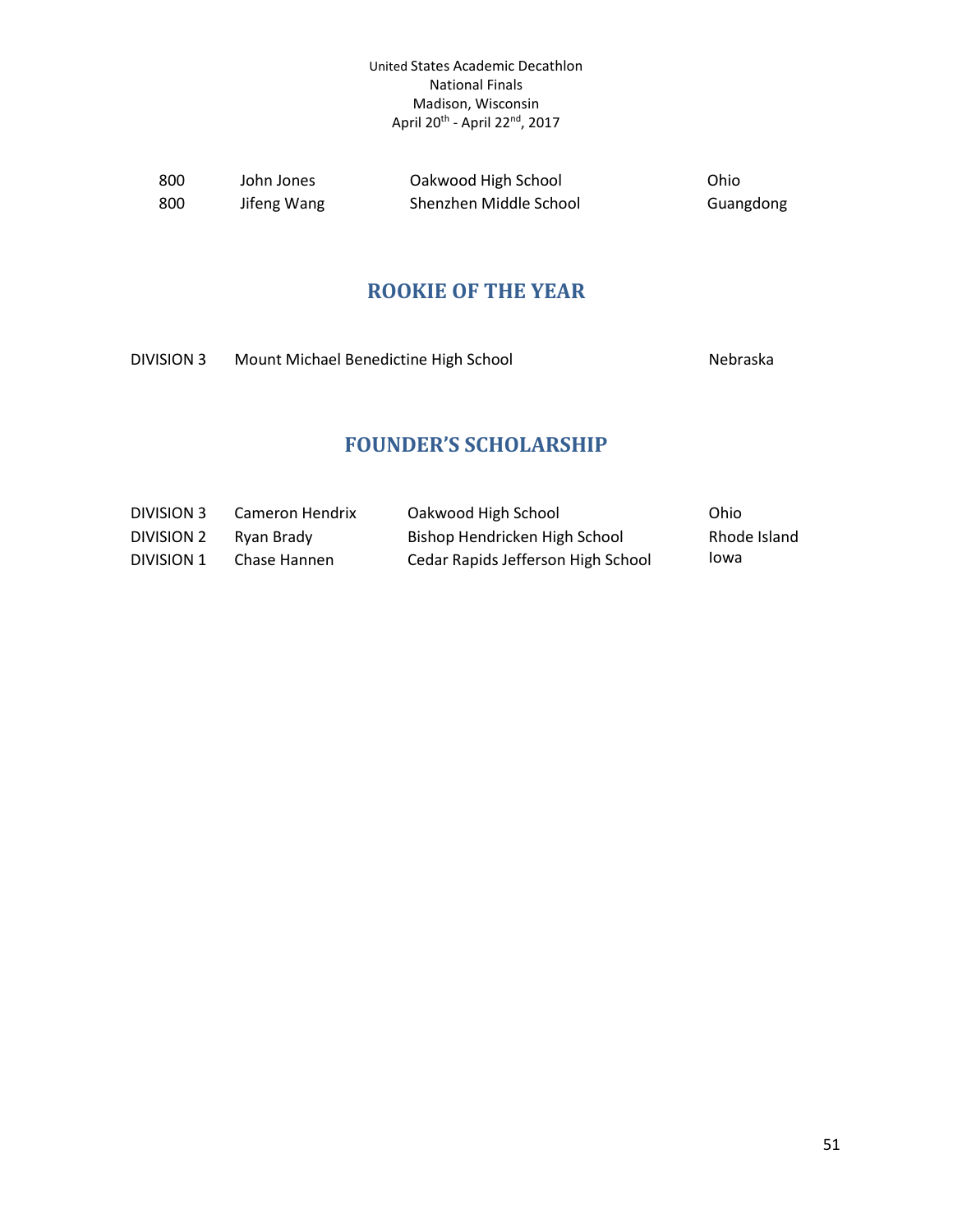<span id="page-50-0"></span>

| 800  | John Jones  | Oakwood High School    | Ohio      |
|------|-------------|------------------------|-----------|
| -800 | Jifeng Wang | Shenzhen Middle School | Guangdong |

### **ROOKIE OF THE YEAR**

<span id="page-50-1"></span>DIVISION 3 Mount Michael Benedictine High School Nebraska

## **FOUNDER'S SCHOLARSHIP**

| DIVISION 3 | Cameron Hendrix | Oakwood High School                | Ohio         |
|------------|-----------------|------------------------------------|--------------|
| DIVISION 2 | Rvan Brady      | Bishop Hendricken High School      | Rhode Island |
| DIVISION 1 | Chase Hannen    | Cedar Rapids Jefferson High School | lowa         |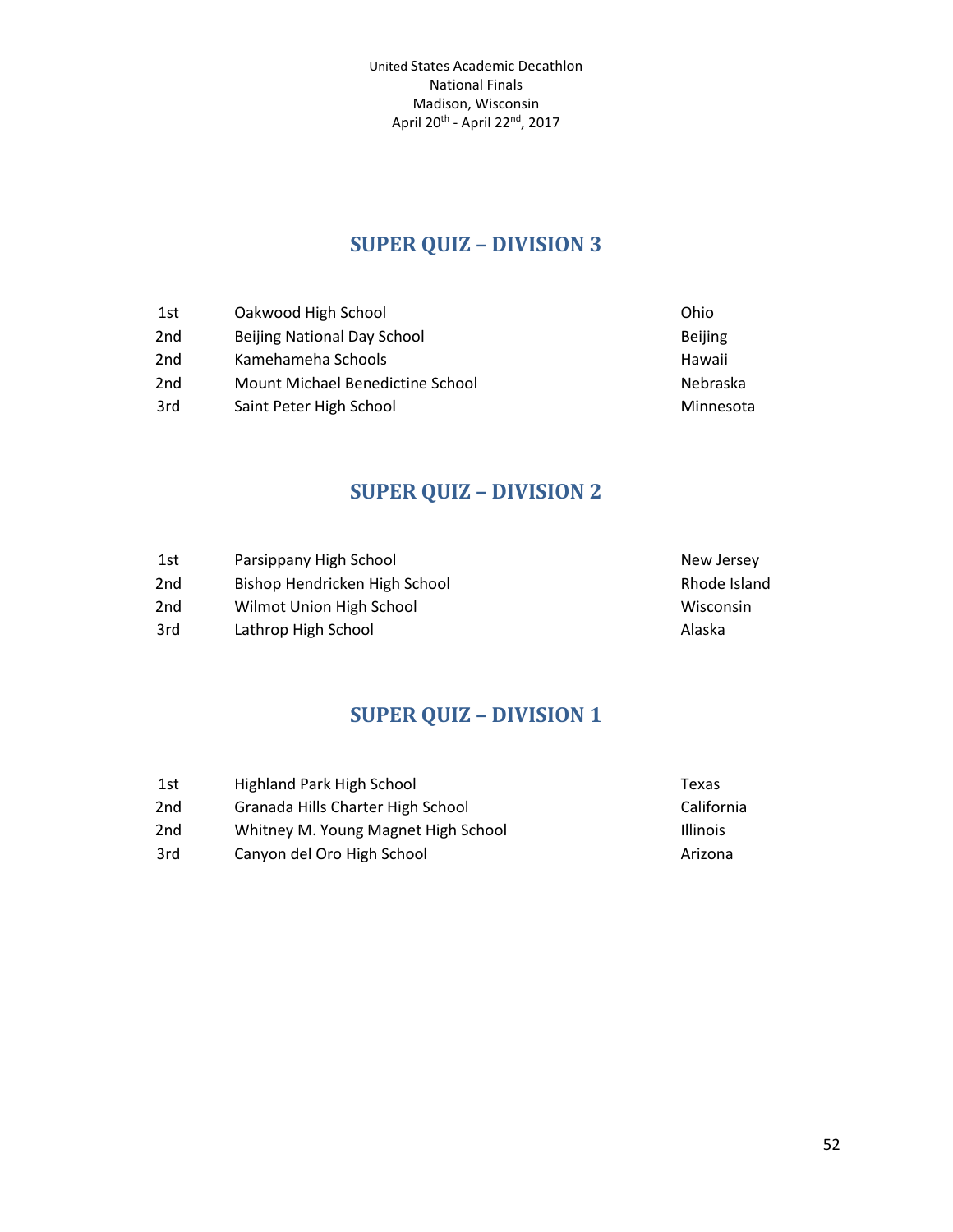# **SUPER QUIZ – DIVISION 3**

<span id="page-51-0"></span>

| 1st             | Oakwood High School              | Ohio           |
|-----------------|----------------------------------|----------------|
| 2nd             | Beijing National Day School      | <b>Beijing</b> |
| 2 <sub>nd</sub> | Kamehameha Schools               | Hawaii         |
| 2 <sub>nd</sub> | Mount Michael Benedictine School | Nebraska       |
| 3rd             | Saint Peter High School          | Minnesota      |

# **SUPER QUIZ – DIVISION 2**

<span id="page-51-1"></span>

| 1st             | Parsippany High School        | New Jersey   |
|-----------------|-------------------------------|--------------|
| 2 <sub>nd</sub> | Bishop Hendricken High School | Rhode Island |
| 2 <sub>nd</sub> | Wilmot Union High School      | Wisconsin    |
| 3rd             | Lathrop High School           | Alaska       |

# **SUPER QUIZ – DIVISION 1**

<span id="page-51-2"></span>

| 1st             | Highland Park High School           | Texas           |
|-----------------|-------------------------------------|-----------------|
| 2 <sub>nd</sub> | Granada Hills Charter High School   | California      |
| 2nd             | Whitney M. Young Magnet High School | <b>Illinois</b> |
| 3rd             | Canyon del Oro High School          | Arizona         |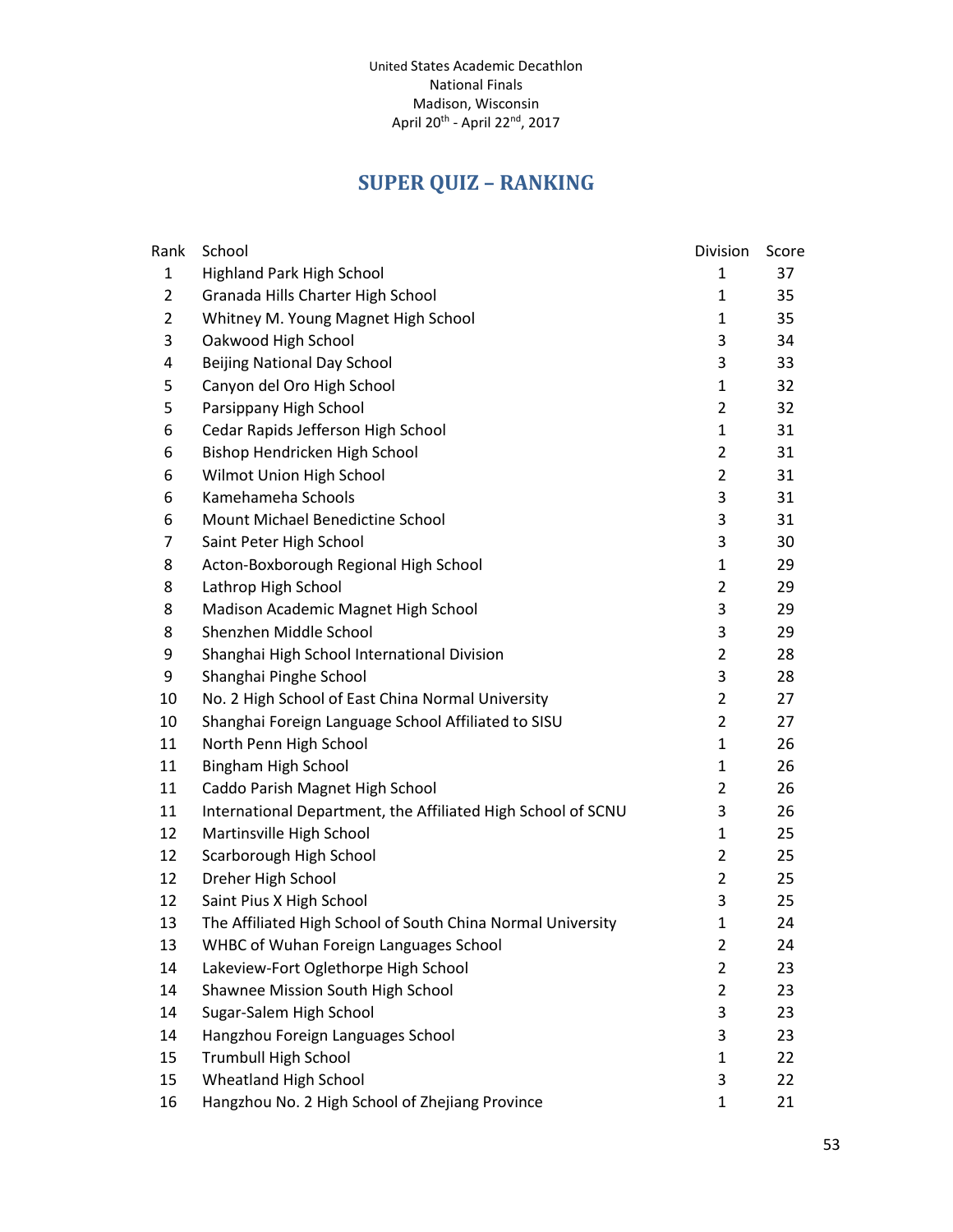# **SUPER QUIZ – RANKING**

<span id="page-52-0"></span>

| Rank           | School                                                       | Division       | Score |
|----------------|--------------------------------------------------------------|----------------|-------|
| $\mathbf{1}$   | Highland Park High School                                    | 1              | 37    |
| $\overline{2}$ | Granada Hills Charter High School                            | 1              | 35    |
| $\overline{2}$ | Whitney M. Young Magnet High School                          | $\mathbf{1}$   | 35    |
| 3              | Oakwood High School                                          | 3              | 34    |
| 4              | <b>Beijing National Day School</b>                           | 3              | 33    |
| 5              | Canyon del Oro High School                                   | $\mathbf{1}$   | 32    |
| 5              | Parsippany High School                                       | $\overline{2}$ | 32    |
| 6              | Cedar Rapids Jefferson High School                           | $\mathbf{1}$   | 31    |
| 6              | Bishop Hendricken High School                                | $\overline{2}$ | 31    |
| 6              | Wilmot Union High School                                     | $\overline{2}$ | 31    |
| 6              | Kamehameha Schools                                           | 3              | 31    |
| 6              | Mount Michael Benedictine School                             | 3              | 31    |
| $\overline{7}$ | Saint Peter High School                                      | 3              | 30    |
| 8              | Acton-Boxborough Regional High School                        | $\mathbf{1}$   | 29    |
| 8              | Lathrop High School                                          | $\overline{2}$ | 29    |
| 8              | Madison Academic Magnet High School                          | 3              | 29    |
| 8              | Shenzhen Middle School                                       | 3              | 29    |
| 9              | Shanghai High School International Division                  | $\overline{2}$ | 28    |
| 9              | Shanghai Pinghe School                                       | 3              | 28    |
| 10             | No. 2 High School of East China Normal University            | $\overline{2}$ | 27    |
| 10             | Shanghai Foreign Language School Affiliated to SISU          | $\overline{2}$ | 27    |
| 11             | North Penn High School                                       | $\mathbf{1}$   | 26    |
| 11             | Bingham High School                                          | $\mathbf{1}$   | 26    |
| 11             | Caddo Parish Magnet High School                              | $\overline{2}$ | 26    |
| 11             | International Department, the Affiliated High School of SCNU | 3              | 26    |
| 12             | Martinsville High School                                     | $\mathbf{1}$   | 25    |
| 12             | Scarborough High School                                      | $\overline{2}$ | 25    |
| 12             | Dreher High School                                           | $\overline{2}$ | 25    |
| 12             | Saint Pius X High School                                     | 3              | 25    |
| 13             | The Affiliated High School of South China Normal University  | $\mathbf{1}$   | 24    |
| 13             | WHBC of Wuhan Foreign Languages School                       | 2              | 24    |
| 14             | Lakeview-Fort Oglethorpe High School                         | $\overline{2}$ | 23    |
| 14             | Shawnee Mission South High School                            | $\overline{2}$ | 23    |
| 14             | Sugar-Salem High School                                      | 3              | 23    |
| 14             | Hangzhou Foreign Languages School                            | 3              | 23    |
| 15             | <b>Trumbull High School</b>                                  | $\mathbf{1}$   | 22    |
| 15             | Wheatland High School                                        | 3              | 22    |
| 16             | Hangzhou No. 2 High School of Zhejiang Province              | 1              | 21    |
|                |                                                              |                |       |